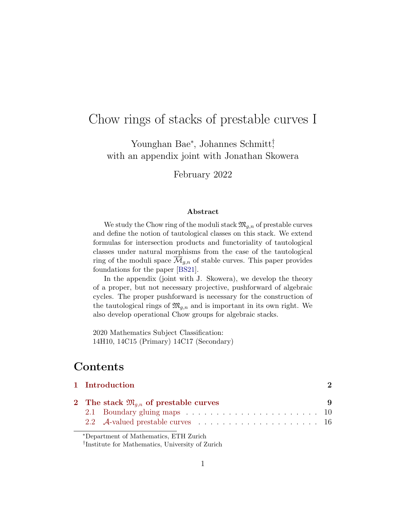# Chow rings of stacks of prestable curves I

Younghan Bae<sup>∗</sup> , Johannes Schmitt† , with an appendix joint with Jonathan Skowera

February 2022

#### Abstract

We study the Chow ring of the moduli stack  $\mathfrak{M}_{q,n}$  of prestable curves and define the notion of tautological classes on this stack. We extend formulas for intersection products and functoriality of tautological classes under natural morphisms from the case of the tautological ring of the moduli space  $\overline{\mathcal{M}}_{g,n}$  of stable curves. This paper provides foundations for the paper [\[BS21\]](#page-68-0).

In the appendix (joint with J. Skowera), we develop the theory of a proper, but not necessary projective, pushforward of algebraic cycles. The proper pushforward is necessary for the construction of the tautological rings of  $\mathfrak{M}_{g,n}$  and is important in its own right. We also develop operational Chow groups for algebraic stacks.

2020 Mathematics Subject Classification: 14H10, 14C15 (Primary) 14C17 (Secondary)

# Contents

| 1 Introduction                                       |   |
|------------------------------------------------------|---|
| 2 The stack $\mathfrak{M}_{a,n}$ of prestable curves | 9 |
|                                                      |   |
|                                                      |   |

<sup>∗</sup>Department of Mathematics, ETH Zurich

<sup>†</sup> Institute for Mathematics, University of Zurich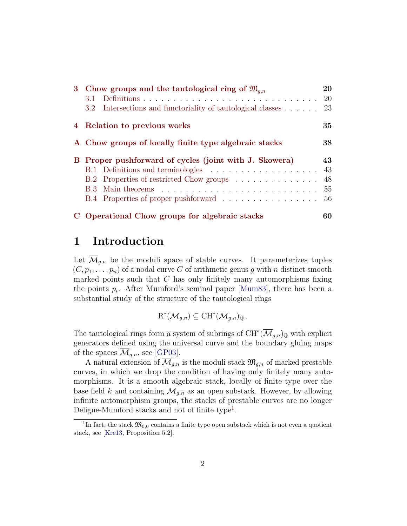| 3 Chow groups and the tautological ring of $\mathfrak{M}_{q,n}$                  | 20  |
|----------------------------------------------------------------------------------|-----|
| 3.1                                                                              |     |
| 3.2 Intersections and functoriality of tautological classes $\ldots$ $\ldots$ 23 |     |
| 4 Relation to previous works                                                     | 35  |
| A Chow groups of locally finite type algebraic stacks                            | 38  |
| B Proper pushforward of cycles (joint with J. Skowera)                           | 43  |
|                                                                                  | 43  |
| B.2 Properties of restricted Chow groups                                         | 48  |
|                                                                                  | 55  |
| B.4 Properties of proper pushforward 56                                          |     |
| C Operational Chow groups for algebraic stacks                                   | 60. |

# <span id="page-1-0"></span>1 Introduction

Let  $\overline{\mathcal{M}}_{q,n}$  be the moduli space of stable curves. It parameterizes tuples  $(C, p_1, \ldots, p_n)$  of a nodal curve C of arithmetic genus g with n distinct smooth marked points such that  $C$  has only finitely many automorphisms fixing the points  $p_i$ . After Mumford's seminal paper [\[Mum83\]](#page-70-0), there has been a substantial study of the structure of the tautological rings

$$
\mathrm{R}^*(\overline{\mathcal{M}}_{g,n})\subseteq \mathrm{CH}^*(\overline{\mathcal{M}}_{g,n})_\mathbb{Q}.
$$

The tautological rings form a system of subrings of  $\mathrm{CH}^*(\overline{\mathcal{M}}_{g,n})_\mathbb{Q}$  with explicit generators defined using the universal curve and the boundary gluing maps of the spaces  $\overline{\mathcal{M}}_{q,n}$ , see [\[GP03\]](#page-69-0).

A natural extension of  $\overline{\mathcal{M}}_{g,n}$  is the moduli stack  $\mathfrak{M}_{g,n}$  of marked prestable curves, in which we drop the condition of having only finitely many automorphisms. It is a smooth algebraic stack, locally of finite type over the base field k and containing  $\overline{\mathcal{M}}_{q,n}$  as an open substack. However, by allowing infinite automorphism groups, the stacks of prestable curves are no longer Deligne-Mumford stacks and not of finite type<sup>[1](#page-1-1)</sup>.

<span id="page-1-1"></span><sup>&</sup>lt;sup>1</sup>In fact, the stack  $\mathfrak{M}_{0,0}$  contains a finite type open substack which is not even a quotient stack, see [\[Kre13,](#page-70-1) Proposition 5.2].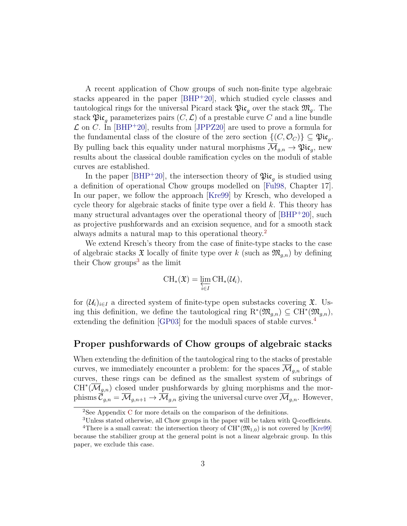A recent application of Chow groups of such non-finite type algebraic stacks appeared in the paper [\[BHP](#page-68-1)<sup>+</sup>20], which studied cycle classes and tautological rings for the universal Picard stack  $\mathfrak{Pic}_q$  over the stack  $\mathfrak{M}_q$ . The stack  $\mathfrak{Pic}_a$  parameterizes pairs  $(C, \mathcal{L})$  of a prestable curve C and a line bundle  $\mathcal L$  on C. In [\[BHP](#page-68-1)<sup>+</sup>20], results from [\[JPPZ20\]](#page-69-1) are used to prove a formula for the fundamental class of the closure of the zero section  $\{(C, \mathcal{O}_C)\}\subseteq \mathfrak{Pic}_g$ . By pulling back this equality under natural morphisms  $\overline{\mathcal{M}}_{g,n} \to \mathfrak{Pic}_g$ , new results about the classical double ramification cycles on the moduli of stable curves are established.

In the paper [\[BHP](#page-68-1)<sup>+</sup>20], the intersection theory of  $\mathfrak{Pic}_g$  is studied using a definition of operational Chow groups modelled on [\[Ful98,](#page-69-2) Chapter 17]. In our paper, we follow the approach [\[Kre99\]](#page-70-2) by Kresch, who developed a cycle theory for algebraic stacks of finite type over a field k. This theory has many structural advantages over the operational theory of  $[BHP^+20]$ , such as projective pushforwards and an excision sequence, and for a smooth stack always admits a natural map to this operational theory.[2](#page-2-0)

We extend Kresch's theory from the case of finite-type stacks to the case of algebraic stacks  $\mathfrak X$  locally of finite type over k (such as  $\mathfrak M_{g,n}$ ) by defining their Chow groups<sup>[3](#page-2-1)</sup> as the limit

$$
\operatorname{CH}_*(\mathfrak{X})=\varprojlim_{i\in I}\operatorname{CH}_*(\mathcal{U}_i),
$$

for  $(\mathcal{U}_i)_{i\in I}$  a directed system of finite-type open substacks covering  $\mathfrak{X}$ . Using this definition, we define the tautological ring  $\mathrm{R}^*(\mathfrak{M}_{g,n}) \subseteq \mathrm{CH}^*(\mathfrak{M}_{g,n}),$ extending the definition [\[GP03\]](#page-69-0) for the moduli spaces of stable curves.[4](#page-2-2)

### Proper pushforwards of Chow groups of algebraic stacks

When extending the definition of the tautological ring to the stacks of prestable curves, we immediately encounter a problem: for the spaces  $\overline{\mathcal{M}}_{q,n}$  of stable curves, these rings can be defined as the smallest system of subrings of  $CH<sup>*</sup>(\overline{\mathcal{M}}_{g,n})$  closed under pushforwards by gluing morphisms and the morphisms  $\vec{\mathcal{C}}_{q,n} = \vec{\mathcal{M}}_{q,n+1} \rightarrow \vec{\mathcal{M}}_{q,n}$  giving the universal curve over  $\vec{\mathcal{M}}_{q,n}$ . However,

<span id="page-2-0"></span><sup>2</sup>See Appendix [C](#page-59-0) for more details on the comparison of the definitions.

<span id="page-2-2"></span><span id="page-2-1"></span><sup>&</sup>lt;sup>3</sup>Unless stated otherwise, all Chow groups in the paper will be taken with Q-coefficients.

<sup>&</sup>lt;sup>4</sup>There is a small caveat: the intersection theory of  $CH^*(\mathfrak{M}_{1,0})$  is not covered by [\[Kre99\]](#page-70-2) because the stabilizer group at the general point is not a linear algebraic group. In this paper, we exclude this case.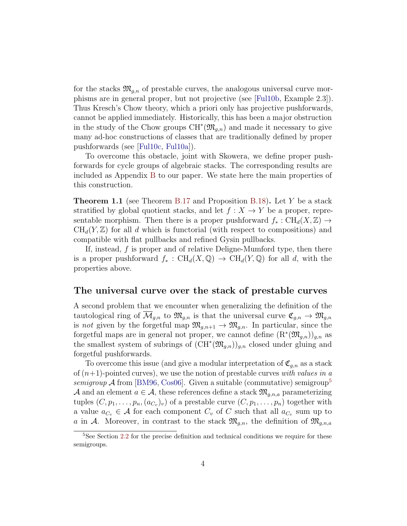for the stacks  $\mathfrak{M}_{q,n}$  of prestable curves, the analogous universal curve morphisms are in general proper, but not projective (see [\[Ful10b,](#page-69-3) Example 2.3]). Thus Kresch's Chow theory, which a priori only has projective pushforwards, cannot be applied immediately. Historically, this has been a major obstruction in the study of the Chow groups  $\mathrm{CH}^*(\mathfrak{M}_{g,n})$  and made it necessary to give many ad-hoc constructions of classes that are traditionally defined by proper pushforwards (see [\[Ful10c,](#page-69-4) [Ful10a\]](#page-69-5)).

To overcome this obstacle, joint with Skowera, we define proper pushforwards for cycle groups of algebraic stacks. The corresponding results are included as Appendix [B](#page-42-0) to our paper. We state here the main properties of this construction.

**Theorem 1.1** (see Theorem [B.17](#page-54-1) and Proposition [B.18\)](#page-55-1). Let Y be a stack stratified by global quotient stacks, and let  $f : X \to Y$  be a proper, representable morphism. Then there is a proper pushforward  $f_*: \text{CH}_d(X, \mathbb{Z}) \to$  $CH_d(Y, \mathbb{Z})$  for all d which is functorial (with respect to compositions) and compatible with flat pullbacks and refined Gysin pullbacks.

If, instead,  $f$  is proper and of relative Deligne-Mumford type, then there is a proper pushforward  $f_* : CH_d(X, \mathbb{Q}) \to CH_d(Y, \mathbb{Q})$  for all d, with the properties above.

#### The universal curve over the stack of prestable curves

A second problem that we encounter when generalizing the definition of the tautological ring of  $\mathcal{M}_{q,n}$  to  $\mathfrak{M}_{q,n}$  is that the universal curve  $\mathfrak{C}_{q,n} \to \mathfrak{M}_{q,n}$ is not given by the forgetful map  $\mathfrak{M}_{g,n+1} \to \mathfrak{M}_{g,n}$ . In particular, since the forgetful maps are in general not proper, we cannot define  $(\mathrm{R}^*(\mathfrak{M}_{g,n}))_{g,n}$  as the smallest system of subrings of  $(\mathrm{CH}^*(\mathfrak{M}_{g,n}))_{g,n}$  closed under gluing and forgetful pushforwards.

To overcome this issue (and give a modular interpretation of  $\mathfrak{C}_{q,n}$  as a stack of  $(n+1)$ -pointed curves), we use the notion of prestable curves with values in a semigroup  $\mathcal A$  from [\[BM96,](#page-68-2) [Cos06\]](#page-69-6). Given a suitable (commutative) semigroup<sup>[5](#page-3-0)</sup> A and an element  $a \in \mathcal{A}$ , these references define a stack  $\mathfrak{M}_{q,n,a}$  parameterizing tuples  $(C, p_1, \ldots, p_n, (a_{C_v})_v)$  of a prestable curve  $(C, p_1, \ldots, p_n)$  together with a value  $a_{C_v} \in \mathcal{A}$  for each component  $C_v$  of C such that all  $a_{C_v}$  sum up to a in A. Moreover, in contrast to the stack  $\mathfrak{M}_{q,n}$ , the definition of  $\mathfrak{M}_{q,n,a}$ 

<span id="page-3-0"></span><sup>&</sup>lt;sup>5</sup>See Section [2.2](#page-15-0) for the precise definition and technical conditions we require for these semigroups.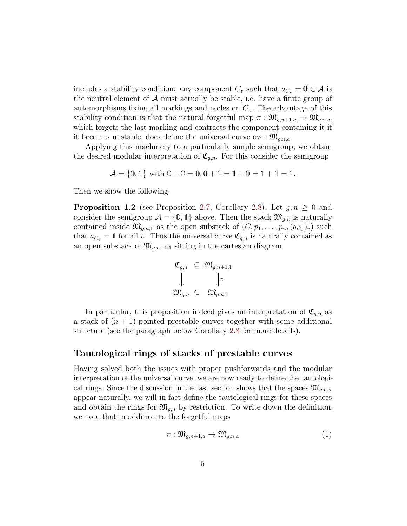includes a stability condition: any component  $C_v$  such that  $a_{C_v} = \mathbf{0} \in \mathcal{A}$  is the neutral element of  $A$  must actually be stable, i.e. have a finite group of automorphisms fixing all markings and nodes on  $C_v$ . The advantage of this stability condition is that the natural forgetful map  $\pi : \mathfrak{M}_{q,n+1,a} \to \mathfrak{M}_{q,n,a}$ , which forgets the last marking and contracts the component containing it if it becomes unstable, does define the universal curve over  $\mathfrak{M}_{q,n,a}$ .

Applying this machinery to a particularly simple semigroup, we obtain the desired modular interpretation of  $\mathfrak{C}_{g,n}$ . For this consider the semigroup

$$
\mathcal{A} = \{0, 1\} \text{ with } 0 + 0 = 0, 0 + 1 = 1 + 0 = 1 + 1 = 1.
$$

Then we show the following.

<span id="page-4-1"></span>**Proposition 1.2** (see Proposition [2.7,](#page-17-0) Corollary [2.8\)](#page-18-0). Let  $g, n \geq 0$  and consider the semigroup  $\mathcal{A} = \{0, 1\}$  above. Then the stack  $\mathfrak{M}_{g,n}$  is naturally contained inside  $\mathfrak{M}_{g,n,1}$  as the open substack of  $(C, p_1, \ldots, p_n, (a_{C_v})_v)$  such that  $a_{C_v} = 1$  for all v. Thus the universal curve  $\mathfrak{C}_{g,n}$  is naturally contained as an open substack of  $\mathfrak{M}_{q,n+1,1}$  sitting in the cartesian diagram

$$
\begin{array}{ccl}\mathfrak{C}_{g,n}&\subseteq&\mathfrak{M}_{g,n+1,1}\\ \big\downarrow&&\downarrow\pi\\ \mathfrak{M}_{g,n}&\subseteq&\mathfrak{M}_{g,n,1}\end{array}
$$

In particular, this proposition indeed gives an interpretation of  $\mathfrak{C}_{q,n}$  as a stack of  $(n + 1)$ -pointed prestable curves together with some additional structure (see the paragraph below Corollary [2.8](#page-18-0) for more details).

### Tautological rings of stacks of prestable curves

Having solved both the issues with proper pushforwards and the modular interpretation of the universal curve, we are now ready to define the tautological rings. Since the discussion in the last section shows that the spaces  $\mathfrak{M}_{a,n,a}$ appear naturally, we will in fact define the tautological rings for these spaces and obtain the rings for  $\mathfrak{M}_{g,n}$  by restriction. To write down the definition, we note that in addition to the forgetful maps

<span id="page-4-0"></span>
$$
\pi: \mathfrak{M}_{g,n+1,a} \to \mathfrak{M}_{g,n,a} \tag{1}
$$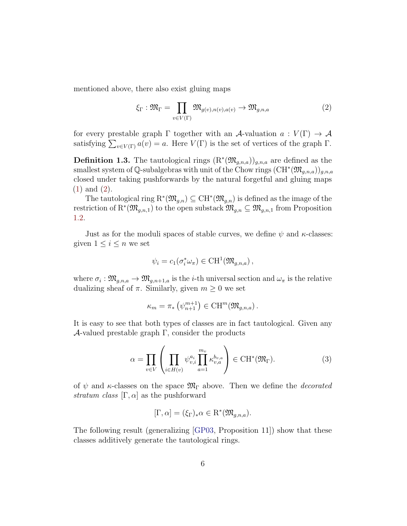mentioned above, there also exist gluing maps

<span id="page-5-0"></span>
$$
\xi_{\Gamma} : \mathfrak{M}_{\Gamma} = \prod_{v \in V(\Gamma)} \mathfrak{M}_{g(v),n(v),a(v)} \to \mathfrak{M}_{g,n,a}
$$
 (2)

for every prestable graph  $\Gamma$  together with an A-valuation  $a: V(\Gamma) \to A$ satisfying  $\sum_{v \in V(\Gamma)} a(v) = a$ . Here  $V(\Gamma)$  is the set of vertices of the graph  $\Gamma$ .

<span id="page-5-1"></span>**Definition 1.3.** The tautological rings  $(R^*(\mathfrak{M}_{g,n,a}))_{g,n,a}$  are defined as the smallest system of Q-subalgebras with unit of the Chow rings  $(\mathrm{CH}^*(\mathfrak{M}_{g,n,a}))_{g,n,a}$ closed under taking pushforwards by the natural forgetful and gluing maps [\(1\)](#page-4-0) and [\(2\)](#page-5-0).

The tautological ring  $\mathrm{R}^*(\mathfrak{M}_{g,n}) \subseteq \mathrm{CH}^*(\mathfrak{M}_{g,n})$  is defined as the image of the restriction of  $R^*(\mathfrak{M}_{g,n,1})$  to the open substack  $\mathfrak{M}_{g,n} \subseteq \mathfrak{M}_{g,n,1}$  from Proposition [1.2.](#page-4-1)

Just as for the moduli spaces of stable curves, we define  $\psi$  and  $\kappa$ -classes: given  $1 \leq i \leq n$  we set

$$
\psi_i = c_1(\sigma_i^* \omega_{\pi}) \in \mathrm{CH}^1(\mathfrak{M}_{g,n,a}),
$$

where  $\sigma_i: \mathfrak{M}_{g,n,a} \to \mathfrak{M}_{g,n+1,a}$  is the *i*-th universal section and  $\omega_{\pi}$  is the relative dualizing sheaf of  $\pi$ . Similarly, given  $m \geq 0$  we set

$$
\kappa_m = \pi_* \left( \psi_{n+1}^{m+1} \right) \in \mathrm{CH}^m(\mathfrak{M}_{g,n,a}).
$$

It is easy to see that both types of classes are in fact tautological. Given any  $\mathcal{A}$ -valued prestable graph  $\Gamma$ , consider the products

$$
\alpha = \prod_{v \in V} \left( \prod_{i \in H(v)} \psi_{v,i}^{a_i} \prod_{a=1}^{m_v} \kappa_{v,a}^{b_{v,a}} \right) \in \text{CH}^*(\mathfrak{M}_{\Gamma}). \tag{3}
$$

of  $\psi$  and  $\kappa$ -classes on the space  $\mathfrak{M}_{\Gamma}$  above. Then we define the *decorated* stratum class  $[\Gamma, \alpha]$  as the pushforward

$$
[\Gamma, \alpha] = (\xi_{\Gamma})_* \alpha \in \mathcal{R}^*(\mathfrak{M}_{g,n,a}).
$$

The following result (generalizing [\[GP03,](#page-69-0) Proposition 11]) show that these classes additively generate the tautological rings.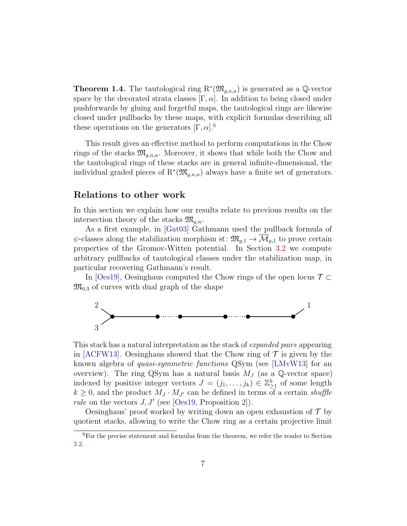<span id="page-6-1"></span>**Theorem 1.4.** The tautological ring  $\mathbb{R}^*(\mathfrak{M}_{g,n,a})$  is generated as a Q-vector space by the decorated strata classes  $[\Gamma, \alpha]$ . In addition to being closed under pushforwards by gluing and forgetful maps, the tautological rings are likewise closed under pullbacks by these maps, with explicit formulas describing all these operations on the generators  $[\Gamma, \alpha]$ .<sup>[6](#page-6-0)</sup>

This result gives an effective method to perform computations in the Chow rings of the stacks  $\mathfrak{M}_{q,n,a}$ . Moreover, it shows that while both the Chow and the tautological rings of these stacks are in general infinite-dimensional, the individual graded pieces of  $\mathbb{R}^*(\mathfrak{M}_{g,n,a})$  always have a finite set of generators.

## Relations to other work

In this section we explain how our results relate to previous results on the intersection theory of the stacks  $\mathfrak{M}_{a,n}$ .

As a first example, in [\[Gat03\]](#page-69-7) Gathmann used the pullback formula of  $\psi$ -classes along the stabilization morphism st:  $\mathfrak{M}_{g,1} \to \overline{\mathcal{M}}_{g,1}$  to prove certain properties of the Gromov-Witten potential. In Section [3.2](#page-22-0) we compute arbitrary pullbacks of tautological classes under the stabilization map, in particular recovering Gathmann's result.

In [\[Oes19\]](#page-70-3), Oesinghaus computed the Chow rings of the open locus  $\mathcal{T} \subset$  $\mathfrak{M}_{0,3}$  of curves with dual graph of the shape



This stack has a natural interpretation as the stack of expanded pairs appearing in [\[ACFW13\]](#page-68-3). Oesinghaus showed that the Chow ring of  $\mathcal T$  is given by the known algebra of quasi-symmetric functions QSym (see [\[LMvW13\]](#page-70-4) for an overview). The ring QSym has a natural basis  $M_J$  (as a Q-vector space) indexed by positive integer vectors  $J = (j_1, \ldots, j_k) \in \mathbb{Z}_{\geq 1}^k$  of some length  $k \geq 0$ , and the product  $M_J \cdot M_{J'}$  can be defined in terms of a certain shuffle *rule* on the vectors  $J, J'$  (see [\[Oes19,](#page-70-3) Proposition 2]).

Oesinghaus' proof worked by writing down an open exhaustion of  $\mathcal T$  by quotient stacks, allowing to write the Chow ring as a certain projective limit

<span id="page-6-0"></span><sup>6</sup>For the precise statement and formulas from the theorem, we refer the reader to Section [3.2.](#page-22-0)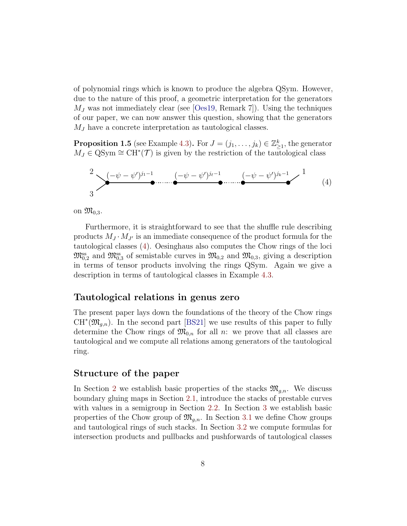of polynomial rings which is known to produce the algebra QSym. However, due to the nature of this proof, a geometric interpretation for the generators  $M_J$  was not immediately clear (see  $\lvert \text{Oes19}, \text{Remark 7} \rvert$ ). Using the techniques of our paper, we can now answer this question, showing that the generators  $M_J$  have a concrete interpretation as tautological classes.

**Proposition 1.5** (see Example [4.3\)](#page-34-1). For  $J = (j_1, \ldots, j_k) \in \mathbb{Z}_{\geq 1}^k$ , the generator  $M_J \in \text{QSym} \cong \text{CH}^*(\mathcal{T})$  is given by the restriction of the tautological class

<span id="page-7-0"></span>
$$
\sum_{3}^{2} \frac{(-\psi - \psi')^{j_1 - 1}}{2} \dots \dots \underbrace{(-\psi - \psi')^{j_\ell - 1}}_{\bullet} \dots \underbrace{(-\psi - \psi')^{j_k - 1}}_{\bullet} \longrightarrow \frac{1}{(4)}
$$

on  $\mathfrak{M}_{0,3}$ .

Furthermore, it is straightforward to see that the shuffle rule describing products  $M_J \cdot M_{J'}$  is an immediate consequence of the product formula for the tautological classes [\(4\)](#page-7-0). Oesinghaus also computes the Chow rings of the loci  $\mathfrak{M}_{0,2}^{\text{ss}}$  and  $\mathfrak{M}_{0,3}^{\text{ss}}$  of semistable curves in  $\mathfrak{M}_{0,2}$  and  $\mathfrak{M}_{0,3}$ , giving a description in terms of tensor products involving the rings QSym. Again we give a description in terms of tautological classes in Example [4.3.](#page-34-1)

### Tautological relations in genus zero

The present paper lays down the foundations of the theory of the Chow rings  $CH^*(\mathfrak{M}_{g,n})$ . In the second part [\[BS21\]](#page-68-0) we use results of this paper to fully determine the Chow rings of  $\mathfrak{M}_{0,n}$  for all n: we prove that all classes are tautological and we compute all relations among generators of the tautological ring.

#### Structure of the paper

In Section [2](#page-8-0) we establish basic properties of the stacks  $\mathfrak{M}_{q,n}$ . We discuss boundary gluing maps in Section [2.1,](#page-9-0) introduce the stacks of prestable curves with values in a semigroup in Section [2.2.](#page-15-0) In Section [3](#page-19-0) we establish basic properties of the Chow group of  $\mathfrak{M}_{g,n}$ . In Section [3.1](#page-19-1) we define Chow groups and tautological rings of such stacks. In Section [3.2](#page-22-0) we compute formulas for intersection products and pullbacks and pushforwards of tautological classes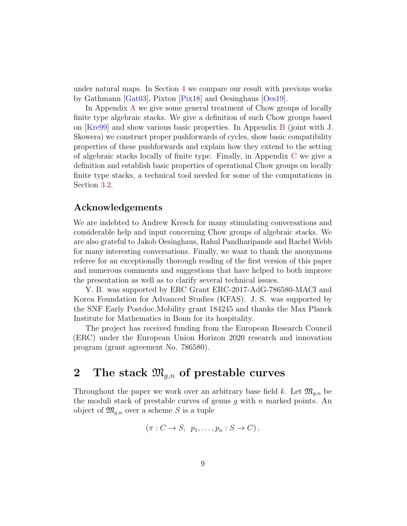under natural maps. In Section [4](#page-34-0) we compare our result with previous works by Gathmann [\[Gat03\]](#page-69-7), Pixton [\[Pix18\]](#page-70-5) and Oesinghaus [\[Oes19\]](#page-70-3).

In Appendix [A](#page-37-0) we give some general treatment of Chow groups of locally finite type algebraic stacks. We give a definition of such Chow groups based on [\[Kre99\]](#page-70-2) and show various basic properties. In Appendix [B](#page-42-0) (joint with J. Skowera) we construct proper pushforwards of cycles, show basic compatibility properties of these pushforwards and explain how they extend to the setting of algebraic stacks locally of finite type. Finally, in Appendix [C](#page-59-0) we give a definition and establish basic properties of operational Chow groups on locally finite type stacks, a technical tool needed for some of the computations in Section [3.2.](#page-22-0)

## Acknowledgements

We are indebted to Andrew Kresch for many stimulating conversations and considerable help and input concerning Chow groups of algebraic stacks. We are also grateful to Jakob Oesinghaus, Rahul Pandharipande and Rachel Webb for many interesting conversations. Finally, we want to thank the anonymous referee for an exceptionally thorough reading of the first version of this paper and numerous comments and suggestions that have helped to both improve the presentation as well as to clarify several technical issues.

Y. B. was supported by ERC Grant ERC-2017-AdG-786580-MACI and Korea Foundation for Advanced Studies (KFAS). J. S. was supported by the SNF Early Postdoc.Mobility grant 184245 and thanks the Max Planck Institute for Mathematics in Bonn for its hospitality.

The project has received funding from the European Research Council (ERC) under the European Union Horizon 2020 research and innovation program (grant agreement No. 786580).

# <span id="page-8-0"></span>2 The stack  $\mathfrak{M}_{q,n}$  of prestable curves

Throughout the paper we work over an arbitrary base field k. Let  $\mathfrak{M}_{g,n}$  be the moduli stack of prestable curves of genus  $g$  with  $n$  marked points. An object of  $\mathfrak{M}_{g,n}$  over a scheme S is a tuple

$$
(\pi: C \to S, p_1, \ldots, p_n: S \to C),
$$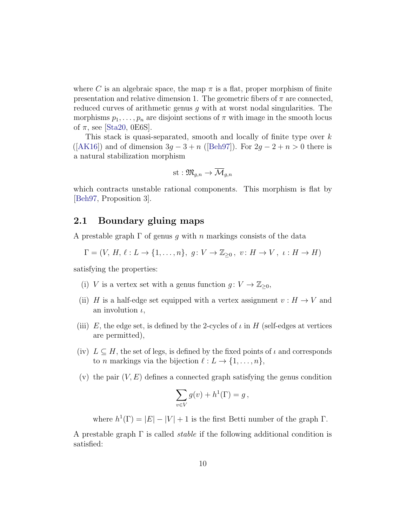where C is an algebraic space, the map  $\pi$  is a flat, proper morphism of finite presentation and relative dimension 1. The geometric fibers of  $\pi$  are connected. reduced curves of arithmetic genus  $g$  with at worst nodal singularities. The morphisms  $p_1, \ldots, p_n$  are disjoint sections of  $\pi$  with image in the smooth locus of  $\pi$ , see [\[Sta20,](#page-70-6) 0E6S].

This stack is quasi-separated, smooth and locally of finite type over k ([\[AK16\]](#page-68-4)) and of dimension  $3g - 3 + n$  ([\[Beh97\]](#page-68-5)). For  $2g - 2 + n > 0$  there is a natural stabilization morphism

$$
\operatorname{st}:\mathfrak{M}_{g,n}\to \overline{\mathcal{M}}_{g,n}
$$

which contracts unstable rational components. This morphism is flat by [\[Beh97,](#page-68-5) Proposition 3].

#### <span id="page-9-0"></span>2.1 Boundary gluing maps

A prestable graph  $\Gamma$  of genus q with n markings consists of the data

$$
\Gamma = (V, H, \ell : L \to \{1, \dots, n\}, g: V \to \mathbb{Z}_{\geq 0}, v: H \to V, \iota : H \to H)
$$

satisfying the properties:

- (i) V is a vertex set with a genus function  $g: V \to \mathbb{Z}_{\geq 0}$ ,
- (ii) H is a half-edge set equipped with a vertex assignment  $v : H \to V$  and an involution  $\iota$ ,
- (iii) E, the edge set, is defined by the 2-cycles of  $\iota$  in H (self-edges at vertices are permitted),
- (iv)  $L \subseteq H$ , the set of legs, is defined by the fixed points of  $\iota$  and corresponds to *n* markings via the bijection  $\ell : L \to \{1, \ldots, n\},\$
- (v) the pair  $(V, E)$  defines a connected graph satisfying the genus condition

$$
\sum_{v \in V} g(v) + h^{1}(\Gamma) = g,
$$

where  $h^1(\Gamma) = |E| - |V| + 1$  is the first Betti number of the graph  $\Gamma$ .

A prestable graph  $\Gamma$  is called *stable* if the following additional condition is satisfied: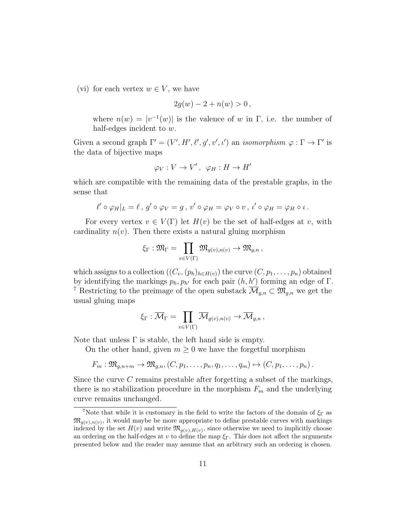(vi) for each vertex  $w \in V$ , we have

$$
2g(w) - 2 + n(w) > 0,
$$

where  $n(w) = |v^{-1}(w)|$  is the valence of w in  $\Gamma$ , i.e. the number of half-edges incident to w.

Given a second graph  $\Gamma' = (V', H', \ell', g', v', \iota')$  an *isomorphism*  $\varphi : \Gamma \to \Gamma'$  is the data of bijective maps

$$
\varphi_V: V \to V', \ \varphi_H: H \to H'
$$

which are compatible with the remaining data of the prestable graphs, in the sense that

$$
\ell' \circ \varphi_H|_L = \ell \, , \, g' \circ \varphi_V = g \, , \, v' \circ \varphi_H = \varphi_V \circ v \, , \, \iota' \circ \varphi_H = \varphi_H \circ \iota \, .
$$

For every vertex  $v \in V(\Gamma)$  let  $H(v)$  be the set of half-edges at v, with cardinality  $n(v)$ . Then there exists a natural gluing morphism

$$
\xi_\Gamma : \mathfrak{M}_\Gamma = \prod_{v \in V(\Gamma)} \mathfrak{M}_{g(v),n(v)} \to \mathfrak{M}_{g,n}\,,
$$

which assigns to a collection  $((C_v,(p_h)_{h\in H(v)})$  the curve  $(C, p_1, \ldots, p_n)$  obtained by identifying the markings  $p_h, p_{h'}$  for each pair  $(h, h')$  forming an edge of  $\Gamma$ . <sup>[7](#page-10-0)</sup> Restricting to the preimage of the open substack  $\overline{\mathcal{M}}_{g,n} \subset \mathfrak{M}_{g,n}$  we get the usual gluing maps

$$
\xi_{\Gamma} : \overline{\mathcal{M}}_{\Gamma} = \prod_{v \in V(\Gamma)} \overline{\mathcal{M}}_{g(v),n(v)} \to \overline{\mathcal{M}}_{g,n},
$$

Note that unless  $\Gamma$  is stable, the left hand side is empty.

On the other hand, given  $m \geq 0$  we have the forgetful morphism

$$
F_m: \mathfrak{M}_{g,n+m} \to \mathfrak{M}_{g,n}, (C, p_1, \ldots, p_n, q_1, \ldots, q_m) \mapsto (C, p_1, \ldots, p_n).
$$

Since the curve C remains prestable after forgetting a subset of the markings, there is no stabilization procedure in the morphism  $F_m$  and the underlying curve remains unchanged.

<span id="page-10-0"></span><sup>&</sup>lt;sup>7</sup>Note that while it is customary in the field to write the factors of the domain of  $\xi_{\Gamma}$  as  $\mathfrak{M}_{g(v),n(v)}$ , it would maybe be more appropriate to define prestable curves with markings indexed by the set  $H(v)$  and write  $\mathfrak{M}_{g(v),H(v)}$ , since otherwise we need to implicitly choose an ordering on the half-edges at v to define the map  $\xi_{\Gamma}$ . This does not affect the arguments presented below and the reader may assume that an arbitrary such an ordering is chosen.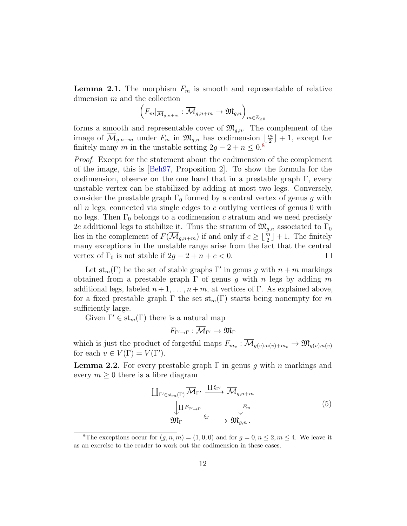<span id="page-11-2"></span>**Lemma 2.1.** The morphism  $F_m$  is smooth and representable of relative dimension m and the collection

$$
\left(F_m|_{\overline{\mathcal{M}}_{g,n+m}}:\overline{\mathcal{M}}_{g,n+m}\to \mathfrak{M}_{g,n}\right)_{m\in\mathbb{Z}_{\geq 0}}
$$

forms a smooth and representable cover of  $\mathfrak{M}_{q,n}$ . The complement of the image of  $\overline{\mathcal{M}}_{g,n+m}$  under  $F_m$  in  $\mathfrak{M}_{g,n}$  has codimension  $\lfloor \frac{m}{2} \rfloor$  $\frac{m}{2}$  + 1, except for finitely many m in the unstable setting  $2g - 2 + n \leq 0.8$  $2g - 2 + n \leq 0.8$ 

Proof. Except for the statement about the codimension of the complement of the image, this is [\[Beh97,](#page-68-5) Proposition 2]. To show the formula for the codimension, observe on the one hand that in a prestable graph  $\Gamma$ , every unstable vertex can be stabilized by adding at most two legs. Conversely, consider the prestable graph  $\Gamma_0$  formed by a central vertex of genus g with all  $n$  legs, connected via single edges to  $c$  outlying vertices of genus 0 with no legs. Then  $\Gamma_0$  belongs to a codimension c stratum and we need precisely 2c additional legs to stabilize it. Thus the stratum of  $\mathfrak{M}_{q,n}$  associated to  $\Gamma_0$ lies in the complement of  $F(\overline{\mathcal{M}}_{g,n+m})$  if and only if  $c \geq \lfloor \frac{m}{2} \rfloor + 1$ . The finitely many exceptions in the unstable range arise from the fact that the central vertex of  $\Gamma_0$  is not stable if  $2g - 2 + n + c < 0$ .  $\Box$ 

Let  $st_m(\Gamma)$  be the set of stable graphs  $\Gamma'$  in genus g with  $n+m$  markings obtained from a prestable graph  $\Gamma$  of genus g with n legs by adding m additional legs, labeled  $n+1, \ldots, n+m$ , at vertices of Γ. As explained above, for a fixed prestable graph  $\Gamma$  the set  $\text{st}_{m}(\Gamma)$  starts being nonempty for m sufficiently large.

Given  $\Gamma' \in st_m(\Gamma)$  there is a natural map

 $F_{\Gamma'\to\Gamma}:\overline{\mathcal{M}}_{\Gamma'}\to\mathfrak{M}_{\Gamma}$ 

which is just the product of forgetful maps  $F_{m_v}$ :  $\mathcal{M}_{g(v),n(v)+m_v} \to \mathfrak{M}_{g(v),n(v)}$ for each  $v \in V(\Gamma) = V(\Gamma')$ .

<span id="page-11-1"></span>**Lemma 2.2.** For every prestable graph  $\Gamma$  in genus q with n markings and every  $m \geq 0$  there is a fibre diagram

$$
\begin{array}{ccc}\n\coprod_{\Gamma' \in \text{st}_{m}(\Gamma)} \overline{\mathcal{M}}_{\Gamma'} & \xrightarrow{\coprod \xi_{\Gamma'}} & \overline{\mathcal{M}}_{g,n+m} \\
\downarrow & \downarrow & \downarrow \\
\mathfrak{M}_{\Gamma} & \xrightarrow{\xi_{\Gamma}} & \downarrow \\
\mathfrak{M}_{\Gamma} & \xrightarrow{\xi_{\Gamma}} & \mathfrak{M}_{g,n}\n\end{array} \tag{5}
$$

<span id="page-11-0"></span><sup>&</sup>lt;sup>8</sup>The exceptions occur for  $(q, n, m) = (1, 0, 0)$  and for  $q = 0, n \leq 2, m \leq 4$ . We leave it as an exercise to the reader to work out the codimension in these cases.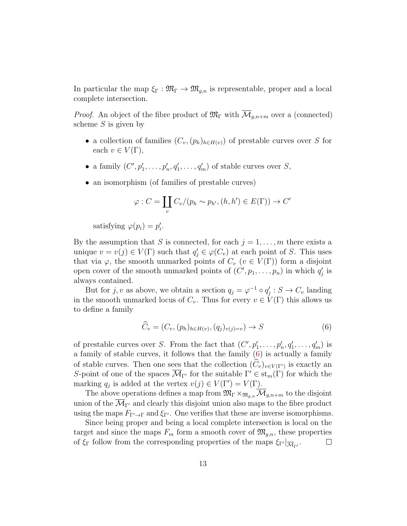In particular the map  $\xi_{\Gamma} : \mathfrak{M}_{\Gamma} \to \mathfrak{M}_{g,n}$  is representable, proper and a local complete intersection.

*Proof.* An object of the fibre product of  $\mathfrak{M}_{\Gamma}$  with  $\overline{\mathcal{M}}_{q,n+m}$  over a (connected) scheme  $S$  is given by

- a collection of families  $(C_v,(p_h)_{h\in H(v)})$  of prestable curves over S for each  $v \in V(\Gamma)$ ,
- a family  $(C', p'_1, \ldots, p'_n, q'_1, \ldots, q'_m)$  of stable curves over S,
- an isomorphism (of families of prestable curves)

$$
\varphi : C = \coprod_{v} C_{v} / (p_h \sim p_{h'}, (h, h') \in E(\Gamma)) \to C'
$$

satisfying  $\varphi(p_i) = p'_i$ .

By the assumption that S is connected, for each  $j = 1, \ldots, m$  there exists a unique  $v = v(j) \in V(\Gamma)$  such that  $q'_j \in \varphi(C_v)$  at each point of S. This uses that via  $\varphi$ , the smooth unmarked points of  $C_v$   $(v \in V(\Gamma))$  form a disjoint open cover of the smooth unmarked points of  $(C', p_1, \ldots, p_n)$  in which  $q'_j$  is always contained.

But for  $j, v$  as above, we obtain a section  $q_j = \varphi^{-1} \circ q'_j : S \to C_v$  landing in the smooth unmarked locus of  $C_v$ . Thus for every  $v \in V(\Gamma)$  this allows us to define a family

<span id="page-12-0"></span>
$$
\widehat{C}_v = (C_v, (p_h)_{h \in H(v)}, (q_j)_{v(j) = v}) \to S \tag{6}
$$

of prestable curves over S. From the fact that  $(C', p'_1, \ldots, p'_n, q'_1, \ldots, q'_m)$  is a family of stable curves, it follows that the family [\(6\)](#page-12-0) is actually a family of stable curves. Then one sees that the collection  $(C_v)_{v \in V(\Gamma')}$  is exactly an S-point of one of the spaces  $\overline{\mathcal{M}}_{\Gamma'}$  for the suitable  $\Gamma' \in \text{st}_m(\Gamma)$  for which the marking  $q_j$  is added at the vertex  $v(j) \in V(\Gamma') = V(\Gamma)$ .

The above operations defines a map from  $\mathfrak{M}_{\Gamma} \times_{\mathfrak{M}_{g,n}} \overline{\mathcal{M}}_{g,n+m}$  to the disjoint union of the  $\mathcal{M}_{\Gamma'}$  and clearly this disjoint union also maps to the fibre product using the maps  $F_{\Gamma'\to\Gamma}$  and  $\xi_{\Gamma'}$ . One verifies that these are inverse isomorphisms.

Since being proper and being a local complete intersection is local on the target and since the maps  $F_m$  form a smooth cover of  $\mathfrak{M}_{q,n}$ , these properties of  $\xi_{\Gamma}$  follow from the corresponding properties of the maps  $\xi_{\Gamma'}|_{\overline{\mathcal{M}}_{\Gamma'}}$ .  $\Box$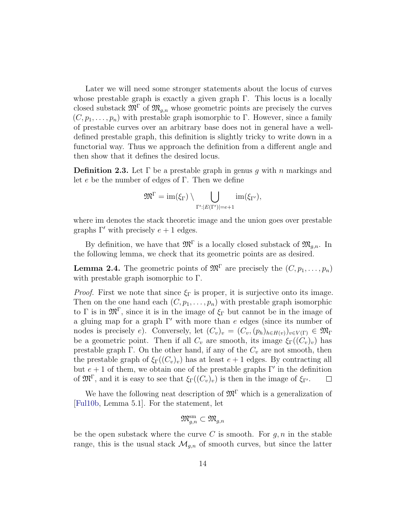Later we will need some stronger statements about the locus of curves whose prestable graph is exactly a given graph Γ. This locus is a locally closed substack  $\mathfrak{M}^{\Gamma}$  of  $\mathfrak{M}_{g,n}$  whose geometric points are precisely the curves  $(C, p_1, \ldots, p_n)$  with prestable graph isomorphic to Γ. However, since a family of prestable curves over an arbitrary base does not in general have a welldefined prestable graph, this definition is slightly tricky to write down in a functorial way. Thus we approach the definition from a different angle and then show that it defines the desired locus.

**Definition 2.3.** Let  $\Gamma$  be a prestable graph in genus q with n markings and let e be the number of edges of Γ. Then we define

$$
\mathfrak{M}^{\Gamma} = \operatorname{im}(\xi_{\Gamma}) \setminus \bigcup_{\Gamma': |E(\Gamma')| = e+1} \operatorname{im}(\xi_{\Gamma'}),
$$

where im denotes the stack theoretic image and the union goes over prestable graphs  $\Gamma'$  with precisely  $e + 1$  edges.

By definition, we have that  $\mathfrak{M}^{\Gamma}$  is a locally closed substack of  $\mathfrak{M}_{g,n}$ . In the following lemma, we check that its geometric points are as desired.

**Lemma 2.4.** The geometric points of  $\mathfrak{M}^{\Gamma}$  are precisely the  $(C, p_1, \ldots, p_n)$ with prestable graph isomorphic to Γ.

*Proof.* First we note that since  $\xi_{\Gamma}$  is proper, it is surjective onto its image. Then on the one hand each  $(C, p_1, \ldots, p_n)$  with prestable graph isomorphic to  $\Gamma$  is in  $\mathfrak{M}^{\Gamma}$ , since it is in the image of  $\xi_{\Gamma}$  but cannot be in the image of a gluing map for a graph  $\Gamma'$  with more than e edges (since its number of nodes is precisely e). Conversely, let  $(C_v)_v = (C_v,(p_h)_{h \in H(v)})_{v \in V(\Gamma)} \in \mathfrak{M}_{\Gamma}$ be a geometric point. Then if all  $C_v$  are smooth, its image  $\xi_{\Gamma}((C_v)_v)$  has prestable graph Γ. On the other hand, if any of the  $C_v$  are not smooth, then the prestable graph of  $\xi_{\Gamma}((C_v)_v)$  has at least  $e+1$  edges. By contracting all but  $e + 1$  of them, we obtain one of the prestable graphs  $\Gamma'$  in the definition of  $\mathfrak{M}^{\Gamma}$ , and it is easy to see that  $\xi_{\Gamma}((C_v)_v)$  is then in the image of  $\xi_{\Gamma'}$ .  $\Box$ 

We have the following neat description of  $\mathfrak{M}^{\Gamma}$  which is a generalization of [\[Ful10b,](#page-69-3) Lemma 5.1]. For the statement, let

$$
\mathfrak{M}^{\mathrm{sm}}_{g,n}\subset \mathfrak{M}_{g,n}
$$

be the open substack where the curve C is smooth. For  $g, n$  in the stable range, this is the usual stack  $\mathcal{M}_{g,n}$  of smooth curves, but since the latter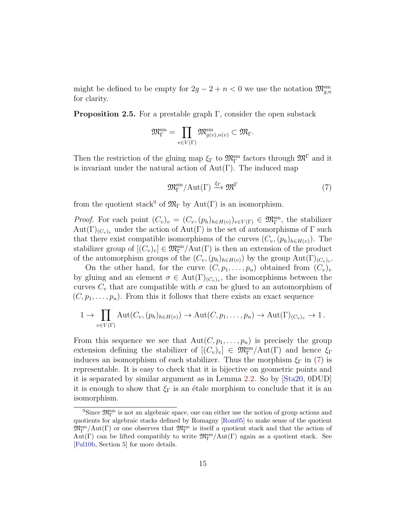might be defined to be empty for  $2g - 2 + n < 0$  we use the notation  $\mathfrak{M}_{g,n}^{\text{sm}}$ for clarity.

**Proposition 2.5.** For a prestable graph  $\Gamma$ , consider the open substack

$$
\mathfrak{M}^{\mathrm{sm}}_{\Gamma}=\prod_{v\in V(\Gamma)}\mathfrak{M}^{\mathrm{sm}}_{g(v),n(v)}\subset \mathfrak{M}_{\Gamma}.
$$

Then the restriction of the gluing map  $\xi_{\Gamma}$  to  $\mathfrak{M}_{\Gamma}^{\rm sm}$  factors through  $\mathfrak{M}^{\Gamma}$  and it is invariant under the natural action of  $Aut(Γ)$ . The induced map

<span id="page-14-1"></span>
$$
\mathfrak{M}_{\Gamma}^{\rm sm}/\text{Aut}(\Gamma) \xrightarrow{\xi_{\Gamma}} \mathfrak{M}^{\Gamma} \tag{7}
$$

from the quotient stack<sup>[9](#page-14-0)</sup> of  $\mathfrak{M}_{\Gamma}$  by Aut(Γ) is an isomorphism.

*Proof.* For each point  $(C_v)_v = (C_v, (p_h)_{h \in H(v)})_{v \in V(\Gamma)} \in \mathfrak{M}_{\Gamma}^{\rm sm}$ , the stabilizer  $Aut(\Gamma)_{(C_v)_v}$  under the action of  $Aut(\Gamma)$  is the set of automorphisms of  $\Gamma$  such that there exist compatible isomorphisms of the curves  $(C_v,(p_h)_{h\in H(v)})$ . The stabilizer group of  $[(C_v)_v] \in \mathfrak{M}_{\Gamma}^{\text{sm}}/\text{Aut}(\Gamma)$  is then an extension of the product of the automorphism groups of the  $(C_v, (p_h)_{h \in H(v)})$  by the group  $Aut(\Gamma)_{(C_v)_v}$ .

On the other hand, for the curve  $(C, p_1, \ldots, p_n)$  obtained from  $(C_v)_v$ by gluing and an element  $\sigma \in Aut(\Gamma)_{(C_v)_v}$ , the isomorphisms between the curves  $C_v$  that are compatible with  $\sigma$  can be glued to an automorphism of  $(C, p_1, \ldots, p_n)$ . From this it follows that there exists an exact sequence

$$
1 \to \prod_{v \in V(\Gamma)} \mathrm{Aut}(C_v, (p_h)_{h \in H(v)}) \to \mathrm{Aut}(C, p_1, \ldots, p_n) \to \mathrm{Aut}(\Gamma)_{(C_v)_v} \to 1.
$$

From this sequence we see that  $Aut(C, p_1, \ldots, p_n)$  is precisely the group extension defining the stabilizer of  $[(C_v)_v] \in \mathfrak{M}_{\Gamma}^{\text{sm}}/\text{Aut}(\Gamma)$  and hence  $\xi_{\Gamma}$ induces an isomorphism of each stabilizer. Thus the morphism  $\xi_{\Gamma}$  in [\(7\)](#page-14-1) is representable. It is easy to check that it is bijective on geometric points and it is separated by similar argument as in Lemma [2.2.](#page-11-1) So by [\[Sta20,](#page-70-6) 0DUD] it is enough to show that  $\xi_{\Gamma}$  is an étale morphism to conclude that it is an isomorphism.

<span id="page-14-0"></span> $9\text{Since } \mathfrak{M}_{\Gamma}^{\text{sm}}$  is not an algebraic space, one can either use the notion of group actions and quotients for algebraic stacks defined by Romagny [\[Rom05\]](#page-70-7) to make sense of the quotient  $\mathfrak{M}_{\Gamma}^{\rm sm}/\rm{Aut}(\Gamma)$  or one observes that  $\mathfrak{M}_{\Gamma}^{\rm sm}$  is itself a quotient stack and that the action of  $Aut(\Gamma)$  can be lifted compatibly to write  $\mathfrak{M}^{\text{sm}}_{\Gamma}/Aut(\Gamma)$  again as a quotient stack. See [\[Ful10b,](#page-69-3) Section 5] for more details.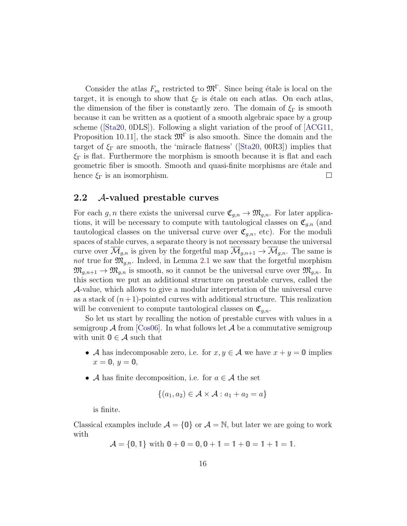Consider the atlas  $F_m$  restricted to  $\mathfrak{M}^{\Gamma}$ . Since being étale is local on the target, it is enough to show that  $\xi_{\Gamma}$  is étale on each atlas. On each atlas, the dimension of the fiber is constantly zero. The domain of  $\xi_{\Gamma}$  is smooth because it can be written as a quotient of a smooth algebraic space by a group scheme([\[Sta20,](#page-70-6) 0DLS]). Following a slight variation of the proof of [\[ACG11,](#page-68-6) Proposition 10.11, the stack  $\mathfrak{M}^{\Gamma}$  is also smooth. Since the domain and the target of  $\xi_{\Gamma}$  are smooth, the 'miracle flatness' ([\[Sta20,](#page-70-6) 00R3]) implies that  $\xi_{\Gamma}$  is flat. Furthermore the morphism is smooth because it is flat and each geometric fiber is smooth. Smooth and quasi-finite morphisms are *étale* and hence  $\xi_{\Gamma}$  is an isomorphism.  $\Box$ 

#### <span id="page-15-0"></span>2.2 A-valued prestable curves

For each g, n there exists the universal curve  $\mathfrak{C}_{g,n} \to \mathfrak{M}_{g,n}$ . For later applications, it will be necessary to compute with tautological classes on  $\mathfrak{C}_{q,n}$  (and tautological classes on the universal curve over  $\mathfrak{C}_{g,n}$ , etc). For the moduli spaces of stable curves, a separate theory is not necessary because the universal curve over  $\mathcal{M}_{q,n}$  is given by the forgetful map  $\mathcal{M}_{q,n+1} \to \mathcal{M}_{q,n}$ . The same is not true for  $\mathfrak{M}_{q,n}$ . Indeed, in Lemma [2.1](#page-11-2) we saw that the forgetful morphism  $\mathfrak{M}_{q,n+1} \to \mathfrak{M}_{q,n}$  is smooth, so it cannot be the universal curve over  $\mathfrak{M}_{q,n}$ . In this section we put an additional structure on prestable curves, called the A-value, which allows to give a modular interpretation of the universal curve as a stack of  $(n+1)$ -pointed curves with additional structure. This realization will be convenient to compute tautological classes on  $\mathfrak{C}_{q,n}$ .

So let us start by recalling the notion of prestable curves with values in a semigroup  $\mathcal A$  from [\[Cos06\]](#page-69-6). In what follows let  $\mathcal A$  be a commutative semigroup with unit  $0 \in \mathcal{A}$  such that

- A has indecomposable zero, i.e. for  $x, y \in A$  we have  $x + y = 0$  implies  $x=0, y=0,$
- A has finite decomposition, i.e. for  $a \in \mathcal{A}$  the set

$$
\{(a_1, a_2) \in \mathcal{A} \times \mathcal{A} : a_1 + a_2 = a\}
$$

is finite.

Classical examples include  $A = \{0\}$  or  $A = \mathbb{N}$ , but later we are going to work with

 $\mathcal{A} = \{0, 1\}$  with  $0 + 0 = 0, 0 + 1 = 1 + 0 = 1 + 1 = 1$ .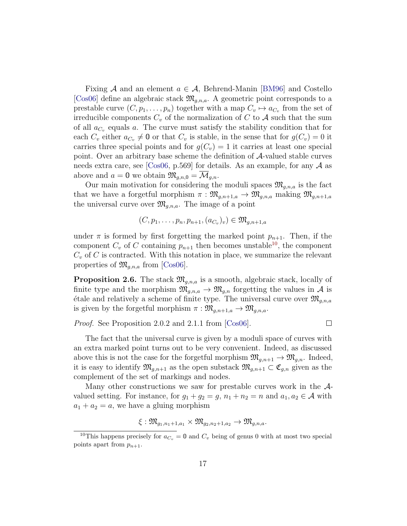Fixing A and an element  $a \in \mathcal{A}$ , Behrend-Manin [\[BM96\]](#page-68-2) and Costello [\[Cos06\]](#page-69-6) define an algebraic stack  $\mathfrak{M}_{a,n,a}$ . A geometric point corresponds to a prestable curve  $(C, p_1, \ldots, p_n)$  together with a map  $C_v \mapsto a_{C_v}$  from the set of irreducible components  $C_v$  of the normalization of C to A such that the sum of all  $a_{C_v}$  equals a. The curve must satisfy the stability condition that for each  $C_v$  either  $a_{C_v} \neq \mathbf{0}$  or that  $C_v$  is stable, in the sense that for  $g(C_v) = 0$  it carries three special points and for  $g(C_v) = 1$  it carries at least one special point. Over an arbitrary base scheme the definition of A-valued stable curves needs extra care, see [\[Cos06,](#page-69-6) p.569] for details. As an example, for any  $\mathcal A$  as above and  $a = 0$  we obtain  $\mathfrak{M}_{q,n,0} = \overline{\mathcal{M}}_{q,n}$ .

Our main motivation for considering the moduli spaces  $\mathfrak{M}_{g,n,a}$  is the fact that we have a forgetful morphism  $\pi : \mathfrak{M}_{g,n+1,a} \to \mathfrak{M}_{g,n,a}$  making  $\mathfrak{M}_{g,n+1,a}$ the universal curve over  $\mathfrak{M}_{q,n,a}$ . The image of a point

$$
(C, p_1, \ldots, p_n, p_{n+1}, (a_{C_v})_v) \in \mathfrak{M}_{g,n+1,a}
$$

under  $\pi$  is formed by first forgetting the marked point  $p_{n+1}$ . Then, if the component  $C_v$  of C containing  $p_{n+1}$  then becomes unstable<sup>[10](#page-16-0)</sup>, the component  $C_v$  of C is contracted. With this notation in place, we summarize the relevant properties of  $\mathfrak{M}_{q,n,a}$  from [\[Cos06\]](#page-69-6).

<span id="page-16-1"></span>**Proposition 2.6.** The stack  $\mathfrak{M}_{q,n,a}$  is a smooth, algebraic stack, locally of finite type and the morphism  $\mathfrak{M}_{g,n,a} \to \mathfrak{M}_{g,n}$  forgetting the values in A is  $\alpha$  etale and relatively a scheme of finite type. The universal curve over  $\mathfrak{M}_{q,n,a}$ is given by the forgetful morphism  $\pi : \mathfrak{M}_{g,n+1,a} \to \mathfrak{M}_{g,n,a}$ .

*Proof.* See Proposition 2.0.2 and 2.1.1 from [\[Cos06\]](#page-69-6).

 $\Box$ 

The fact that the universal curve is given by a moduli space of curves with an extra marked point turns out to be very convenient. Indeed, as discussed above this is not the case for the forgetful morphism  $\mathfrak{M}_{q,n+1} \to \mathfrak{M}_{q,n}$ . Indeed, it is easy to identify  $\mathfrak{M}_{g,n+1}$  as the open substack  $\mathfrak{M}_{g,n+1} \subset \mathfrak{C}_{g,n}$  given as the complement of the set of markings and nodes.

Many other constructions we saw for prestable curves work in the  $A$ valued setting. For instance, for  $g_1 + g_2 = g$ ,  $n_1 + n_2 = n$  and  $a_1, a_2 \in \mathcal{A}$  with  $a_1 + a_2 = a$ , we have a gluing morphism

$$
\xi:\mathfrak{M}_{g_1,n_1+1,a_1}\times \mathfrak{M}_{g_2,n_2+1,a_2}\to \mathfrak{M}_{g,n,a}.
$$

<span id="page-16-0"></span><sup>&</sup>lt;sup>10</sup>This happens precisely for  $a_{C_v} = \mathbf{0}$  and  $C_v$  being of genus 0 with at most two special points apart from  $p_{n+1}$ .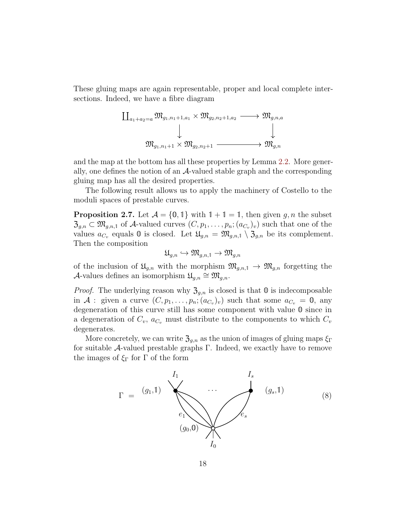These gluing maps are again representable, proper and local complete intersections. Indeed, we have a fibre diagram

$$
\begin{array}{c}\n\coprod_{a_1+a_2=a} \mathfrak{M}_{g_1,n_1+1,a_1}\times \mathfrak{M}_{g_2,n_2+1,a_2}\longrightarrow \mathfrak{M}_{g,n,a} \\
\downarrow \qquad \qquad \downarrow \qquad \qquad \downarrow \qquad \qquad \downarrow \qquad \qquad \mathfrak{M}_{g_1,n_1+1}\times \mathfrak{M}_{g_2,n_2+1}\longrightarrow \mathfrak{M}_{g,n}\n\end{array}
$$

and the map at the bottom has all these properties by Lemma [2.2.](#page-11-1) More generally, one defines the notion of an  $A$ -valued stable graph and the corresponding gluing map has all the desired properties.

The following result allows us to apply the machinery of Costello to the moduli spaces of prestable curves.

<span id="page-17-0"></span>**Proposition 2.7.** Let  $\mathcal{A} = \{0, 1\}$  with  $1 + 1 = 1$ , then given g, n the subset  $\mathfrak{Z}_{g,n} \subset \mathfrak{M}_{g,n,1}$  of A-valued curves  $(C, p_1, \ldots, p_n; (a_{C_v})_v)$  such that one of the values  $a_{C_v}$  equals 0 is closed. Let  $\mathfrak{U}_{g,n} = \mathfrak{M}_{g,n,1} \setminus \mathfrak{Z}_{g,n}$  be its complement. Then the composition

$$
\mathfrak{U}_{g,n}\hookrightarrow \mathfrak{M}_{g,n,1}\to \mathfrak{M}_{g,n}
$$

of the inclusion of  $\mathfrak{U}_{q,n}$  with the morphism  $\mathfrak{M}_{q,n,1} \to \mathfrak{M}_{q,n}$  forgetting the A-values defines an isomorphism  $\mathfrak{U}_{g,n} \cong \mathfrak{M}_{g,n}$ .

*Proof.* The underlying reason why  $\mathfrak{Z}_{g,n}$  is closed is that  $\mathfrak o$  is indecomposable in A : given a curve  $(C, p_1, \ldots, p_n; (a_{C_v})_v)$  such that some  $a_{C_v} = \mathbf{0}$ , any degeneration of this curve still has some component with value 0 since in a degeneration of  $C_v$ ,  $a_{C_v}$  must distribute to the components to which  $C_v$ degenerates.

More concretely, we can write  $\mathfrak{Z}_{g,n}$  as the union of images of gluing maps  $\xi_{\Gamma}$ for suitable  $\mathcal{A}$ -valued prestable graphs Γ. Indeed, we exactly have to remove the images of  $\xi_{\Gamma}$  for  $\Gamma$  of the form

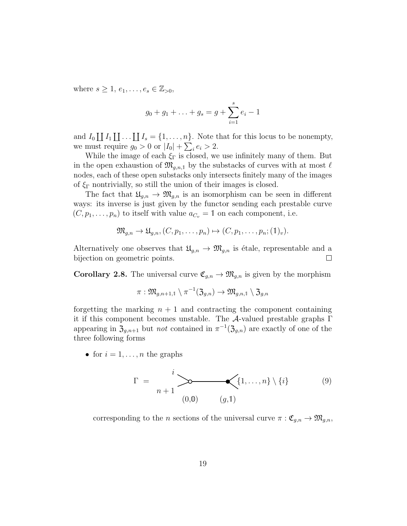where  $s \geq 1, e_1, \ldots, e_s \in \mathbb{Z}_{\geq 0}$ ,

$$
g_0 + g_1 + \ldots + g_s = g + \sum_{i=1}^s e_i - 1
$$

and  $I_0 \coprod I_1 \coprod \ldots \coprod I_s = \{1, \ldots, n\}.$  Note that for this locus to be nonempty, we must require  $g_0 > 0$  or  $|I_0| + \sum_i e_i > 2$ .

While the image of each  $\xi_{\Gamma}$  is closed, we use infinitely many of them. But in the open exhaustion of  $\mathfrak{M}_{g,n,1}$  by the substacks of curves with at most  $\ell$ nodes, each of these open substacks only intersects finitely many of the images of  $\xi_{\Gamma}$  nontrivially, so still the union of their images is closed.

The fact that  $\mathfrak{U}_{g,n} \to \mathfrak{M}_{g,n}$  is an isomorphism can be seen in different ways: its inverse is just given by the functor sending each prestable curve  $(C, p_1, \ldots, p_n)$  to itself with value  $a_{C_v} = 1$  on each component, i.e.

$$
\mathfrak{M}_{g,n} \to \mathfrak{U}_{g,n}, (C, p_1, \ldots, p_n) \mapsto (C, p_1, \ldots, p_n; (\mathbb{1})_v).
$$

Alternatively one observes that  $\mathfrak{U}_{g,n} \to \mathfrak{M}_{g,n}$  is étale, representable and a bijection on geometric points.  $\Box$ 

<span id="page-18-0"></span>**Corollary 2.8.** The universal curve  $\mathfrak{C}_{g,n} \to \mathfrak{M}_{g,n}$  is given by the morphism

$$
\pi: \mathfrak{M}_{g,n+1,1}\setminus \pi^{-1}(\mathfrak{Z}_{g,n})\rightarrow \mathfrak{M}_{g,n,1}\setminus \mathfrak{Z}_{g,n}
$$

forgetting the marking  $n + 1$  and contracting the component containing it if this component becomes unstable. The A-valued prestable graphs Γ appearing in  $\mathfrak{Z}_{g,n+1}$  but *not* contained in  $\pi^{-1}(\mathfrak{Z}_{g,n})$  are exactly of one of the three following forms

• for  $i = 1, \ldots, n$  the graphs

<span id="page-18-1"></span>
$$
\Gamma = \sum_{n+1}^{i} \underbrace{\searrow}_{(0,0)} \underbrace{\{1,\ldots,n\} \setminus \{i\}}_{(g,1)} \tag{9}
$$

corresponding to the n sections of the universal curve  $\pi : \mathfrak{C}_{g,n} \to \mathfrak{M}_{g,n}$ ,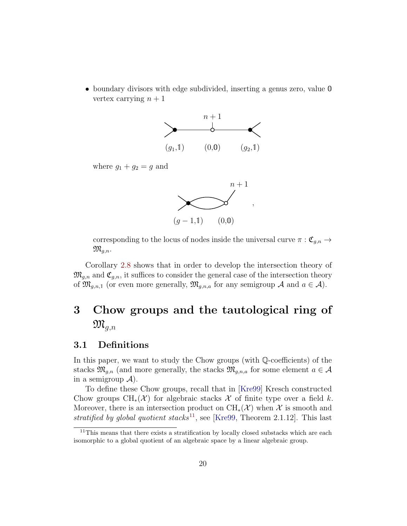• boundary divisors with edge subdivided, inserting a genus zero, value  $\mathbf 0$ vertex carrying  $n + 1$ 



where  $g_1 + g_2 = g$  and



corresponding to the locus of nodes inside the universal curve  $\pi : \mathfrak{C}_{g,n} \to$  $\mathfrak{M}_{q,n}.$ 

Corollary [2.8](#page-18-0) shows that in order to develop the intersection theory of  $\mathfrak{M}_{g,n}$  and  $\mathfrak{C}_{g,n}$ , it suffices to consider the general case of the intersection theory of  $\mathfrak{M}_{g,n,1}$  (or even more generally,  $\mathfrak{M}_{g,n,a}$  for any semigroup A and  $a \in \mathcal{A}$ ).

# <span id="page-19-0"></span>3 Chow groups and the tautological ring of  $\mathfrak{M}_{q,n}$

## <span id="page-19-1"></span>3.1 Definitions

In this paper, we want to study the Chow groups (with Q-coefficients) of the stacks  $\mathfrak{M}_{g,n}$  (and more generally, the stacks  $\mathfrak{M}_{g,n,a}$  for some element  $a \in \mathcal{A}$ in a semigroup  $\mathcal{A}$ ).

To define these Chow groups, recall that in [\[Kre99\]](#page-70-2) Kresch constructed Chow groups  $\text{CH}_*(\mathcal{X})$  for algebraic stacks X of finite type over a field k. Moreover, there is an intersection product on  $\text{CH}_{*}(\mathcal{X})$  when X is smooth and stratified by global quotient stacks<sup>[11](#page-19-2)</sup>, see [\[Kre99,](#page-70-2) Theorem 2.1.12]. This last

<span id="page-19-2"></span><sup>&</sup>lt;sup>11</sup>This means that there exists a stratification by locally closed substacks which are each isomorphic to a global quotient of an algebraic space by a linear algebraic group.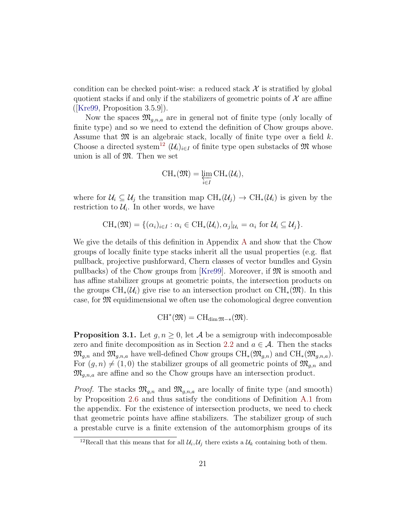condition can be checked point-wise: a reduced stack  $\mathcal X$  is stratified by global quotient stacks if and only if the stabilizers of geometric points of  $\mathcal X$  are affine  $(|Kre99, Proposition 3.5.9|).$ 

Now the spaces  $\mathfrak{M}_{a,n,a}$  are in general not of finite type (only locally of finite type) and so we need to extend the definition of Chow groups above. Assume that  $\mathfrak{M}$  is an algebraic stack, locally of finite type over a field k. Choose a directed system<sup>[12](#page-20-0)</sup>  $(\mathcal{U}_i)_{i\in I}$  of finite type open substacks of M whose union is all of  $\mathfrak{M}$ . Then we set

$$
\operatorname{CH}_*(\mathfrak{M}) = \varprojlim_{i \in I} \operatorname{CH}_*(\mathcal{U}_i),
$$

where for  $\mathcal{U}_i \subseteq \mathcal{U}_j$  the transition map  $\text{CH}_*(\mathcal{U}_j) \to \text{CH}_*(\mathcal{U}_i)$  is given by the restriction to  $\mathcal{U}_i$ . In other words, we have

$$
\mathrm{CH}_*(\mathfrak{M}) = \{ (\alpha_i)_{i \in I} : \alpha_i \in \mathrm{CH}_*(\mathcal{U}_i), \alpha_j |_{\mathcal{U}_i} = \alpha_i \text{ for } \mathcal{U}_i \subseteq \mathcal{U}_j \}.
$$

We give the details of this definition in Appendix [A](#page-37-0) and show that the Chow groups of locally finite type stacks inherit all the usual properties (e.g. flat pullback, projective pushforward, Chern classes of vector bundles and Gysin pullbacks) of the Chow groups from [\[Kre99\]](#page-70-2). Moreover, if  $\mathfrak{M}$  is smooth and has affine stabilizer groups at geometric points, the intersection products on the groups  $\text{CH}_*(\mathcal{U}_i)$  give rise to an intersection product on  $\text{CH}_*(\mathfrak{M})$ . In this case, for M equidimensional we often use the cohomological degree convention

$$
\mathrm{CH}^*(\mathfrak{M})=\mathrm{CH}_{\dim\mathfrak{M}-*}(\mathfrak{M}).
$$

**Proposition 3.1.** Let  $g, n \geq 0$ , let A be a semigroup with indecomposable zero and finite decomposition as in Section [2.2](#page-15-0) and  $a \in \mathcal{A}$ . Then the stacks  $\mathfrak{M}_{q,n}$  and  $\mathfrak{M}_{q,n,a}$  have well-defined Chow groups  $\text{CH}_*(\mathfrak{M}_{q,n})$  and  $\text{CH}_*(\mathfrak{M}_{q,n,a})$ . For  $(g, n) \neq (1, 0)$  the stabilizer groups of all geometric points of  $\mathfrak{M}_{g,n}$  and  $\mathfrak{M}_{q,n,a}$  are affine and so the Chow groups have an intersection product.

*Proof.* The stacks  $\mathfrak{M}_{g,n}$  and  $\mathfrak{M}_{g,n,a}$  are locally of finite type (and smooth) by Proposition [2.6](#page-16-1) and thus satisfy the conditions of Definition [A.1](#page-37-1) from the appendix. For the existence of intersection products, we need to check that geometric points have affine stabilizers. The stabilizer group of such a prestable curve is a finite extension of the automorphism groups of its

<span id="page-20-0"></span><sup>&</sup>lt;sup>12</sup>Recall that this means that for all  $\mathcal{U}_i, \mathcal{U}_j$  there exists a  $\mathcal{U}_k$  containing both of them.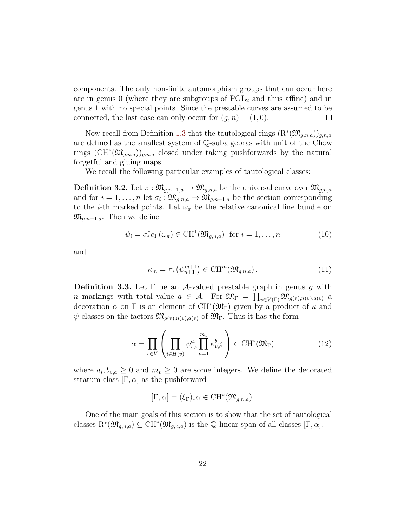components. The only non-finite automorphism groups that can occur here are in genus 0 (where they are subgroups of  $PGL<sub>2</sub>$  and thus affine) and in genus 1 with no special points. Since the prestable curves are assumed to be connected, the last case can only occur for  $(q, n) = (1, 0)$ .  $\Box$ 

Now recall from Definition [1.3](#page-5-1) that the tautological rings  $(\mathrm{R}^*(\mathfrak{M}_{g,n,a}))_{g,n,a}$ are defined as the smallest system of Q-subalgebras with unit of the Chow rings  $(\mathrm{CH}^*(\mathfrak{M}_{g,n,a}))_{g,n,a}$  closed under taking pushforwards by the natural forgetful and gluing maps.

We recall the following particular examples of tautological classes:

**Definition 3.2.** Let  $\pi : \mathfrak{M}_{g,n+1,a} \to \mathfrak{M}_{g,n,a}$  be the universal curve over  $\mathfrak{M}_{g,n,a}$ and for  $i = 1, \ldots, n$  let  $\sigma_i : \mathfrak{M}_{g,n,a} \to \mathfrak{M}_{g,n+1,a}$  be the section corresponding to the *i*-th marked points. Let  $\omega_{\pi}$  be the relative canonical line bundle on  $\mathfrak{M}_{q,n+1,a}$ . Then we define

$$
\psi_i = \sigma_i^* c_1 \left( \omega_{\pi} \right) \in \text{CH}^1(\mathfrak{M}_{g,n,a}) \text{ for } i = 1,\dots,n \tag{10}
$$

and

$$
\kappa_m = \pi_* \left( \psi_{n+1}^{m+1} \right) \in \mathrm{CH}^m(\mathfrak{M}_{g,n,a}). \tag{11}
$$

**Definition 3.3.** Let  $\Gamma$  be an A-valued prestable graph in genus g with n markings with total value  $a \in \mathcal{A}$ . For  $\mathfrak{M}_{\Gamma} = \prod_{v \in V(\Gamma)} \mathfrak{M}_{g(v),n(v),a(v)}$  a decoration  $\alpha$  on  $\Gamma$  is an element of CH<sup>\*</sup>( $\mathfrak{M}_{\Gamma}$ ) given by a product of  $\kappa$  and  $\psi$ -classes on the factors  $\mathfrak{M}_{g(v),n(v),a(v)}$  of  $\mathfrak{M}_{\Gamma}$ . Thus it has the form

<span id="page-21-0"></span>
$$
\alpha = \prod_{v \in V} \left( \prod_{i \in H(v)} \psi_{v,i}^{a_i} \prod_{a=1}^{m_v} \kappa_{v,a}^{b_{v,a}} \right) \in \text{CH}^*(\mathfrak{M}_{\Gamma}) \tag{12}
$$

where  $a_i, b_{v,a} \geq 0$  and  $m_v \geq 0$  are some integers. We define the decorated stratum class  $[\Gamma, \alpha]$  as the pushforward

$$
[\Gamma, \alpha] = (\xi_{\Gamma})_* \alpha \in \mathrm{CH}^*(\mathfrak{M}_{g,n,a}).
$$

One of the main goals of this section is to show that the set of tautological classes  $\mathrm{R}^*(\mathfrak{M}_{g,n,a}) \subseteq \mathrm{CH}^*(\mathfrak{M}_{g,n,a})$  is the Q-linear span of all classes  $[\Gamma, \alpha]$ .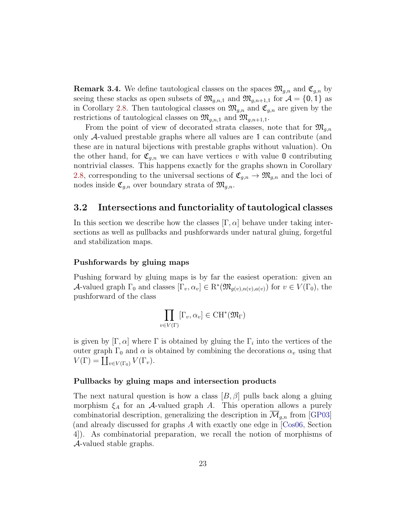**Remark 3.4.** We define tautological classes on the spaces  $\mathfrak{M}_{g,n}$  and  $\mathfrak{C}_{g,n}$  by seeing these stacks as open subsets of  $\mathfrak{M}_{g,n,1}$  and  $\mathfrak{M}_{g,n+1,1}$  for  $\mathcal{A} = \{0,1\}$  as in Corollary [2.8.](#page-18-0) Then tautological classes on  $\mathfrak{M}_{g,n}$  and  $\mathfrak{C}_{g,n}$  are given by the restrictions of tautological classes on  $\mathfrak{M}_{g,n,1}$  and  $\mathfrak{M}_{g,n+1,1}$ .

From the point of view of decorated strata classes, note that for  $\mathfrak{M}_{q,n}$ only A-valued prestable graphs where all values are 1 can contribute (and these are in natural bijections with prestable graphs without valuation). On the other hand, for  $\mathfrak{C}_{q,n}$  we can have vertices v with value 0 contributing nontrivial classes. This happens exactly for the graphs shown in Corollary [2.8,](#page-18-0) corresponding to the universal sections of  $\mathfrak{C}_{q,n} \to \mathfrak{M}_{q,n}$  and the loci of nodes inside  $\mathfrak{C}_{g,n}$  over boundary strata of  $\mathfrak{M}_{g,n}$ .

### <span id="page-22-0"></span>3.2 Intersections and functoriality of tautological classes

In this section we describe how the classes  $[\Gamma, \alpha]$  behave under taking intersections as well as pullbacks and pushforwards under natural gluing, forgetful and stabilization maps.

#### Pushforwards by gluing maps

Pushing forward by gluing maps is by far the easiest operation: given an A-valued graph  $\Gamma_0$  and classes  $[\Gamma_v, \alpha_v] \in \mathrm{R}^*(\mathfrak{M}_{g(v),n(v),a(v)})$  for  $v \in V(\Gamma_0)$ , the pushforward of the class

$$
\prod_{v \in V(\Gamma)} [\Gamma_v, \alpha_v] \in \mathrm{CH}^*(\mathfrak{M}_{\Gamma})
$$

is given by  $[\Gamma, \alpha]$  where  $\Gamma$  is obtained by gluing the  $\Gamma_i$  into the vertices of the outer graph  $\Gamma_0$  and  $\alpha$  is obtained by combining the decorations  $\alpha_v$  using that  $V(\Gamma) = \coprod_{v \in V(\Gamma_0)} V(\Gamma_v).$ 

#### Pullbacks by gluing maps and intersection products

The next natural question is how a class  $[B, \beta]$  pulls back along a gluing morphism  $\xi_A$  for an A-valued graph A. This operation allows a purely combinatorial description, generalizing the description in  $\mathcal{M}_{q,n}$  from [\[GP03\]](#page-69-0) (and already discussed for graphs A with exactly one edge in [\[Cos06,](#page-69-6) Section 4]). As combinatorial preparation, we recall the notion of morphisms of A-valued stable graphs.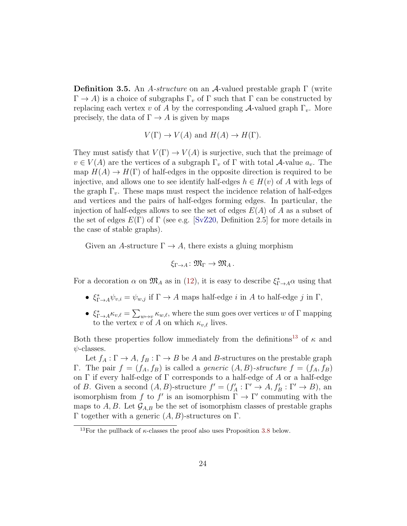**Definition 3.5.** An A-structure on an A-valued prestable graph  $\Gamma$  (write  $\Gamma \to A$ ) is a choice of subgraphs  $\Gamma_v$  of  $\Gamma$  such that  $\Gamma$  can be constructed by replacing each vertex v of A by the corresponding  $\mathcal{A}$ -valued graph  $\Gamma_v$ . More precisely, the data of  $\Gamma \to A$  is given by maps

$$
V(\Gamma) \to V(A)
$$
 and  $H(A) \to H(\Gamma)$ .

They must satisfy that  $V(\Gamma) \to V(A)$  is surjective, such that the preimage of  $v \in V(A)$  are the vertices of a subgraph  $\Gamma_v$  of  $\Gamma$  with total A-value  $a_v$ . The map  $H(A) \to H(\Gamma)$  of half-edges in the opposite direction is required to be injective, and allows one to see identify half-edges  $h \in H(v)$  of A with legs of the graph  $\Gamma_v$ . These maps must respect the incidence relation of half-edges and vertices and the pairs of half-edges forming edges. In particular, the injection of half-edges allows to see the set of edges  $E(A)$  of A as a subset of the set of edges  $E(\Gamma)$  of  $\Gamma$  (see e.g. [\[SvZ20,](#page-70-8) Definition 2.5] for more details in the case of stable graphs).

Given an A-structure  $\Gamma \to A$ , there exists a gluing morphism

$$
\xi_{\Gamma\to A}\colon \mathfrak{M}_\Gamma\to \mathfrak{M}_A\,.
$$

For a decoration  $\alpha$  on  $\mathfrak{M}_A$  as in [\(12\)](#page-21-0), it is easy to describe  $\xi_{\Gamma\to A}^* \alpha$  using that

- $\xi_{\Gamma\to A}^*\psi_{v,i} = \psi_{w,j}$  if  $\Gamma \to A$  maps half-edge i in A to half-edge j in  $\Gamma$ ,
- $\xi_{\Gamma\to A}^*\kappa_{v,\ell} = \sum_{w\mapsto v}\kappa_{w,\ell}$ , where the sum goes over vertices w of  $\Gamma$  mapping to the vertex v of A on which  $\kappa_{v,\ell}$  lives.

Both these properties follow immediately from the definitions<sup>[13](#page-23-0)</sup> of  $\kappa$  and  $\psi$ -classes.

Let  $f_A: \Gamma \to A$ ,  $f_B: \Gamma \to B$  be A and B-structures on the prestable graph Γ. The pair  $f = (f_A, f_B)$  is called a *generic*  $(A, B)$ -structure  $f = (f_A, f_B)$ on  $\Gamma$  if every half-edge of  $\Gamma$  corresponds to a half-edge of A or a half-edge of B. Given a second  $(A, B)$ -structure  $f' = (f'_A : \Gamma' \to A, f'_B : \Gamma' \to B)$ , and isomorphism from f to f' is an isomorphism  $\Gamma \to \Gamma'$  commuting with the maps to A, B. Let  $\mathcal{G}_{A,B}$  be the set of isomorphism classes of prestable graphs Γ together with a generic  $(A, B)$ -structures on Γ.

<span id="page-23-0"></span><sup>&</sup>lt;sup>13</sup>For the pullback of  $\kappa$ -classes the proof also uses Proposition [3.8](#page-25-0) below.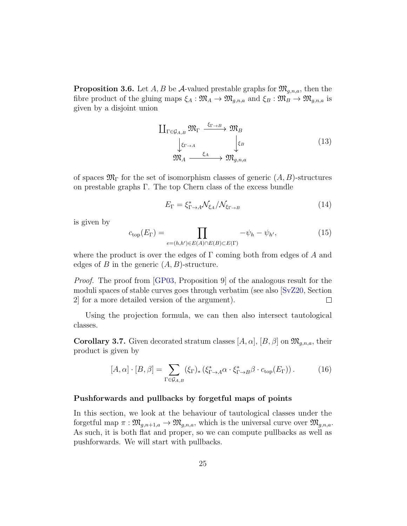**Proposition 3.6.** Let A, B be A-valued prestable graphs for  $\mathfrak{M}_{q,n,a}$ , then the fibre product of the gluing maps  $\xi_A : \mathfrak{M}_A \to \mathfrak{M}_{g,n,a}$  and  $\xi_B : \mathfrak{M}_B \to \mathfrak{M}_{g,n,a}$  is given by a disjoint union

$$
\begin{array}{ccc}\n\coprod_{\Gamma \in \mathcal{G}_{A,B}} \mathfrak{M}_{\Gamma} & \xrightarrow{\xi_{\Gamma \to B}} \mathfrak{M}_{B} \\
\downarrow^{\xi_{\Gamma \to A}} & \downarrow^{\xi_{B}} \\
\mathfrak{M}_{A} & \xrightarrow{\xi_{A}} \mathfrak{M}_{g,n,a}\n\end{array} \tag{13}
$$

of spaces  $\mathfrak{M}_{\Gamma}$  for the set of isomorphism classes of generic  $(A, B)$ -structures on prestable graphs Γ. The top Chern class of the excess bundle

$$
E_{\Gamma} = \xi_{\Gamma \to A}^{*} \mathcal{N}_{\xi_{A}} / \mathcal{N}_{\xi_{\Gamma \to B}} \tag{14}
$$

is given by

$$
c_{\text{top}}(E_{\Gamma}) = \prod_{e=(h,h')\in E(A)\cap E(B)\subset E(\Gamma)} -\psi_h - \psi_{h'},\tag{15}
$$

where the product is over the edges of  $\Gamma$  coming both from edges of A and edges of B in the generic  $(A, B)$ -structure.

Proof. The proof from [\[GP03,](#page-69-0) Proposition 9] of the analogous result for the moduli spaces of stable curves goes through verbatim (see also [\[SvZ20,](#page-70-8) Section 2] for a more detailed version of the argument).  $\Box$ 

Using the projection formula, we can then also intersect tautological classes.

<span id="page-24-0"></span>**Corollary 3.7.** Given decorated stratum classes  $[A, \alpha], [B, \beta]$  on  $\mathfrak{M}_{g,n,a}$ , their product is given by

$$
[A,\alpha] \cdot [B,\beta] = \sum_{\Gamma \in \mathcal{G}_{A,B}} (\xi_{\Gamma})_* \left( \xi_{\Gamma \to A}^* \alpha \cdot \xi_{\Gamma \to B}^* \beta \cdot c_{\text{top}}(E_{\Gamma}) \right). \tag{16}
$$

#### Pushforwards and pullbacks by forgetful maps of points

In this section, we look at the behaviour of tautological classes under the forgetful map  $\pi : \mathfrak{M}_{g,n+1,a} \to \mathfrak{M}_{g,n,a}$ , which is the universal curve over  $\mathfrak{M}_{g,n,a}$ . As such, it is both flat and proper, so we can compute pullbacks as well as pushforwards. We will start with pullbacks.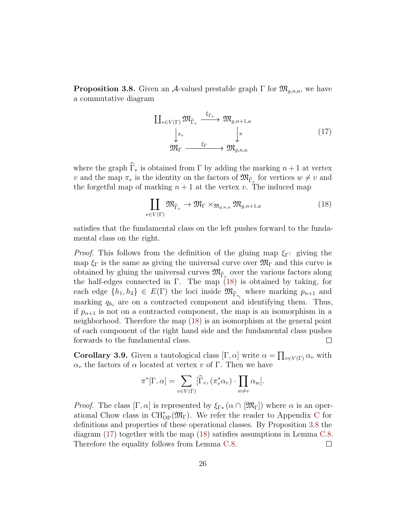<span id="page-25-0"></span>**Proposition 3.8.** Given an A-valued prestable graph  $\Gamma$  for  $\mathfrak{M}_{g,n,a}$ , we have a commutative diagram

<span id="page-25-2"></span>
$$
\begin{aligned}\n\coprod_{v \in V(\Gamma)} \mathfrak{M}_{\widehat{\Gamma}_v} & \xrightarrow{\xi_{\widehat{\Gamma}_v}} \mathfrak{M}_{g,n+1,a} \\
\downarrow^{\pi_v} & \downarrow^{\pi} \\
\mathfrak{M}_{\Gamma} & \xrightarrow{\xi_{\Gamma}} \mathfrak{M}_{g,n,a}\n\end{aligned} \tag{17}
$$

where the graph  $\widehat{\Gamma}_v$  is obtained from  $\Gamma$  by adding the marking  $n+1$  at vertex v and the map  $\pi_v$  is the identity on the factors of  $\mathfrak{M}_{\widehat{\Gamma}_v}$  for vertices  $w \neq v$  and the forgetful map of marking  $n + 1$  at the vertex v. The induced map

<span id="page-25-1"></span>
$$
\coprod_{v \in V(\Gamma)} \mathfrak{M}_{\widehat{\Gamma}_v} \to \mathfrak{M}_{\Gamma} \times_{\mathfrak{M}_{g,n,a}} \mathfrak{M}_{g,n+1,a} \tag{18}
$$

satisfies that the fundamental class on the left pushes forward to the fundamental class on the right.

*Proof.* This follows from the definition of the gluing map  $\xi_{\Gamma}$ : giving the map  $\xi_{\Gamma}$  is the same as giving the universal curve over  $\mathfrak{M}_{\Gamma}$  and this curve is obtained by gluing the universal curves  $\mathfrak{M}_{\widehat{\Gamma}_v}$  over the various factors along the half-edges connected in  $\Gamma$ . The map [\(18\)](#page-25-1) is obtained by taking, for each edge  $\{h_1, h_2\} \in E(\Gamma)$  the loci inside  $\mathfrak{M}_{\widehat{\Gamma}_{v_i}}$  where marking  $p_{n+1}$  and marking  $q_{h_i}$  are on a contracted component and identifying them. Thus, if  $p_{n+1}$  is not on a contracted component, the map is an isomorphism in a neighborhood. Therefore the map [\(18\)](#page-25-1) is an isomorphism at the general point of each component of the right hand side and the fundamental class pushes forwards to the fundamental class.  $\Box$ 

**Corollary 3.9.** Given a tautological class  $[\Gamma, \alpha]$  write  $\alpha = \prod_{v \in V(\Gamma)} \alpha_v$  with  $\alpha_v$  the factors of  $\alpha$  located at vertex v of Γ. Then we have

$$
\pi^*[\Gamma, \alpha] = \sum_{v \in V(\Gamma)} [\widehat{\Gamma}_v, (\pi_v^* \alpha_v) \cdot \prod_{w \neq v} \alpha_w].
$$

*Proof.* The class  $[\Gamma, \alpha]$  is represented by  $\xi_{\Gamma*}(\alpha \cap [\mathfrak{M}_{\Gamma}])$  where  $\alpha$  is an oper-ational [C](#page-59-0)how class in  $\text{CH}^*_{\text{OP}}(\mathfrak{M}_{\Gamma})$ . We refer the reader to Appendix C for definitions and properties of these operational classes. By Proposition [3.8](#page-25-0) the diagram [\(17\)](#page-25-2) together with the map [\(18\)](#page-25-1) satisfies assumptions in Lemma [C.8.](#page-66-0) Therefore the equality follows from Lemma [C.8.](#page-66-0)  $\Box$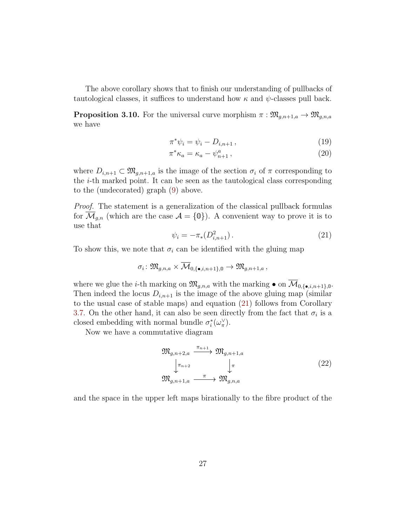The above corollary shows that to finish our understanding of pullbacks of tautological classes, it suffices to understand how  $\kappa$  and  $\psi$ -classes pull back.

<span id="page-26-1"></span>**Proposition 3.10.** For the universal curve morphism  $\pi : \mathfrak{M}_{g,n+1,a} \to \mathfrak{M}_{g,n,a}$ we have

$$
\pi^* \psi_i = \psi_i - D_{i, n+1},\tag{19}
$$

$$
\pi^* \kappa_a = \kappa_a - \psi_{n+1}^a \,, \tag{20}
$$

where  $D_{i,n+1} \subset \mathfrak{M}_{q,n+1,a}$  is the image of the section  $\sigma_i$  of  $\pi$  corresponding to the i-th marked point. It can be seen as the tautological class corresponding to the (undecorated) graph [\(9\)](#page-18-1) above.

Proof. The statement is a generalization of the classical pullback formulas for  $\overline{\mathcal{M}}_{g,n}$  (which are the case  $\mathcal{A} = \{0\}$ ). A convenient way to prove it is to use that

<span id="page-26-0"></span>
$$
\psi_i = -\pi_*(D_{i,n+1}^2). \tag{21}
$$

To show this, we note that  $\sigma_i$  can be identified with the gluing map

$$
\sigma_i\colon \mathfrak{M}_{g,n,a}\times \overline{\mathcal{M}}_{0,\{\bullet,i,n+1\},0}\to \mathfrak{M}_{g,n+1,a},
$$

where we glue the *i*-th marking on  $\mathfrak{M}_{g,n,a}$  with the marking  $\bullet$  on  $\overline{\mathcal{M}}_{0,\{\bullet,i,n+1\},0}$ . Then indeed the locus  $D_{i,n+1}$  is the image of the above gluing map (similar to the usual case of stable maps) and equation [\(21\)](#page-26-0) follows from Corollary [3.7.](#page-24-0) On the other hand, it can also be seen directly from the fact that  $\sigma_i$  is a closed embedding with normal bundle  $\sigma_i^*(\omega_{\pi}^{\vee})$ .

Now we have a commutative diagram

$$
\mathfrak{M}_{g,n+2,a} \xrightarrow{\pi_{n+1}} \mathfrak{M}_{g,n+1,a} \downarrow^{\pi_{n+2}} \qquad \qquad \downarrow^{\pi} \mathfrak{M}_{g,n+1,a} \xrightarrow{\pi} \mathfrak{M}_{g,n,a}
$$
\n
$$
(22)
$$

and the space in the upper left maps birationally to the fibre product of the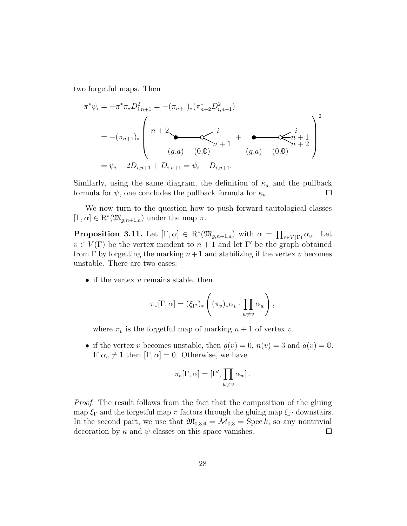two forgetful maps. Then

$$
\pi^* \psi_i = -\pi^* \pi_* D_{i,n+1}^2 = -(\pi_{n+1})_* (\pi_{n+2}^* D_{i,n+1}^2)
$$
  
= -(\pi\_{n+1})\_\*  

$$
\begin{pmatrix} n+2 \\ n+2 \\ (g,a) \\ (g,a) \\ (0,0) \end{pmatrix} \begin{pmatrix} i \\ n+1 \\ (g,a) \\ (g,a) \\ (0,0) \end{pmatrix} + \sum_{(p+1) \in \mathbb{Z}} \begin{pmatrix} i \\ n+1 \\ n+2 \\ (g,a) \\ (0,0) \end{pmatrix}^2
$$
  
=  $\psi_i - 2D_{i,n+1} + D_{i,n+1} = \psi_i - D_{i,n+1}.$ 

Similarly, using the same diagram, the definition of  $\kappa_a$  and the pullback formula for  $\psi$ , one concludes the pullback formula for  $\kappa_a$ .  $\Box$ 

We now turn to the question how to push forward tautological classes  $[\Gamma, \alpha] \in \mathbb{R}^*(\mathfrak{M}_{g,n+1,a})$  under the map  $\pi$ .

<span id="page-27-0"></span>**Proposition 3.11.** Let  $[\Gamma, \alpha] \in \mathbb{R}^*(\mathfrak{M}_{g,n+1,a})$  with  $\alpha = \prod_{v \in V(\Gamma)} \alpha_v$ . Let  $v \in V(\Gamma)$  be the vertex incident to  $n+1$  and let  $\Gamma'$  be the graph obtained from  $\Gamma$  by forgetting the marking  $n+1$  and stabilizing if the vertex v becomes unstable. There are two cases:

• if the vertex  $v$  remains stable, then

$$
\pi_*[\Gamma,\alpha] = (\xi_{\Gamma'})_* \left( (\pi_v)_* \alpha_v \cdot \prod_{w \neq v} \alpha_w \right),
$$

where  $\pi_v$  is the forgetful map of marking  $n + 1$  of vertex v.

• if the vertex v becomes unstable, then  $g(v) = 0$ ,  $n(v) = 3$  and  $a(v) = 0$ . If  $\alpha_v \neq 1$  then  $[\Gamma, \alpha] = 0$ . Otherwise, we have

$$
\pi_*[\Gamma, \alpha] = [\Gamma', \prod_{w \neq v} \alpha_w].
$$

Proof. The result follows from the fact that the composition of the gluing map  $\xi_{\Gamma}$  and the forgetful map  $\pi$  factors through the gluing map  $\xi_{\Gamma'}$  downstairs. In the second part, we use that  $\mathfrak{M}_{0,3,0} = \overline{\mathcal{M}}_{0,3}$  = Spec k, so any nontrivial decoration by  $\kappa$  and  $\psi$ -classes on this space vanishes.  $\Box$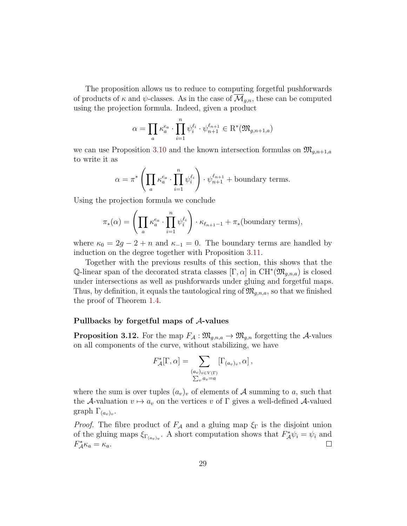The proposition allows us to reduce to computing forgetful pushforwards of products of  $\kappa$  and  $\psi$ -classes. As in the case of  $\overline{\mathcal{M}}_{q,n}$ , these can be computed using the projection formula. Indeed, given a product

$$
\alpha = \prod_a \kappa_a^{e_a} \cdot \prod_{i=1}^n \psi_i^{\ell_i} \cdot \psi_{n+1}^{\ell_{n+1}} \in \mathcal{R}^*(\mathfrak{M}_{g,n+1,a})
$$

we can use Proposition [3.10](#page-26-1) and the known intersection formulas on  $\mathfrak{M}_{q,n+1,a}$ to write it as

$$
\alpha = \pi^* \left( \prod_a \kappa_a^{e_a} \cdot \prod_{i=1}^n \psi_i^{\ell_i} \right) \cdot \psi_{n+1}^{\ell_{n+1}} + \text{boundary terms.}
$$

Using the projection formula we conclude

$$
\pi_*(\alpha) = \left(\prod_a \kappa_a^{e_a} \cdot \prod_{i=1}^n \psi_i^{\ell_i}\right) \cdot \kappa_{\ell_{n+1}-1} + \pi_*(\text{boundary terms}),
$$

where  $\kappa_0 = 2g - 2 + n$  and  $\kappa_{-1} = 0$ . The boundary terms are handled by induction on the degree together with Proposition [3.11.](#page-27-0)

Together with the previous results of this section, this shows that the Q-linear span of the decorated strata classes  $[\Gamma, \alpha]$  in  $\mathrm{CH}^*(\mathfrak{M}_{g,n,a})$  is closed under intersections as well as pushforwards under gluing and forgetful maps. Thus, by definition, it equals the tautological ring of  $\mathfrak{M}_{q,n,a}$ , so that we finished the proof of Theorem [1.4.](#page-6-1)

#### Pullbacks by forgetful maps of A-values

**Proposition 3.12.** For the map  $F_A: \mathfrak{M}_{q,n,a} \to \mathfrak{M}_{q,n}$  forgetting the A-values on all components of the curve, without stabilizing, we have

$$
F_{\mathcal{A}}^*[\Gamma,\alpha] = \sum_{\substack{(a_v)_{v \in V(\Gamma)} \\ \sum_v a_v = a}} [\Gamma_{(a_v)_v},\alpha],
$$

where the sum is over tuples  $(a_v)_v$  of elements of A summing to a, such that the A-valuation  $v \mapsto a_v$  on the vertices v of Γ gives a well-defined A-valued graph  $\Gamma_{(a_v)_v}$ .

*Proof.* The fibre product of  $F_A$  and a gluing map  $\xi_{\Gamma}$  is the disjoint union of the gluing maps  $\xi_{\Gamma_{(av)v}}$ . A short computation shows that  $F_A^*\psi_i = \psi_i$  and  $F_{\mathcal{A}}^* \kappa_a = \kappa_a.$  $\Box$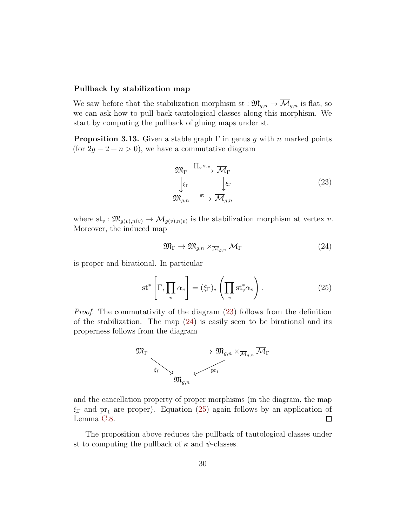#### Pullback by stabilization map

We saw before that the stabilization morphism st :  $\mathfrak{M}_{g,n} \to \overline{\mathcal{M}}_{g,n}$  is flat, so we can ask how to pull back tautological classes along this morphism. We start by computing the pullback of gluing maps under st.

**Proposition 3.13.** Given a stable graph  $\Gamma$  in genus g with n marked points (for  $2g - 2 + n > 0$ ), we have a commutative diagram

<span id="page-29-0"></span>
$$
\mathfrak{M}_{\Gamma} \xrightarrow{\prod_{v} \text{st}_{v}} \overline{\mathcal{M}}_{\Gamma}
$$
\n
$$
\downarrow^{\xi_{\Gamma}} \qquad \qquad \downarrow^{\xi_{\Gamma}}
$$
\n
$$
\mathfrak{M}_{g,n} \xrightarrow{\text{st}} \overline{\mathcal{M}}_{g,n}
$$
\n
$$
(23)
$$

where  $st_v: \mathfrak{M}_{g(v),n(v)} \to \mathcal{M}_{g(v),n(v)}$  is the stabilization morphism at vertex v. Moreover, the induced map

<span id="page-29-1"></span>
$$
\mathfrak{M}_{\Gamma} \to \mathfrak{M}_{g,n} \times_{\overline{\mathcal{M}}_{g,n}} \overline{\mathcal{M}}_{\Gamma} \tag{24}
$$

is proper and birational. In particular

<span id="page-29-2"></span>
$$
\mathrm{st}^*\left[\Gamma, \prod_v \alpha_v\right] = (\xi_\Gamma)_* \left(\prod_v \mathrm{st}_v^* \alpha_v\right). \tag{25}
$$

Proof. The commutativity of the diagram [\(23\)](#page-29-0) follows from the definition of the stabilization. The map  $(24)$  is easily seen to be birational and its properness follows from the diagram



and the cancellation property of proper morphisms (in the diagram, the map  $\xi_{\Gamma}$  and pr<sub>1</sub> are proper). Equation [\(25\)](#page-29-2) again follows by an application of Lemma [C.8.](#page-66-0)  $\Box$ 

The proposition above reduces the pullback of tautological classes under st to computing the pullback of  $\kappa$  and  $\psi$ -classes.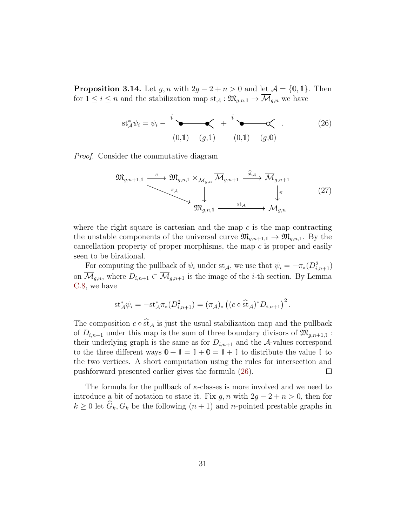<span id="page-30-1"></span>**Proposition 3.14.** Let  $g, n$  with  $2g - 2 + n > 0$  and let  $\mathcal{A} = \{0, 1\}$ . Then for  $1 \leq i \leq n$  and the stabilization map  $st_{\mathcal{A}}: \mathfrak{M}_{g,n,1} \to \overline{\mathcal{M}}_{g,n}$  we have

<span id="page-30-0"></span>
$$
\operatorname{st}_{\mathcal{A}}^*\psi_i = \psi_i - \sum_{(0,1)}^i \underbrace{\bullet \bullet \bullet}_{(g,1)} + \sum_{(0,1)}^i \underbrace{\bullet \bullet \bullet}_{(g,0)}.
$$
 (26)

Proof. Consider the commutative diagram

$$
\mathfrak{M}_{g,n+1,1} \xrightarrow{c} \mathfrak{M}_{g,n,1} \times_{\overline{\mathcal{M}}_{g,n}} \overline{\mathcal{M}}_{g,n+1} \xrightarrow{\text{st}_{\mathcal{A}}} \overline{\mathcal{M}}_{g,n+1}
$$
\n
$$
\downarrow \qquad \qquad \downarrow \qquad \qquad \downarrow \qquad (27)
$$
\n
$$
\mathfrak{M}_{g,n,1} \xrightarrow{\text{st}_{\mathcal{A}}} \overline{\mathcal{M}}_{g,n}
$$

where the right square is cartesian and the map  $c$  is the map contracting the unstable components of the universal curve  $\mathfrak{M}_{q,n+1,1} \to \mathfrak{M}_{q,n,1}$ . By the cancellation property of proper morphisms, the map  $c$  is proper and easily seen to be birational.

For computing the pullback of  $\psi_i$  under st<sub>A</sub>, we use that  $\psi_i = -\pi_*(D_{i,n+1}^2)$ on  $\overline{\mathcal{M}}_{g,n}$ , where  $D_{i,n+1} \subset \overline{\mathcal{M}}_{g,n+1}$  is the image of the *i*-th section. By Lemma [C.8,](#page-66-0) we have

$$
st_{\mathcal{A}}^*\psi_i = -st_{\mathcal{A}}^*\pi_*(D_{i,n+1}^2) = (\pi_{\mathcal{A}})_*\left((c \circ \widehat{st}_{\mathcal{A}})^*D_{i,n+1}\right)^2.
$$

The composition  $c \circ \hat{\text{st}}_{\mathcal{A}}$  is just the usual stabilization map and the pullback of  $D_{i,n+1}$  under this map is the sum of three boundary divisors of  $\mathfrak{M}_{q,n+1,1}$ : their underlying graph is the same as for  $D_{i,n+1}$  and the A-values correspond to the three different ways  $0 + 1 = 1 + 0 = 1 + 1$  to distribute the value 1 to the two vertices. A short computation using the rules for intersection and pushforward presented earlier gives the formula [\(26\)](#page-30-0).  $\Box$ 

The formula for the pullback of  $\kappa$ -classes is more involved and we need to introduce a bit of notation to state it. Fix  $g, n$  with  $2g - 2 + n > 0$ , then for  $k \geq 0$  let  $\widehat{G}_k, G_k$  be the following  $(n + 1)$  and n-pointed prestable graphs in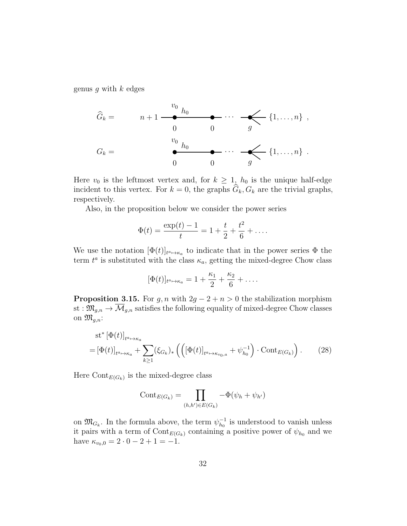genus g with  $k$  edges

$$
\widehat{G}_k = \qquad n+1 \xrightarrow{\begin{array}{c} v_0 \\ h_0 \\ 0 \end{array}} \qquad \qquad \underbrace{\qquad \qquad}_{0} \qquad \qquad \qquad \cdots \qquad \qquad \underbrace{\qquad}_{g} \{1, \ldots, n\} \ ,
$$
\n
$$
G_k = \qquad \qquad \underbrace{\qquad \qquad}_{0} \qquad \qquad \qquad \qquad \qquad}_{0} \qquad \qquad \cdots \qquad \underbrace{\qquad}_{g} \{1, \ldots, n\} \ .
$$

Here  $v_0$  is the leftmost vertex and, for  $k \geq 1$ ,  $h_0$  is the unique half-edge incident to this vertex. For  $k = 0$ , the graphs  $G_k, G_k$  are the trivial graphs, respectively.

Also, in the proposition below we consider the power series

$$
\Phi(t) = \frac{\exp(t) - 1}{t} = 1 + \frac{t}{2} + \frac{t^2}{6} + \dots
$$

We use the notation  $[\Phi(t)]_{t^a \mapsto \kappa_a}$  to indicate that in the power series  $\Phi$  the term  $t^a$  is substituted with the class  $\kappa_a$ , getting the mixed-degree Chow class

$$
[\Phi(t)]_{t^a \mapsto \kappa_a} = 1 + \frac{\kappa_1}{2} + \frac{\kappa_2}{6} + \dots
$$

<span id="page-31-1"></span>**Proposition 3.15.** For g, n with  $2g - 2 + n > 0$  the stabilization morphism st :  $\mathfrak{M}_{g,n} \to \overline{\mathcal{M}}_{g,n}$  satisfies the following equality of mixed-degree Chow classes on  $\mathfrak{M}_{g,n}$ :

$$
st^* [\Phi(t)]_{t^a \mapsto \kappa_a}
$$
  
= [\Phi(t)]\_{t^a \mapsto \kappa\_a} + \sum\_{k \ge 1} (\xi\_{G\_k})\_\* \left( \left( [\Phi(t)]\_{t^a \mapsto \kappa\_{v\_0, a}} + \psi\_{h\_0}^{-1} \right) \cdot \text{Cont}\_{E(G\_k)} \right). (28)

Here  $\text{Cont}_{E(G_k)}$  is the mixed-degree class

<span id="page-31-0"></span>
$$
\operatorname{Cont}_{E(G_k)} = \prod_{(h,h') \in E(G_k)} -\Phi(\psi_h + \psi_{h'})
$$

on  $\mathfrak{M}_{G_k}$ . In the formula above, the term  $\psi_{h_0}^{-1}$  $_{h_0}^{-1}$  is understood to vanish unless it pairs with a term of  $\text{Cont}_{E(G_k)}$  containing a positive power of  $\psi_{h_0}$  and we have  $\kappa_{v_0,0} = 2 \cdot 0 - 2 + 1 = -1$ .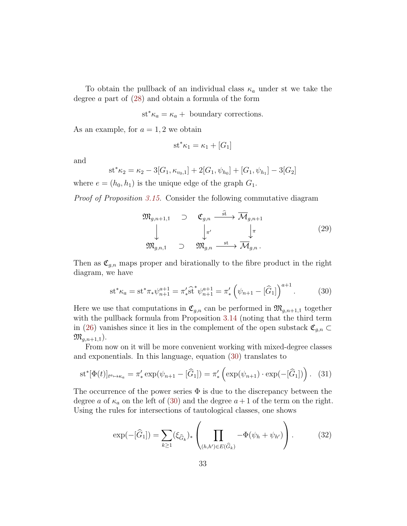To obtain the pullback of an individual class  $\kappa_a$  under st we take the degree a part of [\(28\)](#page-31-0) and obtain a formula of the form

$$
st^*\kappa_a = \kappa_a + boundary corrections.
$$

As an example, for  $a = 1, 2$  we obtain

$$
st^*\kappa_1 = \kappa_1 + [G_1]
$$

and

$$
st^*\kappa_2 = \kappa_2 - 3[G_1, \kappa_{v_0,1}] + 2[G_1, \psi_{h_0}] + [G_1, \psi_{h_1}] - 3[G_2]
$$

where  $e = (h_0, h_1)$  is the unique edge of the graph  $G_1$ .

Proof of Proposition [3.15.](#page-31-1) Consider the following commutative diagram

$$
\mathfrak{M}_{g,n+1,1} \quad \supset \quad \mathfrak{C}_{g,n} \xrightarrow{\widehat{\mathrm{st}}} \overline{\mathcal{M}}_{g,n+1}
$$
\n
$$
\downarrow^{\pi'} \qquad \qquad \downarrow^{\pi} \qquad \qquad (29)
$$
\n
$$
\mathfrak{M}_{g,n,1} \quad \supset \quad \mathfrak{M}_{g,n} \xrightarrow{\mathrm{st}} \overline{\mathcal{M}}_{g,n}.
$$

Then as  $\mathfrak{C}_{g,n}$  maps proper and birationally to the fibre product in the right diagram, we have

<span id="page-32-0"></span>
$$
\operatorname{st}^* \kappa_a = \operatorname{st}^* \pi_* \psi_{n+1}^{a+1} = \pi'_* \widehat{\operatorname{st}}^* \psi_{n+1}^{a+1} = \pi'_* \left( \psi_{n+1} - [\widehat{G}_1] \right)^{a+1} . \tag{30}
$$

Here we use that computations in  $\mathfrak{C}_{g,n}$  can be performed in  $\mathfrak{M}_{g,n+1,1}$  together with the pullback formula from Proposition [3.14](#page-30-1) (noting that the third term in [\(26\)](#page-30-0) vanishes since it lies in the complement of the open substack  $\mathfrak{C}_{g,n} \subset$  $\mathfrak{M}_{q,n+1,1}$ ).

From now on it will be more convenient working with mixed-degree classes and exponentials. In this language, equation [\(30\)](#page-32-0) translates to

<span id="page-32-1"></span>
$$
\mathrm{st}^*[\Phi(t)]_{t^a \mapsto \kappa_a} = \pi'_* \exp(\psi_{n+1} - [\hat{G}_1]) = \pi'_* \left( \exp(\psi_{n+1}) \cdot \exp(-[\hat{G}_1]) \right). \tag{31}
$$

The occurrence of the power series  $\Phi$  is due to the discrepancy between the degree a of  $\kappa_a$  on the left of [\(30\)](#page-32-0) and the degree  $a+1$  of the term on the right. Using the rules for intersections of tautological classes, one shows

$$
\exp(-[\hat{G}_1]) = \sum_{k \ge 1} (\xi_{\hat{G}_k})_* \left( \prod_{(h,h') \in E(\hat{G}_k)} - \Phi(\psi_h + \psi_{h'}) \right). \tag{32}
$$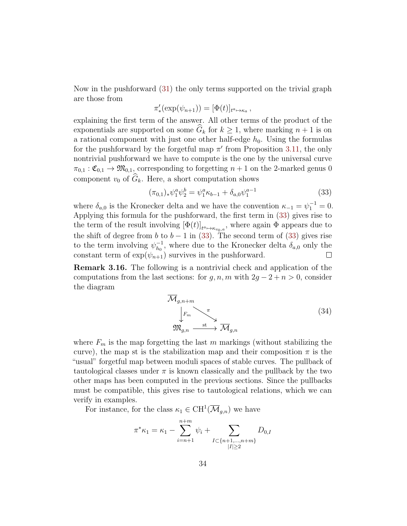Now in the pushforward [\(31\)](#page-32-1) the only terms supported on the trivial graph are those from

$$
\pi'_*(\exp(\psi_{n+1})) = [\Phi(t)]_{t^a \mapsto \kappa_a},
$$

explaining the first term of the answer. All other terms of the product of the exponentials are supported on some  $\widehat{G}_k$  for  $k \geq 1$ , where marking  $n + 1$  is on a rational component with just one other half-edge  $h_0$ . Using the formulas for the pushforward by the forgetful map  $\pi'$  from Proposition [3.11,](#page-27-0) the only nontrivial pushforward we have to compute is the one by the universal curve  $\pi_{0,1} : \mathfrak{C}_{0,1} \to \mathfrak{M}_{0,1}$ , corresponding to forgetting  $n+1$  on the 2-marked genus 0 component  $v_0$  of  $\widehat{G}_k$ . Here, a short computation shows

<span id="page-33-0"></span>
$$
(\pi_{0,1})_* \psi_1^a \psi_2^b = \psi_1^a \kappa_{b-1} + \delta_{a,0} \psi_1^{a-1}
$$
\n(33)

where  $\delta_{a,0}$  is the Kronecker delta and we have the convention  $\kappa_{-1} = \psi_1^{-1} = 0$ . Applying this formula for the pushforward, the first term in [\(33\)](#page-33-0) gives rise to the term of the result involving  $[\Phi(t)]_{t^a \mapsto \kappa_{v_0,a}}$ , where again  $\Phi$  appears due to the shift of degree from b to  $b - 1$  in [\(33\)](#page-33-0). The second term of (33) gives rise to the term involving  $\psi_{h_0}^{-1}$  $_{h_0}^{-1}$ , where due to the Kronecker delta  $\delta_{a,0}$  only the constant term of  $\exp(\psi_{n+1})$  survives in the pushforward.  $\Box$ 

Remark 3.16. The following is a nontrivial check and application of the computations from the last sections: for  $g, n, m$  with  $2g - 2 + n > 0$ , consider the diagram

$$
\overline{\mathcal{M}}_{g,n+m}
$$
\n
$$
\downarrow F_m
$$
\n
$$
\mathfrak{M}_{g,n} \xrightarrow{\pi} \overline{\mathcal{M}}_{g,n}
$$
\n
$$
(34)
$$

where  $F_m$  is the map forgetting the last m markings (without stabilizing the curve), the map st is the stabilization map and their composition  $\pi$  is the "usual" forgetful map between moduli spaces of stable curves. The pullback of tautological classes under  $\pi$  is known classically and the pullback by the two other maps has been computed in the previous sections. Since the pullbacks must be compatible, this gives rise to tautological relations, which we can verify in examples.

For instance, for the class  $\kappa_1 \in \mathrm{CH}^1(\overline{\mathcal{M}}_{g,n})$  we have

$$
\pi^* \kappa_1 = \kappa_1 - \sum_{i=n+1}^{n+m} \psi_i + \sum_{\substack{I \subset \{n+1,\dots,n+m\} \\ |I| \ge 2}} D_{0,I}
$$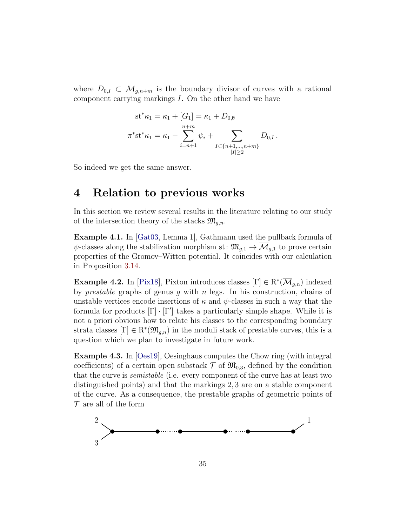where  $D_{0,I} \subset \overline{\mathcal{M}}_{q,n+m}$  is the boundary divisor of curves with a rational component carrying markings I. On the other hand we have

$$
st^*\kappa_1 = \kappa_1 + [G_1] = \kappa_1 + D_{0,\emptyset}
$$
  

$$
\pi^*st^*\kappa_1 = \kappa_1 - \sum_{i=n+1}^{n+m} \psi_i + \sum_{\substack{I \subset \{n+1,\dots,n+m\} \\ |I| \ge 2}} D_{0,I}.
$$

So indeed we get the same answer.

# <span id="page-34-0"></span>4 Relation to previous works

In this section we review several results in the literature relating to our study of the intersection theory of the stacks  $\mathfrak{M}_{g,n}$ .

Example 4.1. In [\[Gat03,](#page-69-7) Lemma 1], Gathmann used the pullback formula of  $\psi$ -classes along the stabilization morphism st:  $\mathfrak{M}_{q,1} \to \mathcal{M}_{q,1}$  to prove certain properties of the Gromov–Witten potential. It coincides with our calculation in Proposition [3.14.](#page-30-1)

**Example 4.2.** In [\[Pix18\]](#page-70-5), Pixton introduces classes  $[\Gamma] \in \mathrm{R}^*(\overline{\mathcal{M}}_{g,n})$  indexed by *prestable* graphs of genus  $q$  with  $n$  legs. In his construction, chains of unstable vertices encode insertions of  $\kappa$  and  $\psi$ -classes in such a way that the formula for products  $[\Gamma] \cdot [\Gamma']$  takes a particularly simple shape. While it is not a priori obvious how to relate his classes to the corresponding boundary strata classes  $[\Gamma] \in \mathbb{R}^*(\mathfrak{M}_{g,n})$  in the moduli stack of prestable curves, this is a question which we plan to investigate in future work.

<span id="page-34-1"></span>Example 4.3. In [\[Oes19\]](#page-70-3), Oesinghaus computes the Chow ring (with integral coefficients) of a certain open substack  $\mathcal{T}$  of  $\mathfrak{M}_{0,3}$ , defined by the condition that the curve is semistable (i.e. every component of the curve has at least two distinguished points) and that the markings 2, 3 are on a stable component of the curve. As a consequence, the prestable graphs of geometric points of  $\mathcal T$  are all of the form

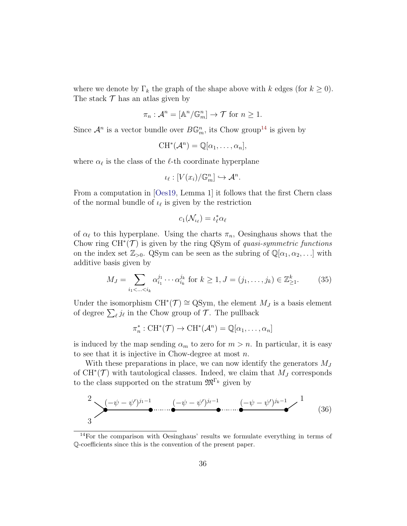where we denote by  $\Gamma_k$  the graph of the shape above with k edges (for  $k \geq 0$ ). The stack  $\mathcal T$  has an atlas given by

$$
\pi_n: \mathcal{A}^n = [\mathbb{A}^n/\mathbb{G}_m^n] \to \mathcal{T} \text{ for } n \ge 1.
$$

Since  $\mathcal{A}^n$  is a vector bundle over  $B\mathbb{G}_m^n$ , its Chow group<sup>[14](#page-35-0)</sup> is given by

$$
CH^*(\mathcal{A}^n) = \mathbb{Q}[\alpha_1,\ldots,\alpha_n],
$$

where  $\alpha_{\ell}$  is the class of the  $\ell$ -th coordinate hyperplane

$$
\iota_{\ell}: [V(x_i)/\mathbb{G}_m^n] \hookrightarrow \mathcal{A}^n.
$$

From a computation in [\[Oes19,](#page-70-3) Lemma 1] it follows that the first Chern class of the normal bundle of  $\iota_{\ell}$  is given by the restriction

$$
c_1(\mathcal{N}_{\iota_{\ell}}) = \iota_{\ell}^* \alpha_{\ell}
$$

of  $\alpha_{\ell}$  to this hyperplane. Using the charts  $\pi_n$ , Oesinghaus shows that the Chow ring  $CH^*(\mathcal{T})$  is given by the ring QSym of quasi-symmetric functions on the index set  $\mathbb{Z}_{>0}$ . QSym can be seen as the subring of  $\mathbb{Q}[\alpha_1, \alpha_2, \ldots]$  with additive basis given by

$$
M_J = \sum_{i_1 < \ldots < i_k} \alpha_{i_1}^{j_1} \cdots \alpha_{i_k}^{j_k} \text{ for } k \ge 1, J = (j_1, \ldots, j_k) \in \mathbb{Z}_{\ge 1}^k. \tag{35}
$$

Under the isomorphism  $CH^*(\mathcal{T}) \cong QSym$ , the element  $M_J$  is a basis element of degree  $\sum_{\ell} j_{\ell}$  in the Chow group of  $\mathcal{T}$ . The pullback

$$
\pi_n^*: CH^*(\mathcal{T}) \to CH^*(\mathcal{A}^n) = \mathbb{Q}[\alpha_1, \ldots, \alpha_n]
$$

is induced by the map sending  $\alpha_m$  to zero for  $m > n$ . In particular, it is easy to see that it is injective in Chow-degree at most  $n$ .

With these preparations in place, we can now identify the generators  $M_J$ of  $CH^*(\mathcal{T})$  with tautological classes. Indeed, we claim that  $M_J$  corresponds to the class supported on the stratum  $\mathfrak{M}^{\Gamma_k}$  given by

$$
\sum_{3}^{2} \frac{(-\psi - \psi')^{j_1 - 1}}{2} \dots \underbrace{(-\psi - \psi')^{j_\ell - 1}}_{\bullet} \underbrace{(-\psi - \psi')^{j_k - 1}}_{\bullet} \longrightarrow \frac{1}{(36)}
$$

<span id="page-35-0"></span><sup>14</sup>For the comparison with Oesinghaus' results we formulate everything in terms of Q-coefficients since this is the convention of the present paper.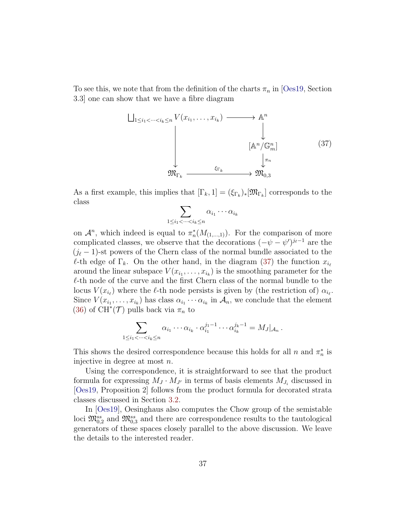To see this, we note that from the definition of the charts  $\pi_n$  in [\[Oes19,](#page-70-0) Section] 3.3] one can show that we have a fibre diagram

<span id="page-36-0"></span>
$$
\bigcup_{1 \leq i_1 < \dots < i_k \leq n} V(x_{i_1}, \dots, x_{i_k}) \longrightarrow \mathbb{A}^n
$$
\n
$$
\downarrow \qquad \qquad \downarrow \qquad \qquad \downarrow
$$
\n
$$
\downarrow \qquad \qquad \downarrow \qquad \qquad \downarrow
$$
\n
$$
\mathfrak{M}_{\Gamma_k} \xrightarrow{\xi_{\Gamma_k}} \mathfrak{M}_{0,3} \qquad (37)
$$

As a first example, this implies that  $[\Gamma_k, 1] = (\xi_{\Gamma_k})_*[\mathfrak{M}_{\Gamma_k}]$  corresponds to the class

$$
\sum_{1 \leq i_1 < \dots < i_k \leq n} \alpha_{i_1} \cdots \alpha_{i_k}
$$

on  $\mathcal{A}^n$ , which indeed is equal to  $\pi_n^*(M_{(1,\ldots,1)})$ . For the comparison of more complicated classes, we observe that the decorations  $(-\psi - \psi')^{j_{\ell}-1}$  are the  $(j_{\ell}-1)$ -st powers of the Chern class of the normal bundle associated to the  $\ell$ -th edge of  $\Gamma_k$ . On the other hand, in the diagram [\(37\)](#page-36-0) the function  $x_{i_\ell}$ around the linear subspace  $V(x_{i_1},...,x_{i_k})$  is the smoothing parameter for the  $\ell$ -th node of the curve and the first Chern class of the normal bundle to the locus  $V(x_{i_\ell})$  where the  $\ell$ -th node persists is given by (the restriction of)  $\alpha_{i_\ell}$ . Since  $V(x_{i_1},...,x_{i_k})$  has class  $\alpha_{i_1}\cdots\alpha_{i_k}$  in  $\mathcal{A}_n$ , we conclude that the element [\(36\)](#page-35-0) of  $\text{CH}^*(\mathcal{T})$  pulls back via  $\pi_n$  to

$$
\sum_{1 \leq i_1 < \dots < i_k \leq n} \alpha_{i_1} \cdots \alpha_{i_k} \cdot \alpha_{i_1}^{j_1 - 1} \cdots \alpha_{i_k}^{j_k - 1} = M_J|_{\mathcal{A}_n} \, .
$$

This shows the desired correspondence because this holds for all  $n$  and  $\pi_n^*$  is injective in degree at most n.

Using the correspondence, it is straightforward to see that the product formula for expressing  $M_J \cdot M_{J'}$  in terms of basis elements  $M_{J_i}$  discussed in [\[Oes19,](#page-70-0) Proposition 2] follows from the product formula for decorated strata classes discussed in Section [3.2.](#page-22-0)

In [\[Oes19\]](#page-70-0), Oesinghaus also computes the Chow group of the semistable loci  $\mathfrak{M}_{0,2}^{ss}$  and  $\mathfrak{M}_{0,3}^{ss}$  and there are correspondence results to the tautological generators of these spaces closely parallel to the above discussion. We leave the details to the interested reader.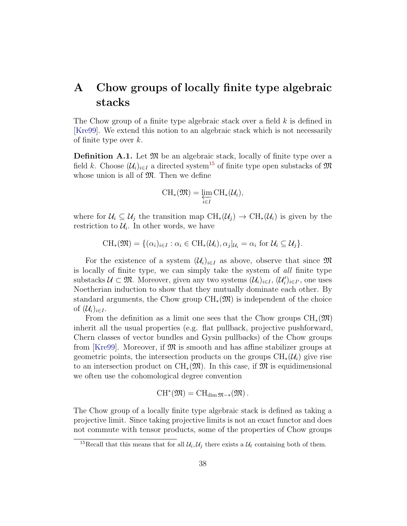# A Chow groups of locally finite type algebraic stacks

The Chow group of a finite type algebraic stack over a field  $k$  is defined in [\[Kre99\]](#page-70-1). We extend this notion to an algebraic stack which is not necessarily of finite type over  $k$ .

<span id="page-37-1"></span>**Definition A.1.** Let  $\mathfrak{M}$  be an algebraic stack, locally of finite type over a field k. Choose  $(\mathcal{U}_i)_{i\in I}$  a directed system<sup>[15](#page-37-0)</sup> of finite type open substacks of  $\mathfrak{M}$ whose union is all of  $\mathfrak{M}$ . Then we define

$$
\operatorname{CH}_*(\mathfrak{M}) = \varprojlim_{i \in I} \operatorname{CH}_*(\mathcal{U}_i),
$$

where for  $\mathcal{U}_i \subseteq \mathcal{U}_j$  the transition map  $\text{CH}_*(\mathcal{U}_j) \to \text{CH}_*(\mathcal{U}_i)$  is given by the restriction to  $\mathcal{U}_i$ . In other words, we have

$$
\mathrm{CH}_*(\mathfrak{M}) = \{ (\alpha_i)_{i \in I} : \alpha_i \in \mathrm{CH}_*(\mathcal{U}_i), \alpha_j |_{\mathcal{U}_i} = \alpha_i \text{ for } \mathcal{U}_i \subseteq \mathcal{U}_j \}.
$$

For the existence of a system  $(\mathcal{U}_i)_{i\in I}$  as above, observe that since  $\mathfrak{M}$ is locally of finite type, we can simply take the system of all finite type substacks  $\mathcal{U} \subset \mathfrak{M}$ . Moreover, given any two systems  $(\mathcal{U}_i)_{i \in I}$ ,  $(\mathcal{U}'_i)_{i \in I'}$ , one uses Noetherian induction to show that they mutually dominate each other. By standard arguments, the Chow group  $\text{CH}_*(\mathfrak{M})$  is independent of the choice of  $(\mathcal{U}_i)_{i\in I}$ .

From the definition as a limit one sees that the Chow groups  $\text{CH}_{*}(\mathfrak{M})$ inherit all the usual properties (e.g. flat pullback, projective pushforward, Chern classes of vector bundles and Gysin pullbacks) of the Chow groups from [\[Kre99\]](#page-70-1). Moreover, if  $\mathfrak{M}$  is smooth and has affine stabilizer groups at geometric points, the intersection products on the groups  $\text{CH}_*(\mathcal{U}_i)$  give rise to an intersection product on  $\text{CH}_*(\mathfrak{M})$ . In this case, if  $\mathfrak{M}$  is equidimensional we often use the cohomological degree convention

$$
\operatorname{CH}^*(\mathfrak{M})=\operatorname{CH}_{\dim\mathfrak{M}-*}(\mathfrak{M})\,.
$$

The Chow group of a locally finite type algebraic stack is defined as taking a projective limit. Since taking projective limits is not an exact functor and does not commute with tensor products, some of the properties of Chow groups

<span id="page-37-0"></span><sup>&</sup>lt;sup>15</sup>Recall that this means that for all  $\mathcal{U}_i, \mathcal{U}_j$  there exists a  $\mathcal{U}_\ell$  containing both of them.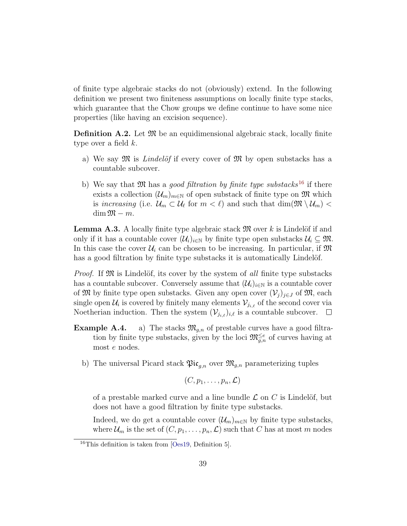of finite type algebraic stacks do not (obviously) extend. In the following definition we present two finiteness assumptions on locally finite type stacks, which guarantee that the Chow groups we define continue to have some nice properties (like having an excision sequence).

**Definition A.2.** Let  $\mathfrak{M}$  be an equidimensional algebraic stack, locally finite type over a field  $k$ .

- a) We say  $\mathfrak{M}$  is *Lindelöf* if every cover of  $\mathfrak{M}$  by open substacks has a countable subcover.
- b) We say that  $\mathfrak{M}$  has a good filtration by finite type substacks<sup>[16](#page-38-0)</sup> if there exists a collection  $(\mathcal{U}_m)_{m\in\mathbb{N}}$  of open substack of finite type on  $\mathfrak{M}$  which is increasing (i.e.  $\mathcal{U}_m \subset \mathcal{U}_\ell$  for  $m < \ell$ ) and such that  $\dim(\mathfrak{M} \setminus \mathcal{U}_m) <$  $\dim \mathfrak{M} - m$ .

**Lemma A.3.** A locally finite type algebraic stack  $\mathfrak{M}$  over k is Lindelöf if and only if it has a countable cover  $(\mathcal{U}_i)_{i\in\mathbb{N}}$  by finite type open substacks  $\mathcal{U}_i \subseteq \mathfrak{M}$ . In this case the cover  $\mathcal{U}_i$  can be chosen to be increasing. In particular, if  $\mathfrak{M}$ has a good filtration by finite type substacks it is automatically Lindelöf.

*Proof.* If  $\mathfrak{M}$  is Lindelöf, its cover by the system of all finite type substacks has a countable subcover. Conversely assume that  $(\mathcal{U}_i)_{i\in\mathbb{N}}$  is a countable cover of M by finite type open substacks. Given any open cover  $(\mathcal{V}_j)_{j\in J}$  of M, each single open  $\mathcal{U}_i$  is covered by finitely many elements  $\mathcal{V}_{j_{i,\ell}}$  of the second cover via Noetherian induction. Then the system  $(\mathcal{V}_{j_{i,\ell}})_{i,\ell}$  is a countable subcover.  $\Box$ 

- **Example A.4.** a) The stacks  $\mathfrak{M}_{g,n}$  of prestable curves have a good filtration by finite type substacks, given by the loci  $\mathfrak{M}_{g,n}^{\leq e}$  of curves having at most e nodes.
	- b) The universal Picard stack  $\mathfrak{Pic}_{q,n}$  over  $\mathfrak{M}_{q,n}$  parameterizing tuples

$$
(C,p_1,\ldots,p_n,\mathcal{L})
$$

of a prestable marked curve and a line bundle  $\mathcal L$  on  $C$  is Lindelöf, but does not have a good filtration by finite type substacks.

Indeed, we do get a countable cover  $(\mathcal{U}_m)_{m\in\mathbb{N}}$  by finite type substacks, where  $\mathcal{U}_m$  is the set of  $(C, p_1, \ldots, p_n, \mathcal{L})$  such that C has at most m nodes

<span id="page-38-0"></span><sup>16</sup>This definition is taken from [\[Oes19,](#page-70-0) Definition 5].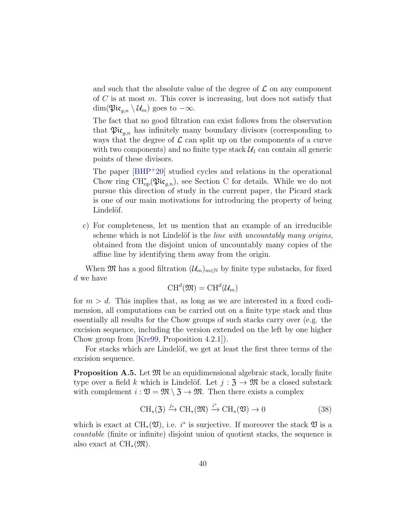and such that the absolute value of the degree of  $\mathcal L$  on any component of  $C$  is at most  $m$ . This cover is increasing, but does not satisfy that  $\dim(\mathfrak{Pic}_{a,n} \setminus \mathcal{U}_m)$  goes to  $-\infty$ .

The fact that no good filtration can exist follows from the observation that  $\mathfrak{Pic}_{a,n}$  has infinitely many boundary divisors (corresponding to ways that the degree of  $\mathcal L$  can split up on the components of a curve with two components) and no finite type stack  $\mathcal{U}_1$  can contain all generic points of these divisors.

The paper [\[BHP](#page-68-0)<sup>+</sup>20] studied cycles and relations in the operational [C](#page-59-0)how ring  $\text{CH}^*_{\text{op}}(\mathfrak{Pic}_{g,n})$ , see Section C for details. While we do not pursue this direction of study in the current paper, the Picard stack is one of our main motivations for introducing the property of being Lindelöf.

c) For completeness, let us mention that an example of an irreducible scheme which is not Lindelöf is the *line with uncountably many origins*, obtained from the disjoint union of uncountably many copies of the affine line by identifying them away from the origin.

When  $\mathfrak{M}$  has a good filtration  $(\mathcal{U}_m)_{m\in\mathbb{N}}$  by finite type substacks, for fixed d we have

$$
\text{CH}^d(\mathfrak{M}) = \text{CH}^d(\mathcal{U}_m)
$$

for  $m > d$ . This implies that, as long as we are interested in a fixed codimension, all computations can be carried out on a finite type stack and thus essentially all results for the Chow groups of such stacks carry over (e.g. the excision sequence, including the version extended on the left by one higher Chow group from [\[Kre99,](#page-70-1) Proposition 4.2.1]).

For stacks which are Lindelöf, we get at least the first three terms of the excision sequence.

<span id="page-39-0"></span>**Proposition A.5.** Let  $\mathfrak{M}$  be an equidimensional algebraic stack, locally finite type over a field k which is Lindelöf. Let  $j : \mathfrak{Z} \to \mathfrak{M}$  be a closed substack with complement  $i : \mathfrak{V} = \mathfrak{M} \setminus \mathfrak{Z} \to \mathfrak{M}$ . Then there exists a complex

<span id="page-39-1"></span>
$$
\text{CH}_{*}(3) \xrightarrow{j_{*}} \text{CH}_{*}(\mathfrak{M}) \xrightarrow{i^{*}} \text{CH}_{*}(\mathfrak{V}) \to 0
$$
 (38)

which is exact at  $\text{CH}_{*}(\mathfrak{V})$ , i.e. i<sup>\*</sup> is surjective. If moreover the stack  $\mathfrak{V}$  is a countable (finite or infinite) disjoint union of quotient stacks, the sequence is also exact at  $\text{CH}_*(\mathfrak{M}).$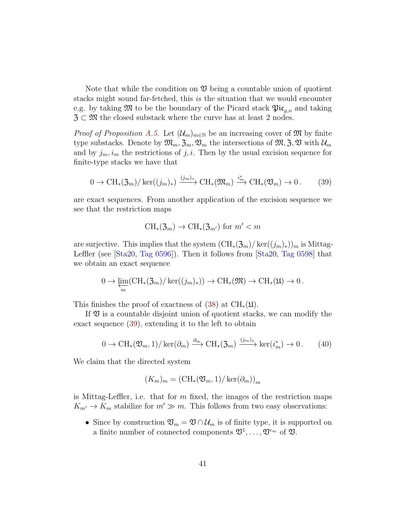Note that while the condition on  $\mathfrak V$  being a countable union of quotient stacks might sound far-fetched, this is the situation that we would encounter e.g. by taking  $\mathfrak{M}$  to be the boundary of the Picard stack  $\mathfrak{Pic}_{q,n}$  and taking  $\mathfrak{Z} \subset \mathfrak{M}$  the closed substack where the curve has at least 2 nodes.

*Proof of Proposition [A.5.](#page-39-0)* Let  $(\mathcal{U}_m)_{m\in\mathbb{N}}$  be an increasing cover of M by finite type substacks. Denote by  $\mathfrak{M}_m$ ,  $\mathfrak{Z}_m$ ,  $\mathfrak{V}_m$  the intersections of  $\mathfrak{M}, \mathfrak{Z}, \mathfrak{V}$  with  $\mathcal{U}_m$ and by  $j_m, i_m$  the restrictions of j, i. Then by the usual excision sequence for finite-type stacks we have that

<span id="page-40-0"></span>
$$
0 \to \mathrm{CH}_*(\mathfrak{Z}_m)/\ker((j_m)_*) \xrightarrow{(j_m)_*} \mathrm{CH}_*(\mathfrak{M}_m) \xrightarrow{i_m^*} \mathrm{CH}_*(\mathfrak{V}_m) \to 0.
$$
 (39)

are exact sequences. From another application of the excision sequence we see that the restriction maps

$$
\text{CH}_{*}(\mathfrak{Z}_{m}) \to \text{CH}_{*}(\mathfrak{Z}_{m'})
$$
 for  $m' < m$ 

are surjective. This implies that the system  $(\text{CH}_{*}(\mathfrak{Z}_m)/\ker((j_m)_{*}))_m$  is Mittag-Leffler (see [\[Sta20,](#page-70-2) [Tag 0596\]](https://stacks.math.columbia.edu/tag/0596)). Then it follows from [\[Sta20,](#page-70-2) [Tag 0598\]](https://stacks.math.columbia.edu/tag/0598) that we obtain an exact sequence

$$
0 \to \varprojlim_m(\mathrm{CH}_*(\mathfrak{Z}_m)/\ker((j_m)_*)) \to \mathrm{CH}_*(\mathfrak{M}) \to \mathrm{CH}_*(\mathfrak{U}) \to 0.
$$

This finishes the proof of exactness of [\(38\)](#page-39-1) at  $\text{CH}_{*}(\mathfrak{U})$ .

If  $\mathfrak V$  is a countable disjoint union of quotient stacks, we can modify the exact sequence [\(39\)](#page-40-0), extending it to the left to obtain

$$
0 \to \mathrm{CH}_{*}(\mathfrak{V}_{m}, 1)/\ker(\partial_{m}) \xrightarrow{\partial_{m}} \mathrm{CH}_{*}(\mathfrak{Z}_{m}) \xrightarrow{(j_{m})_{*}} \ker(i_{m}^{*}) \to 0. \qquad (40)
$$

We claim that the directed system

$$
(K_m)_m = (\mathrm{CH}_*(\mathfrak{V}_m, 1)/\ker(\partial_m))_m
$$

is Mittag-Leffler, i.e. that for  $m$  fixed, the images of the restriction maps  $K_{m'} \to K_m$  stabilize for  $m' \gg m$ . This follows from two easy observations:

• Since by construction  $\mathfrak{V}_m = \mathfrak{V} \cap \mathcal{U}_m$  is of finite type, it is supported on a finite number of connected components  $\mathfrak{V}^1, \ldots, \mathfrak{V}^{e_m}$  of  $\mathfrak{V}$ .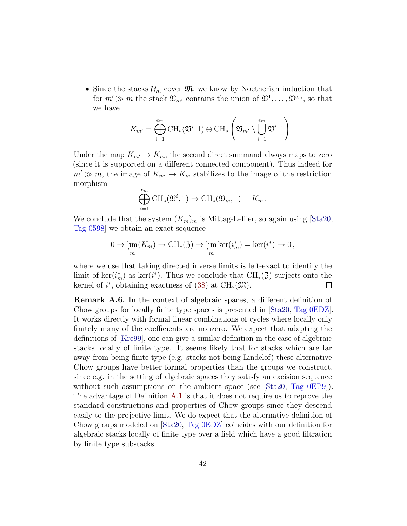• Since the stacks  $\mathcal{U}_m$  cover  $\mathfrak{M}$ , we know by Noetherian induction that for  $m' \gg m$  the stack  $\mathfrak{V}_{m'}$  contains the union of  $\mathfrak{V}^1, \ldots, \mathfrak{V}^{e_m}$ , so that we have

$$
K_{m'} = \bigoplus_{i=1}^{e_m} \operatorname{CH}_*(\mathfrak{V}^i, 1) \oplus \operatorname{CH}_*\left(\mathfrak{V}_{m'} \setminus \bigcup_{i=1}^{e_m} \mathfrak{V}^i, 1\right)
$$

.

Under the map  $K_{m'} \to K_m$ , the second direct summand always maps to zero (since it is supported on a different connected component). Thus indeed for  $m' \gg m$ , the image of  $K_{m'} \to K_m$  stabilizes to the image of the restriction morphism

$$
\bigoplus_{i=1}^{e_m} \mathrm{CH}_*(\mathfrak{V}^i, 1) \to \mathrm{CH}_*(\mathfrak{V}_m, 1) = K_m.
$$

We conclude that the system  $(K_m)_m$  is Mittag-Leffler, so again using [\[Sta20,](#page-70-2) [Tag 0598\]](https://stacks.math.columbia.edu/tag/0598) we obtain an exact sequence

$$
0 \to \varprojlim_{m}(K_{m}) \to \mathrm{CH}_{*}(\mathfrak{Z}) \to \varprojlim_{m} \ker(i_{m}^{*}) = \ker(i^{*}) \to 0,
$$

where we use that taking directed inverse limits is left-exact to identify the limit of ker $(i_m^*)$  as ker $(i^*)$ . Thus we conclude that CH<sub>\*</sub>(3) surjects onto the kernel of  $i^*$ , obtaining exactness of [\(38\)](#page-39-1) at CH<sub>\*</sub>( $\mathfrak{M}$ ).  $\Box$ 

Remark A.6. In the context of algebraic spaces, a different definition of Chow groups for locally finite type spaces is presented in [\[Sta20,](#page-70-2) [Tag 0EDZ\]](https://stacks.math.columbia.edu/tag/0EDZ). It works directly with formal linear combinations of cycles where locally only finitely many of the coefficients are nonzero. We expect that adapting the definitions of [\[Kre99\]](#page-70-1), one can give a similar definition in the case of algebraic stacks locally of finite type. It seems likely that for stacks which are far away from being finite type (e.g. stacks not being Lindelöf) these alternative Chow groups have better formal properties than the groups we construct, since e.g. in the setting of algebraic spaces they satisfy an excision sequence without such assumptions on the ambient space (see [\[Sta20,](#page-70-2) [Tag 0EP9\]](https://stacks.math.columbia.edu/tag/0EP9)). The advantage of Definition [A.1](#page-37-1) is that it does not require us to reprove the standard constructions and properties of Chow groups since they descend easily to the projective limit. We do expect that the alternative definition of Chow groups modeled on [\[Sta20,](#page-70-2) [Tag 0EDZ\]](https://stacks.math.columbia.edu/tag/0EDZ) coincides with our definition for algebraic stacks locally of finite type over a field which have a good filtration by finite type substacks.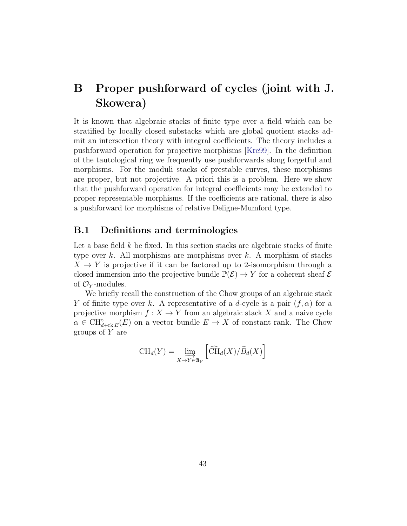# B Proper pushforward of cycles (joint with J. Skowera)

It is known that algebraic stacks of finite type over a field which can be stratified by locally closed substacks which are global quotient stacks admit an intersection theory with integral coefficients. The theory includes a pushforward operation for projective morphisms [\[Kre99\]](#page-70-1). In the definition of the tautological ring we frequently use pushforwards along forgetful and morphisms. For the moduli stacks of prestable curves, these morphisms are proper, but not projective. A priori this is a problem. Here we show that the pushforward operation for integral coefficients may be extended to proper representable morphisms. If the coefficients are rational, there is also a pushforward for morphisms of relative Deligne-Mumford type.

#### B.1 Definitions and terminologies

Let a base field  $k$  be fixed. In this section stacks are algebraic stacks of finite type over  $k$ . All morphisms are morphisms over  $k$ . A morphism of stacks  $X \to Y$  is projective if it can be factored up to 2-isomorphism through a closed immersion into the projective bundle  $\mathbb{P}(\mathcal{E}) \to Y$  for a coherent sheaf  $\mathcal E$ of  $\mathcal{O}_Y$ -modules.

We briefly recall the construction of the Chow groups of an algebraic stack Y of finite type over k. A representative of a d-cycle is a pair  $(f, \alpha)$  for a projective morphism  $f: X \to Y$  from an algebraic stack X and a naive cycle  $\alpha \in \mathrm{CH}_{d+\mathrm{rk}\, E}^{\circ}(E)$  on a vector bundle  $E \to X$  of constant rank. The Chow groups of  $Y$  are

$$
\mathrm{CH}_d(Y) = \lim_{X \to Y \in \mathfrak{A}_Y} \left[ \widehat{\mathrm{CH}}_d(X) / \widehat{B}_d(X) \right]
$$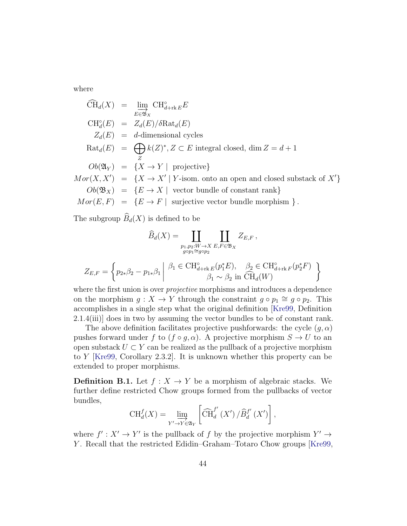where

$$
\widehat{CH}_d(X) = \lim_{E \in \mathfrak{B}_X} CH_{d+rk}^{\circ} E
$$
\n
$$
CH_d^{\circ}(E) = Z_d(E)/\delta \text{Rat}_d(E)
$$
\n
$$
Z_d(E) = d\text{-dimensional cycles}
$$
\n
$$
\text{Rat}_d(E) = \bigoplus_{Z} k(Z)^*, Z \subset E \text{ integral closed, } \dim Z = d+1
$$
\n
$$
Ob(\mathfrak{A}_Y) = \{X \to Y \mid \text{ projective}\}
$$
\n
$$
Mor(X, X') = \{X \to X' \mid Y \text{-isom. onto an open and closed substack of } X'\}
$$
\n
$$
Ob(\mathfrak{B}_X) = \{E \to X \mid \text{ vector bundle of constant rank}\}
$$
\n
$$
Mor(E, F) = \{E \to F \mid \text{ surjective vector bundle morphism } \}.
$$

The subgroup  $\widehat{B}_d(X)$  is defined to be

$$
\widehat{B}_d(X) = \coprod_{\substack{p_1, p_2: W \to X \\ g \circ p_1 \cong g \circ p_2}} \coprod_{E, F \in \mathfrak{B}_X} Z_{E, F},
$$

$$
Z_{E,F} = \left\{ p_{2*} \beta_2 - p_{1*} \beta_1 \middle| \begin{array}{c} \beta_1 \in \text{CH}_{d+\text{rk}\,E}^{\circ}(p_1^*E), \quad \beta_2 \in \text{CH}_{d+\text{rk}\,F}^{\circ}(p_2^*F) \\ \beta_1 \sim \beta_2 \text{ in } \widehat{\text{CH}}_d(W) \end{array} \right\}
$$

where the first union is over *projective* morphisms and introduces a dependence on the morphism  $g: X \to Y$  through the constraint  $g \circ p_1 \cong g \circ p_2$ . This accomplishes in a single step what the original definition [\[Kre99,](#page-70-1) Definition 2.1.4(iii)] does in two by assuming the vector bundles to be of constant rank.

The above definition facilitates projective pushforwards: the cycle  $(g, \alpha)$ pushes forward under f to  $(f \circ g, \alpha)$ . A projective morphism  $S \to U$  to an open substack  $U \subset Y$  can be realized as the pullback of a projective morphism to Y [\[Kre99,](#page-70-1) Corollary 2.3.2]. It is unknown whether this property can be extended to proper morphisms.

<span id="page-43-0"></span>**Definition B.1.** Let  $f : X \to Y$  be a morphism of algebraic stacks. We further define restricted Chow groups formed from the pullbacks of vector bundles,

$$
\operatorname{CH}_{d}^{f}(X) = \lim_{Y' \to Y \in \mathfrak{A}_{Y}} \left[ \widehat{\operatorname{CH}}_{d}^{f'}(X') / \widehat{B}_{d}^{f'}(X') \right],
$$

where  $f' : X' \to Y'$  is the pullback of f by the projective morphism  $Y' \to Y'$ Y. Recall that the restricted Edidin–Graham–Totaro Chow groups [\[Kre99,](#page-70-1)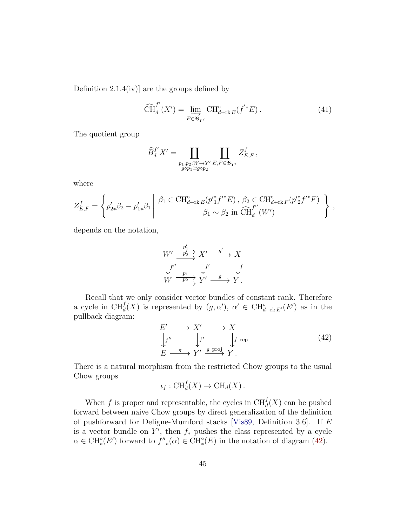Definition 2.1.4(iv)] are the groups defined by

<span id="page-44-1"></span>
$$
\widehat{\text{CH}}_{d}^{f'}(X') = \varinjlim_{E \in \mathfrak{B}_{Y'}} \text{CH}_{d+\text{rk } E}^{\circ}(f'^*E). \tag{41}
$$

The quotient group

$$
\widehat{B}_d^{f'}X' = \coprod_{\substack{p_1, p_2: W \to Y' \\ g \circ p_1 \cong g \circ p_2}} \coprod_{E, F \in \mathfrak{B}_{Y'}} Z_{E, F}^f,
$$

where

$$
Z_{E,F}^f = \left\{ p'_{2*} \beta_2 - p'_{1*} \beta_1 \middle| \begin{array}{c} \beta_1 \in \text{CH}_{d+{\rm rk}\, E}^{\circ}(p'^{*} f'^{*} E), \ \beta_2 \in \text{CH}_{d+{\rm rk}\, F}^{\circ}(p'^{*} f'^{*} F) \\ \beta_1 \sim \beta_2 \text{ in } \widehat{\text{CH}}_{d}^{f''}(W') \end{array} \right\} ,
$$

depends on the notation,

$$
W' \xrightarrow{\frac{p'_1}{p'_2}} X' \xrightarrow{g'} X
$$
  

$$
\downarrow f'' \qquad \qquad \downarrow f' \qquad \qquad \downarrow f
$$
  

$$
W \xrightarrow{\frac{p_1}{p_2}} Y' \xrightarrow{g} Y.
$$

Recall that we only consider vector bundles of constant rank. Therefore a cycle in  $\text{CH}_d^f(X)$  is represented by  $(g, \alpha')$ ,  $\alpha' \in \text{CH}_{d+\text{rk } E'}^{\circ}(E')$  as in the pullback diagram:

<span id="page-44-0"></span>
$$
E' \longrightarrow X' \longrightarrow X
$$
  
\n
$$
\downarrow f'' \qquad \downarrow f' \qquad \downarrow f \text{ rep}
$$
  
\n
$$
E \xrightarrow{\pi} Y' \xrightarrow{g \text{ proj}} Y.
$$
 (42)

There is a natural morphism from the restricted Chow groups to the usual Chow groups

$$
\iota_f: \operatorname{CH}_d^f(X) \to \operatorname{CH}_d(X).
$$

When f is proper and representable, the cycles in  $\text{CH}^f_d(X)$  can be pushed forward between naive Chow groups by direct generalization of the definition of pushforward for Deligne-Mumford stacks [\[Vis89,](#page-71-0) Definition 3.6]. If E is a vector bundle on  $Y'$ , then  $f_*$  pushes the class represented by a cycle  $\alpha \in \mathrm{CH}_*^{\circ}(E')$  forward to  $f''_{*}(\alpha) \in \mathrm{CH}_*^{\circ}(E)$  in the notation of diagram [\(42\)](#page-44-0).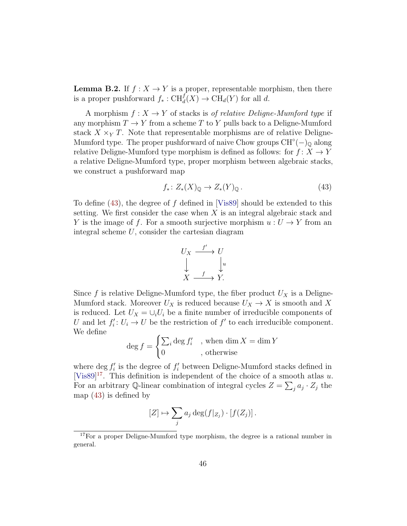**Lemma B.2.** If  $f : X \to Y$  is a proper, representable morphism, then there is a proper pushforward  $f_*: \mathrm{CH}_d^f(X) \to \mathrm{CH}_d(Y)$  for all d.

A morphism  $f: X \to Y$  of stacks is *of relative Deligne-Mumford type* if any morphism  $T \to Y$  from a scheme T to Y pulls back to a Deligne-Mumford stack  $X \times_Y T$ . Note that representable morphisms are of relative Deligne-Mumford type. The proper pushforward of naive Chow groups  $CH<sup>o</sup>(-)$ <sub>Q</sub> along relative Deligne-Mumford type morphism is defined as follows: for  $f: X \to Y$ a relative Deligne-Mumford type, proper morphism between algebraic stacks, we construct a pushforward map

<span id="page-45-0"></span>
$$
f_*\colon Z_*(X)_{\mathbb{Q}} \to Z_*(Y)_{\mathbb{Q}}\,. \tag{43}
$$

To define [\(43\)](#page-45-0), the degree of f defined in [\[Vis89\]](#page-71-0) should be extended to this setting. We first consider the case when  $X$  is an integral algebraic stack and Y is the image of f. For a smooth surjective morphism  $u: U \to Y$  from an integral scheme U, consider the cartesian diagram



Since f is relative Deligne-Mumford type, the fiber product  $U_X$  is a Deligne-Mumford stack. Moreover  $U_X$  is reduced because  $U_X \to X$  is smooth and X is reduced. Let  $U_X = \bigcup_i U_i$  be a finite number of irreducible components of U and let  $f_i' : U_i \to U$  be the restriction of  $f'$  to each irreducible component. We define

$$
\deg f = \begin{cases} \sum_i \deg f'_i, & \text{when } \dim X = \dim Y \\ 0, & \text{otherwise} \end{cases}
$$

where deg  $f'_i$  is the degree of  $f'_i$  between Deligne-Mumford stacks defined in [\[Vis89\]](#page-71-0)<sup>[17](#page-45-1)</sup>. This definition is independent of the choice of a smooth atlas u. For an arbitrary Q-linear combination of integral cycles  $Z = \sum_j a_j \cdot Z_j$  the map [\(43\)](#page-45-0) is defined by

$$
[Z] \mapsto \sum_j a_j \deg(f|_{Z_j}) \cdot [f(Z_j)].
$$

<span id="page-45-1"></span><sup>&</sup>lt;sup>17</sup>For a proper Deligne-Mumford type morphism, the degree is a rational number in general.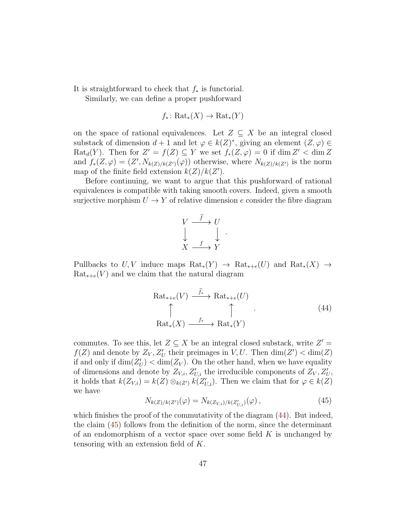It is straightforward to check that  $f_*$  is functorial.

Similarly, we can define a proper pushforward

$$
f_*\colon \text{Rat}_*(X) \to \text{Rat}_*(Y)
$$

on the space of rational equivalences. Let  $Z \subseteq X$  be an integral closed substack of dimension  $d+1$  and let  $\varphi \in k(Z)^*$ , giving an element  $(Z, \varphi) \in$  $\text{Rat}_{d}(Y)$ . Then for  $Z' = f(Z) \subseteq Y$  we set  $f_{*}(Z, \varphi) = 0$  if  $\dim Z' < \dim Z$ and  $f_*(Z,\varphi)=(Z',N_{k(Z)/k(Z') }(\varphi))$  otherwise, where  $N_{k(Z)/k(Z')}$  is the norm map of the finite field extension  $k(Z)/k(Z')$ .

Before continuing, we want to argue that this pushforward of rational equivalences is compatible with taking smooth covers. Indeed, given a smooth surjective morphism  $U \to Y$  of relative dimension e consider the fibre diagram

$$
\begin{array}{ccc}\nV & \xrightarrow{\hat{f}} & U \\
\downarrow & & \downarrow \\
X & \xrightarrow{f} & Y\n\end{array}
$$

.

Pullbacks to  $U, V$  induce maps  $\text{Rat}_*(Y) \to \text{Rat}_{*+e}(U)$  and  $\text{Rat}_*(X) \to$  $\text{Rat}_{*+e}(V)$  and we claim that the natural diagram

<span id="page-46-0"></span>
$$
\operatorname{Rat}_{*+e}(V) \xrightarrow{\widehat{f}_{*}} \operatorname{Rat}_{*+e}(U)
$$
\n
$$
\uparrow \qquad \qquad \uparrow \qquad (44)
$$
\n
$$
\operatorname{Rat}_{*}(X) \xrightarrow{f_{*}} \operatorname{Rat}_{*}(Y)
$$

commutes. To see this, let  $Z \subseteq X$  be an integral closed substack, write  $Z' =$  $f(Z)$  and denote by  $Z_V, Z'_U$  their preimages in V, U. Then  $\dim(Z') < \dim(Z)$ if and only if  $\dim(Z'_U) < \dim(Z_V)$ . On the other hand, when we have equality of dimensions and denote by  $Z_{V,i}$ ,  $Z'_{U,i}$  the irreducible components of  $Z_V, Z'_U,$ it holds that  $k(Z_{V,i}) = k(Z) \otimes_{k(Z')} k(Z'_{U,i})$ . Then we claim that for  $\varphi \in k(Z)$ we have

<span id="page-46-1"></span>
$$
N_{k(Z)/k(Z')}(\varphi) = N_{k(Z_{V,i})/k(Z'_{U,i})}(\varphi) ,
$$
\n(45)

which finishes the proof of the commutativity of the diagram  $(44)$ . But indeed, the claim [\(45\)](#page-46-1) follows from the definition of the norm, since the determinant of an endomorphism of a vector space over some field  $K$  is unchanged by tensoring with an extension field of K.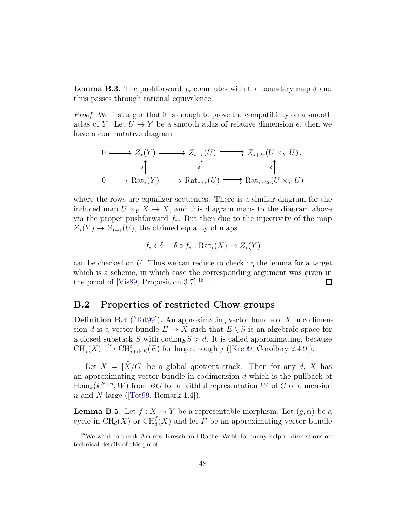**Lemma B.3.** The pushforward  $f_*$  commutes with the boundary map  $\delta$  and thus passes through rational equivalence.

Proof. We first argue that it is enough to prove the compatibility on a smooth atlas of Y. Let  $U \to Y$  be a smooth atlas of relative dimension e, then we have a commutative diagram

$$
0 \longrightarrow Z_*(Y) \longrightarrow Z_{*+e}(U) \longrightarrow Z_{*+2e}(U \times_Y U),
$$
  

$$
\delta \uparrow \qquad \qquad \delta \uparrow \qquad \qquad \delta \uparrow
$$
  

$$
0 \longrightarrow \text{Rat}_*(Y) \longrightarrow \text{Rat}_{*+e}(U) \longrightarrow \text{Rat}_{*+2e}(U \times_Y U)
$$

where the rows are equalizer sequences. There is a similar diagram for the induced map  $U \times_Y X \to X$ , and this diagram maps to the diagram above via the proper pushforward  $f_*$ . But then due to the injectivity of the map  $Z_*(Y) \to Z_{*+e}(U)$ , the claimed equality of maps

$$
f_* \circ \delta = \delta \circ f_* : \text{Rat}_*(X) \to Z_*(Y)
$$

can be checked on U. Thus we can reduce to checking the lemma for a target which is a scheme, in which case the corresponding argument was given in the proof of [\[Vis89,](#page-71-0) Proposition 3.7].[18](#page-47-0)  $\Box$ 

### B.2 Properties of restricted Chow groups

**Definition B.4** ( $[Tot99]$ ). An approximating vector bundle of X in codimension d is a vector bundle  $E \to X$  such that  $E \setminus S$  is an algebraic space for a closed substack S with  $\text{codim}_E S > d$ . It is called approximating, because  $CH_j(X) \longrightarrow CH_{j+\text{rk }E}^{\circ}(E)$  for large enough j ([\[Kre99,](#page-70-1) Corollary 2.4.9]).

Let  $X = [\widehat{X}/G]$  be a global quotient stack. Then for any d, X has an approximating vector bundle in codimension  $d$  which is the pullback of  $\text{Hom}_k(k^{N+n}, W)$  from BG for a faithful representation W of G of dimension nand N large ([\[Tot99,](#page-71-1) Remark 1.4]).

<span id="page-47-1"></span>**Lemma B.5.** Let  $f : X \to Y$  be a representable morphism. Let  $(g, \alpha)$  be a cycle in  $\text{CH}_d(X)$  or  $\text{CH}_d^f(X)$  and let F be an approximating vector bundle

<span id="page-47-0"></span><sup>&</sup>lt;sup>18</sup>We want to thank Andrew Kresch and Rachel Webb for many helpful discussions on technical details of this proof.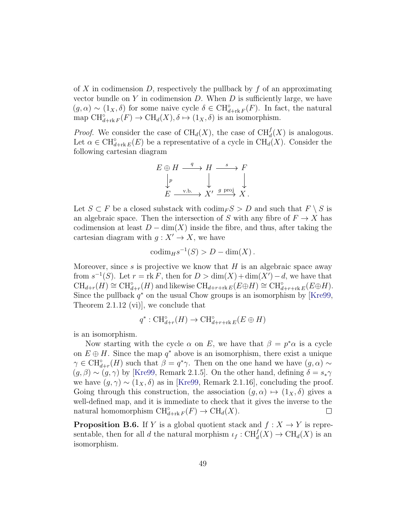of X in codimension  $D$ , respectively the pullback by  $f$  of an approximating vector bundle on  $Y$  in codimension  $D$ . When  $D$  is sufficiently large, we have  $(g, \alpha) \sim (1_X, \delta)$  for some naive cycle  $\delta \in CH^{\circ}_{d+rk} F(F)$ . In fact, the natural map  $\text{CH}_{d+\text{rk }F}^{\circ}(F) \to \text{CH}_d(X), \delta \mapsto (1_X, \delta)$  is an isomorphism.

*Proof.* We consider the case of  $\text{CH}_d(X)$ , the case of  $\text{CH}_d^f(X)$  is analogous. Let  $\alpha \in \mathrm{CH}_{d+\mathrm{rk}\, E}^{\circ}(E)$  be a representative of a cycle in  $\mathrm{CH}_{d}(X)$ . Consider the following cartesian diagram

$$
E \oplus H \xrightarrow{q} H \xrightarrow{s} F
$$
  
\n
$$
\downarrow p
$$
  
\n
$$
E \xrightarrow{v.b.} X' \xrightarrow{g \text{ proj}} X.
$$

Let  $S \subset F$  be a closed substack with  $\operatorname{codim}_F S > D$  and such that  $F \setminus S$  is an algebraic space. Then the intersection of S with any fibre of  $F \to X$  has codimension at least  $D - \dim(X)$  inside the fibre, and thus, after taking the cartesian diagram with  $g: X' \to X$ , we have

$$
codim_H s^{-1}(S) > D - dim(X).
$$

Moreover, since s is projective we know that  $H$  is an algebraic space away from  $s^{-1}(S)$ . Let  $r = \text{rk } F$ , then for  $D > \dim(X) + \dim(X') - d$ , we have that  $\text{CH}_{d+r}(H) \cong \text{CH}_{d+r}^{\circ}(H)$  and likewise  $\text{CH}_{d+r+\text{rk }E}(E \oplus H) \cong \text{CH}_{d+r+\text{rk }E}^{\circ}(E \oplus H)$ . Since the pullback  $q^*$  on the usual Chow groups is an isomorphism by [\[Kre99,](#page-70-1) Theorem 2.1.12 (vi)], we conclude that

$$
q^* : \operatorname{CH}_{d+r}^\circ(H) \to \operatorname{CH}_{d+r+\operatorname{rk} E}^\circ(E \oplus H)
$$

is an isomorphism.

Now starting with the cycle  $\alpha$  on E, we have that  $\beta = p^*\alpha$  is a cycle on  $E \oplus H$ . Since the map  $q^*$  above is an isomorphism, there exist a unique  $\gamma \in \mathrm{CH}_{d+r}^{\circ}(H)$  such that  $\beta = q^*\gamma$ . Then on the one hand we have  $(g, \alpha) \sim$  $(g, \beta) \sim (g, \gamma)$  by [\[Kre99,](#page-70-1) Remark 2.1.5]. On the other hand, defining  $\delta = s_*\gamma$ we have  $(g, \gamma) \sim (1_X, \delta)$  as in [\[Kre99,](#page-70-1) Remark 2.1.16], concluding the proof. Going through this construction, the association  $(g, \alpha) \mapsto (1_X, \delta)$  gives a well-defined map, and it is immediate to check that it gives the inverse to the natural homomorphism  $\text{CH}^{\circ}_{d+\text{rk }F}(F) \to \text{CH}_d(X)$ .  $\Box$ 

<span id="page-48-0"></span>**Proposition B.6.** If Y is a global quotient stack and  $f : X \to Y$  is representable, then for all d the natural morphism  $\iota_f: \mathrm{CH}_d^f(X) \to \mathrm{CH}_d(X)$  is an isomorphism.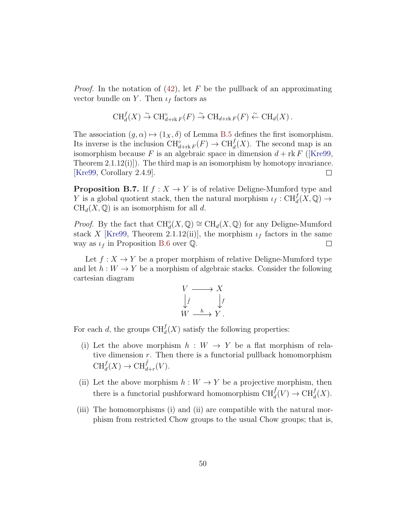*Proof.* In the notation of [\(42\)](#page-44-0), let F be the pullback of an approximating vector bundle on Y. Then  $\iota_f$  factors as

$$
\operatorname{CH}^f_d(X) \stackrel{\sim}{\to} \operatorname{CH}^{\circ}_{d+\operatorname{rk} F}(F) \stackrel{\sim}{\to} \operatorname{CH}_{d+\operatorname{rk} F}(F) \stackrel{\sim}{\leftarrow} \operatorname{CH}_d(X).
$$

The association  $(g, \alpha) \mapsto (1_X, \delta)$  of Lemma [B.5](#page-47-1) defines the first isomorphism. Its inverse is the inclusion  $\text{CH}_{d+\text{rk }F}^{\circ}(F) \to \text{CH}_{d}^{f}(X)$ . The second map is an isomorphism because F is an algebraic space in dimension  $d + \text{rk } F$  ([\[Kre99,](#page-70-1) Theorem  $2.1.12(i)$ ]. The third map is an isomorphism by homotopy invariance. [\[Kre99,](#page-70-1) Corollary 2.4.9].  $\Box$ 

**Proposition B.7.** If  $f : X \to Y$  is of relative Deligne-Mumford type and Y is a global quotient stack, then the natural morphism  $\iota_f: \mathrm{CH}_d^f(X, \mathbb{Q}) \to$  $CH_d(X, \mathbb{Q})$  is an isomorphism for all d.

*Proof.* By the fact that  $\text{CH}^{\circ}_{d}(X,\mathbb{Q}) \cong \text{CH}_{d}(X,\mathbb{Q})$  for any Deligne-Mumford stack X [\[Kre99,](#page-70-1) Theorem 2.1.12(ii)], the morphism  $\iota_f$  factors in the same way as  $\iota_f$  in Proposition [B.6](#page-48-0) over Q.  $\Box$ 

Let  $f: X \to Y$  be a proper morphism of relative Deligne-Mumford type and let  $h: W \to Y$  be a morphism of algebraic stacks. Consider the following cartesian diagram



For each d, the groups  $\text{CH}^f_d(X)$  satisfy the following properties:

- (i) Let the above morphism  $h : W \rightarrow Y$  be a flat morphism of relative dimension  $r$ . Then there is a functorial pullback homomorphism  $\mathrm{CH}_d^f(X) \to \mathrm{CH}_{d+r}^{\tilde{f}}(V).$
- (ii) Let the above morphism  $h : W \to Y$  be a projective morphism, then there is a functorial pushforward homomorphism  $\text{CH}^{\tilde{f}}_d(V) \to \text{CH}^f_d(X)$ .
- (iii) The homomorphisms (i) and (ii) are compatible with the natural morphism from restricted Chow groups to the usual Chow groups; that is,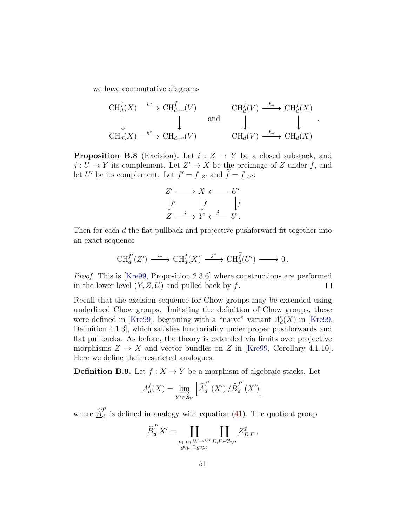we have commutative diagrams

$$
\begin{array}{ccc}\n\text{CH}_{d}^{f}(X) & \xrightarrow{h^{*}} \text{CH}_{d+r}^{\tilde{f}}(V) & & \text{CH}_{d}^{\tilde{f}}(V) \xrightarrow{h_{*}} \text{CH}_{d}^{f}(X) \\
\downarrow & & \downarrow & & \downarrow & & \downarrow \\
\text{CH}_{d}(X) & \xrightarrow{h^{*}} \text{CH}_{d+r}(V) & & & \text{CH}_{d}(V) \xrightarrow{h_{*}} \text{CH}_{d}(X)\n\end{array}
$$

.

<span id="page-50-0"></span>**Proposition B.8** (Excision). Let  $i: Z \rightarrow Y$  be a closed substack, and  $j: U \to Y$  its complement. Let  $Z' \to X$  be the preimage of Z under f, and let U' be its complement. Let  $f' = f|_{Z'}$  and  $\tilde{f} = f|_{U'}$ :

$$
Z' \longrightarrow X \longleftarrow U'
$$
  
\n
$$
\downarrow f' \qquad \downarrow f \qquad \downarrow f
$$
  
\n
$$
Z \xrightarrow{i} Y \longleftarrow{j} U.
$$

Then for each d the flat pullback and projective pushforward fit together into an exact sequence

$$
\operatorname{CH}^{f'}_d(Z') \xrightarrow{i_*} \operatorname{CH}^f_d(X) \xrightarrow{j^*} \operatorname{CH}^{\widetilde{f}}_d(U') \longrightarrow 0.
$$

Proof. This is [\[Kre99,](#page-70-1) Proposition 2.3.6] where constructions are performed in the lower level  $(Y, Z, U)$  and pulled back by f.  $\Box$ 

Recall that the excision sequence for Chow groups may be extended using underlined Chow groups. Imitating the definition of Chow groups, these were defined in [\[Kre99\]](#page-70-1), beginning with a "naive" variant  $A_d^{\circ}$  $_d^{\circ}(X)$  in [\[Kre99,](#page-70-1) Definition 4.1.3], which satisfies functoriality under proper pushforwards and flat pullbacks. As before, the theory is extended via limits over projective morphisms  $Z \to X$  and vector bundles on Z in [\[Kre99,](#page-70-1) Corollary 4.1.10]. Here we define their restricted analogues.

**Definition B.9.** Let  $f : X \to Y$  be a morphism of algebraic stacks. Let

$$
\underline{A}_d^f(X) = \lim_{Y' \in \mathfrak{A}_Y} \left[ \underline{\widehat{A}}_d^{f'}(X') / \underline{\widehat{B}}_d^{f'}(X') \right]
$$

where  $\widehat{\underline{A}}^{\mathfrak{f}'}_{d}$  $d_d$  is defined in analogy with equation [\(41\)](#page-44-1). The quotient group

$$
\underline{\widehat{B}}^{f'}_d X' = \coprod_{\substack{p_1, p_2: W \rightarrow Y' \\ g \circ p_1 \cong g \circ p_2}} \coprod_{E, F \in \mathfrak{B}_{Y'}} \underline{Z}^f_{E, F} \, ,
$$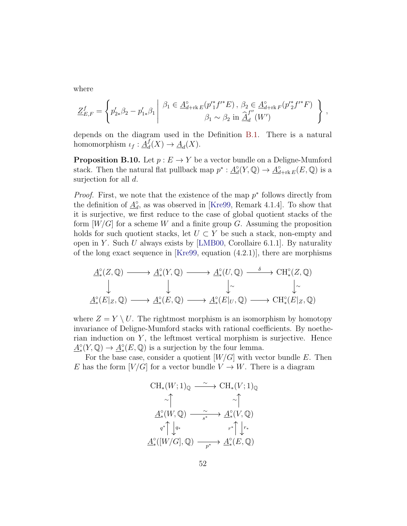where

$$
\underline{Z}_{E,F}^{f} = \left\{ p'_{2*} \beta_2 - p'_{1*} \beta_1 \middle| \beta_1 \in \underline{A}_{d+1k}^{\circ} E(p'^{*} f'^{*} E), \ \beta_2 \in \underline{A}_{d+1k}^{\circ} F(p'^{*} f'^{*} F) \atop \beta_1 \sim \beta_2 \text{ in } \underline{\hat{A}}_d^{f''}(W') \right\},
$$

depends on the diagram used in the Definition [B.1.](#page-43-0) There is a natural homomorphism  $\iota_f : \underline{A}_d^f$  $d_d(X) \to \underline{A}_d(X).$ 

<span id="page-51-0"></span>**Proposition B.10.** Let  $p: E \to Y$  be a vector bundle on a Deligne-Mumford stack. Then the natural flat pullback map  $p^* : \underline{A}_d^{\circ}$  $d_{d}(Y,\mathbb{Q}) \to \underline{A}_{d+\mathrm{rk}\, E}^{\circ}(E,\mathbb{Q})$  is a surjection for all d.

*Proof.* First, we note that the existence of the map  $p^*$  follows directly from the definition of  $\underline{A}_d^{\circ}$  $\alpha_d^{\circ}$ , as was observed in [\[Kre99,](#page-70-1) Remark 4.1.4]. To show that it is surjective, we first reduce to the case of global quotient stacks of the form  $[W/G]$  for a scheme W and a finite group G. Assuming the proposition holds for such quotient stacks, let  $U \subset Y$  be such a stack, non-empty and open in Y. Such U always exists by [\[LMB00,](#page-70-3) Corollaire 6.1.1]. By naturality of the long exact sequence in [\[Kre99,](#page-70-1) equation (4.2.1)], there are morphisms

$$
\begin{array}{ccc}\n\mathbf{A}_{*}^{\circ}(Z,\mathbb{Q}) & \longrightarrow & \mathbf{A}_{*}^{\circ}(Y,\mathbb{Q}) & \longrightarrow & \mathbf{A}_{*}^{\circ}(U,\mathbb{Q}) & \longrightarrow & \mathrm{CH}_{*}^{\circ}(Z,\mathbb{Q}) \\
\downarrow & & \downarrow & & \downarrow & & \downarrow \\
\mathbf{A}_{*}^{\circ}(E|_{Z},\mathbb{Q}) & \longrightarrow & \mathbf{A}_{*}^{\circ}(E,\mathbb{Q}) & \longrightarrow & \mathbf{A}_{*}^{\circ}(E|_{U},\mathbb{Q}) & \longrightarrow & \mathrm{CH}_{*}^{\circ}(E|_{Z},\mathbb{Q})\n\end{array}
$$

where  $Z = Y \setminus U$ . The rightmost morphism is an isomorphism by homotopy invariance of Deligne-Mumford stacks with rational coefficients. By noetherian induction on  $Y$ , the leftmost vertical morphism is surjective. Hence  $\underline{A}_{*}^{\circ}(Y,\mathbb{Q}) \to \underline{A}_{*}^{\circ}(E,\mathbb{Q})$  is a surjection by the four lemma.

For the base case, consider a quotient  $[W/G]$  with vector bundle E. Then E has the form  $[V/G]$  for a vector bundle  $V \to W$ . There is a diagram

$$
\begin{array}{ccc}\n\text{CH}_{*}(W;1)_{\mathbb{Q}} & \xrightarrow{\sim} & \text{CH}_{*}(V;1)_{\mathbb{Q}} \\
\uparrow & & \uparrow & \\
\underline{A}^{\circ}_{*}(W,\mathbb{Q}) & \xrightarrow{s^{*}} & \underline{A}^{\circ}_{*}(V,\mathbb{Q}) \\
q^{*}\uparrow \downarrow q^{*} & & r^{*}\uparrow \downarrow r^{*} \\
\underline{A}^{\circ}_{*}([W/G],\mathbb{Q}) & \xrightarrow{p^{*}} & \underline{A}^{\circ}_{*}(E,\mathbb{Q})\n\end{array}
$$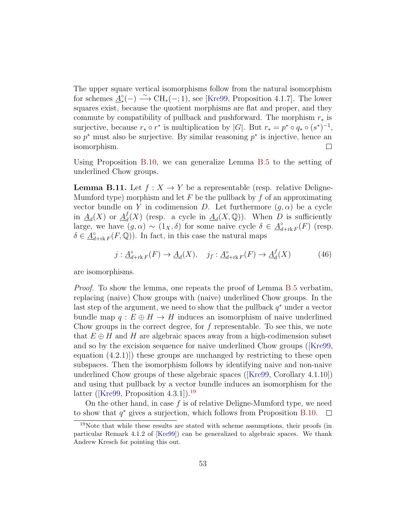The upper square vertical isomorphisms follow from the natural isomorphism for schemes  $\underline{A}^{\circ}_{*}(-) \longrightarrow \text{CH}_{*}(-;1)$ , see [\[Kre99,](#page-70-1) Proposition 4.1.7]. The lower squares exist, because the quotient morphisms are flat and proper, and they commute by compatibility of pullback and pushforward. The morphism  $r_*$  is surjective, because  $r_* \circ r^*$  is multiplication by |G|. But  $r_* = p^* \circ q_* \circ (s^*)^{-1}$ , so  $p^*$  must also be surjective. By similar reasoning  $p^*$  is injective, hence an isomorphism.  $\Box$ 

Using Proposition [B.10,](#page-51-0) we can generalize Lemma [B.5](#page-47-1) to the setting of underlined Chow groups.

<span id="page-52-2"></span>**Lemma B.11.** Let  $f: X \to Y$  be a representable (resp. relative Deligne-Mumford type) morphism and let F be the pullback by f of an approximating vector bundle on Y in codimension D. Let furthermore  $(q, \alpha)$  be a cycle in  $\underline{A}_d(X)$  or  $\underline{A}_d^f$  $d_d(X)$  (resp. a cycle in  $\underline{A}_d(X,\mathbb{Q})$ ). When D is sufficiently large, we have  $(g, \alpha) \sim (1_X, \delta)$  for some naive cycle  $\delta \in \underline{A}_d^{\delta}$  $\int_{d+\text{rk }F}^{\circ}(F)$  (resp.  $\delta \in \underline{A}_d^{\circ}$  $\mathcal{L}_{d+\text{rk }F}^{\circ}(F,\mathbb{Q})$ . In fact, in this case the natural maps

<span id="page-52-1"></span>
$$
j: \underline{A}^{\circ}_{d+rk}F(F) \to \underline{A}_d(X), \quad j_f: \underline{A}^{\circ}_{d+rk}F(F) \to \underline{A}^f_d(X) \tag{46}
$$

are isomorphisms.

Proof. To show the lemma, one repeats the proof of Lemma [B.5](#page-47-1) verbatim, replacing (naive) Chow groups with (naive) underlined Chow groups. In the last step of the argument, we need to show that the pullback  $q^*$  under a vector bundle map  $q : E \oplus H \to H$  induces an isomorphism of naive underlined Chow groups in the correct degree, for  $f$  representable. To see this, we note that  $E \oplus H$  and H are algebraic spaces away from a high-codimension subset and so by the excision sequence for naive underlined Chow groups([\[Kre99,](#page-70-1) equation (4.2.1)]) these groups are unchanged by restricting to these open subspaces. Then the isomorphism follows by identifying naive and non-naive underlined Chow groups of these algebraic spaces([\[Kre99,](#page-70-1) Corollary 4.1.10]) and using that pullback by a vector bundle induces an isomorphism for the latter ([\[Kre99,](#page-70-1) Proposition  $4.3.1$ ]).<sup>[19](#page-52-0)</sup>

On the other hand, in case  $f$  is of relative Deligne-Mumford type, we need to show that  $q^*$  gives a surjection, which follows from Proposition [B.10.](#page-51-0)  $\Box$ 

<span id="page-52-0"></span> $19$ Note that while these results are stated with scheme assumptions, their proofs (in particular Remark 4.1.2 of [\[Kre99\]](#page-70-1)) can be generalized to algebraic spaces. We thank Andrew Kresch for pointing this out.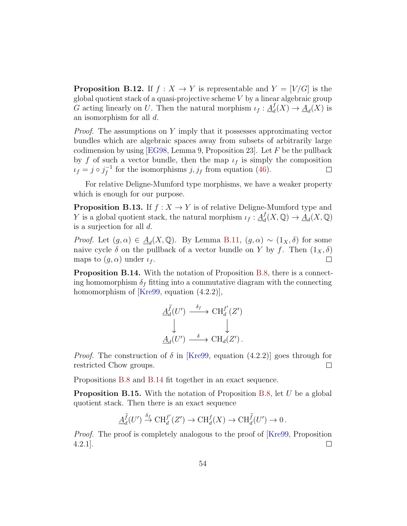<span id="page-53-2"></span>**Proposition B.12.** If  $f : X \to Y$  is representable and  $Y = [V/G]$  is the global quotient stack of a quasi-projective scheme  $V$  by a linear algebraic group G acting linearly on U. Then the natural morphism  $\iota_f : \underline{A}_d^f$  $d_d(X) \to \underline{A}_d(X)$  is an isomorphism for all d.

Proof. The assumptions on Y imply that it possesses approximating vector bundles which are algebraic spaces away from subsets of arbitrarily large codimension by using [\[EG98,](#page-69-0) Lemma 9, Proposition 23]. Let  $F$  be the pullback by f of such a vector bundle, then the map  $\iota_f$  is simply the composition  $\iota_f = j \circ j_f^{-1}$  $f^{-1}$  for the isomorphisms  $j, j_f$  from equation [\(46\)](#page-52-1).  $\Box$ 

For relative Deligne-Mumford type morphisms, we have a weaker property which is enough for our purpose.

<span id="page-53-3"></span>**Proposition B.13.** If  $f: X \to Y$  is of relative Deligne-Mumford type and Y is a global quotient stack, the natural morphism  $\iota_f : \underline{A}_d^f$  $d_d(X, \mathbb{Q}) \to \underline{A}_d(X, \mathbb{Q})$ is a surjection for all d.

*Proof.* Let  $(g, \alpha) \in \underline{A}_d(X, \mathbb{Q})$ . By Lemma [B.11,](#page-52-2)  $(g, \alpha) \sim (1_X, \delta)$  for some naive cycle  $\delta$  on the pullback of a vector bundle on Y by f. Then  $(1_X, \delta)$ maps to  $(g, \alpha)$  under  $\iota_f$ .  $\Box$ 

<span id="page-53-0"></span>Proposition B.14. With the notation of Proposition [B.8,](#page-50-0) there is a connecting homomorphism  $\delta_f$  fitting into a commutative diagram with the connecting homomorphism of [\[Kre99,](#page-70-1) equation  $(4.2.2)$ ],

$$
\underline{A}_d^{\widetilde{f}}(U') \stackrel{\delta_f}{\longrightarrow} \mathrm{CH}_d^{f'}(Z')
$$
  

$$
\downarrow \qquad \qquad \downarrow
$$
  

$$
\underline{A}_d(U') \stackrel{\delta}{\longrightarrow} \mathrm{CH}_d(Z').
$$

*Proof.* The construction of  $\delta$  in [\[Kre99,](#page-70-1) equation (4.2.2)] goes through for restricted Chow groups.  $\Box$ 

Propositions [B.8](#page-50-0) and [B.14](#page-53-0) fit together in an exact sequence.

<span id="page-53-1"></span>**Proposition B.15.** With the notation of Proposition [B.8,](#page-50-0) let  $U$  be a global quotient stack. Then there is an exact sequence

$$
\underline{A}_d^{\widetilde{f}}(U') \xrightarrow{\delta_f} \mathrm{CH}^{f'}_d(Z') \to \mathrm{CH}^f_d(X) \to \mathrm{CH}^{\widetilde{f}}_d(U') \to 0.
$$

*Proof.* The proof is completely analogous to the proof of [\[Kre99,](#page-70-1) Proposition] 4.2.1].  $\Box$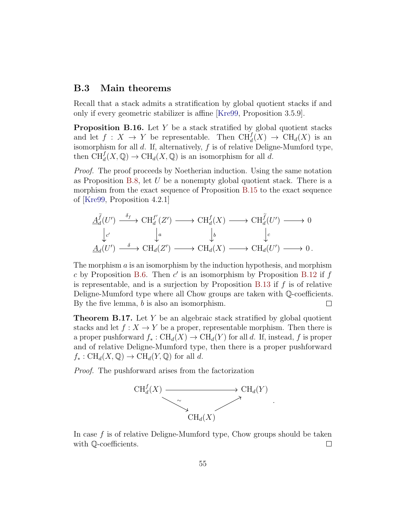#### B.3 Main theorems

Recall that a stack admits a stratification by global quotient stacks if and only if every geometric stabilizer is affine [\[Kre99,](#page-70-1) Proposition 3.5.9].

**Proposition B.16.** Let  $Y$  be a stack stratified by global quotient stacks and let  $f: X \to Y$  be representable. Then  $\text{CH}^f_d(X) \to \text{CH}_d(X)$  is an isomorphism for all  $d$ . If, alternatively,  $f$  is of relative Deligne-Mumford type, then  $\text{CH}^f_d(X,\mathbb{Q}) \to \text{CH}_d(X,\mathbb{Q})$  is an isomorphism for all d.

Proof. The proof proceeds by Noetherian induction. Using the same notation as Proposition [B.8,](#page-50-0) let  $U$  be a nonempty global quotient stack. There is a morphism from the exact sequence of Proposition [B.15](#page-53-1) to the exact sequence of [\[Kre99,](#page-70-1) Proposition 4.2.1]

$$
\begin{array}{ccc}\n\Delta_d^{\widetilde{f}}(U') & \xrightarrow{\delta_f} & \text{CH}^{f'}_d(Z') & \longrightarrow & \text{CH}^f_d(X) & \longrightarrow & \text{CH}^{\widetilde{f}}_d(U') & \longrightarrow & 0 \\
\downarrow_{c'} & \downarrow_a & \downarrow_b & \downarrow_c \\
\Delta_d(U') & \xrightarrow{\delta} & \text{CH}_d(Z') & \longrightarrow & \text{CH}_d(X) & \longrightarrow & \text{CH}_d(U') & \longrightarrow & 0.\n\end{array}
$$

The morphism  $\alpha$  is an isomorphism by the induction hypothesis, and morphism c by Proposition [B.6.](#page-48-0) Then  $c'$  is an isomorphism by Proposition [B.12](#page-53-2) if  $f$ is representable, and is a surjection by Proposition [B.13](#page-53-3) if  $f$  is of relative Deligne-Mumford type where all Chow groups are taken with Q-coefficients. By the five lemma, b is also an isomorphism.  $\Box$ 

<span id="page-54-0"></span>**Theorem B.17.** Let Y be an algebraic stack stratified by global quotient stacks and let  $f: X \to Y$  be a proper, representable morphism. Then there is a proper pushforward  $f_* : CH_d(X) \to CH_d(Y)$  for all d. If, instead, f is proper and of relative Deligne-Mumford type, then there is a proper pushforward  $f_*: \text{CH}_d(X, \mathbb{Q}) \to \text{CH}_d(Y, \mathbb{Q})$  for all d.

Proof. The pushforward arises from the factorization



In case  $f$  is of relative Deligne-Mumford type, Chow groups should be taken with  $\mathbb{Q}$ -coefficients.  $\Box$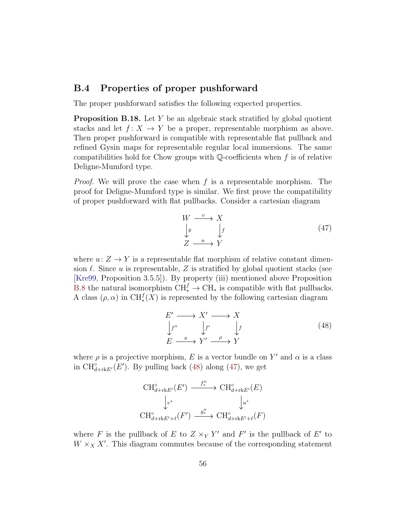### B.4 Properties of proper pushforward

The proper pushforward satisfies the following expected properties.

<span id="page-55-2"></span>**Proposition B.18.** Let Y be an algebraic stack stratified by global quotient stacks and let  $f: X \to Y$  be a proper, representable morphism as above. Then proper pushforward is compatible with representable flat pullback and refined Gysin maps for representable regular local immersions. The same compatibilities hold for Chow groups with  $\mathbb{Q}$ -coefficients when f is of relative Deligne-Mumford type.

*Proof.* We will prove the case when f is a representable morphism. The proof for Deligne-Mumford type is similar. We first prove the compatibility of proper pushforward with flat pullbacks. Consider a cartesian diagram

<span id="page-55-1"></span>
$$
W \xrightarrow{v} X
$$
  
\n
$$
\downarrow g \qquad \downarrow f
$$
  
\n
$$
Z \xrightarrow{u} Y
$$
  
\n(47)

where  $u: Z \to Y$  is a representable flat morphism of relative constant dimension  $\ell$ . Since u is representable, Z is stratified by global quotient stacks (see [\[Kre99,](#page-70-1) Proposition 3.5.5]). By property (iii) mentioned above Proposition [B.8](#page-50-0) the natural isomorphism  $\text{CH}_{*}^{f} \to \text{CH}_{*}$  is compatible with flat pullbacks. A class  $(\rho, \alpha)$  in CH<sup> $f$ </sup><sub>\*</sub> $(X)$  is represented by the following cartesian diagram

<span id="page-55-0"></span>
$$
E' \longrightarrow X' \longrightarrow X
$$
  
\n
$$
\downarrow f'' \qquad \downarrow f' \qquad \downarrow f
$$
  
\n
$$
E \xrightarrow{\pi} Y' \xrightarrow{\rho} Y
$$
 (48)

where  $\rho$  is a projective morphism, E is a vector bundle on Y' and  $\alpha$  is a class in  $\text{CH}_{d+\text{rk}E'}^{\circ}(E')$ . By pulling back [\(48\)](#page-55-0) along [\(47\)](#page-55-1), we get

$$
\begin{aligned}\n\operatorname{CH}_{d+\operatorname{rk} E'}^{\circ}(E') & \xrightarrow{f''_{*}} \operatorname{CH}_{d+\operatorname{rk} E'}^{\circ}(E) \\
&\downarrow_{v^{*}} &\downarrow_{u^{*}} \\
\operatorname{CH}_{d+\operatorname{rk} E'+\ell}^{\circ}(F') & \xrightarrow{g''_{*}} \operatorname{CH}_{d+\operatorname{rk} E'+\ell}^{\circ}(F)\n\end{aligned}
$$

where F is the pullback of E to  $Z \times_Y Y'$  and F' is the pullback of E' to  $W \times_X X'$ . This diagram commutes because of the corresponding statement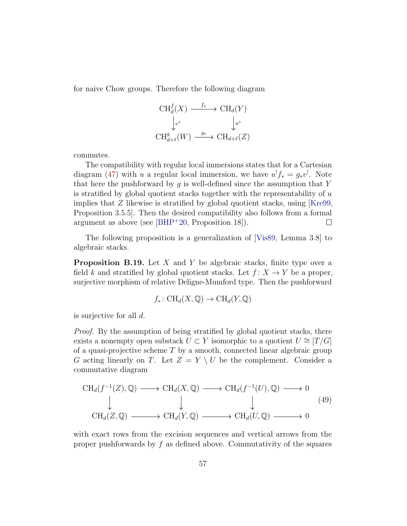for naive Chow groups. Therefore the following diagram

$$
\begin{array}{ccc}\n\text{CH}_d^f(X) & \xrightarrow{f_*} & \text{CH}_d(Y) \\
\downarrow_{v^*} & & \downarrow_{u^*} \\
\text{CH}_{d+\ell}^g(W) & \xrightarrow{g_*} & \text{CH}_{d+\ell}(Z)\n\end{array}
$$

commutes.

The compatibility with regular local immersions states that for a Cartesian diagram [\(47\)](#page-55-1) with u a regular local immersion, we have  $u^! f_* = g_* v^!$ . Note that here the pushforward by  $q$  is well-defined since the assumption that Y is stratified by global quotient stacks together with the representability of  $u$ implies that  $Z$  likewise is stratified by global quotient stacks, using [\[Kre99,](#page-70-1) Proposition 3.5.5]. Then the desired compatibility also follows from a formal argument as above (see [\[BHP](#page-68-0)<sup>+</sup>20, Proposition 18]).  $\Box$ 

The following proposition is a generalization of [\[Vis89,](#page-71-0) Lemma 3.8] to algebraic stacks.

<span id="page-56-0"></span>**Proposition B.19.** Let  $X$  and  $Y$  be algebraic stacks, finite type over a field k and stratified by global quotient stacks. Let  $f: X \to Y$  be a proper, surjective morphism of relative Deligne-Mumford type. Then the pushforward

$$
f_*\colon \text{CH}_d(X,\mathbb{Q})\to \text{CH}_d(Y,\mathbb{Q})
$$

is surjective for all d.

Proof. By the assumption of being stratified by global quotient stacks, there exists a nonempty open substack  $U \subset Y$  isomorphic to a quotient  $U \cong [T/G]$ of a quasi-projective scheme  $T$  by a smooth, connected linear algebraic group G acting linearly on T. Let  $Z = Y \setminus U$  be the complement. Consider a commutative diagram

$$
\mathrm{CH}_{d}(f^{-1}(Z), \mathbb{Q}) \longrightarrow \mathrm{CH}_{d}(X, \mathbb{Q}) \longrightarrow \mathrm{CH}_{d}(f^{-1}(U), \mathbb{Q}) \longrightarrow 0
$$
  
\n
$$
\downarrow \qquad \qquad \downarrow \qquad \qquad \downarrow \qquad (49)
$$
  
\n
$$
\mathrm{CH}_{d}(Z, \mathbb{Q}) \longrightarrow \mathrm{CH}_{d}(Y, \mathbb{Q}) \longrightarrow \mathrm{CH}_{d}(U, \mathbb{Q}) \longrightarrow 0
$$

with exact rows from the excision sequences and vertical arrows from the proper pushforwards by  $f$  as defined above. Commutativity of the squares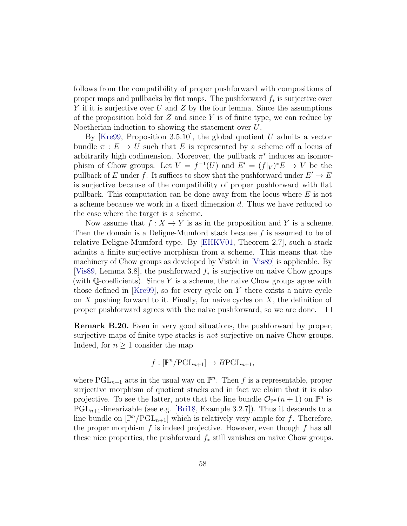follows from the compatibility of proper pushforward with compositions of proper maps and pullbacks by flat maps. The pushforward  $f_*$  is surjective over Y if it is surjective over U and Z by the four lemma. Since the assumptions of the proposition hold for  $Z$  and since  $Y$  is of finite type, we can reduce by Noetherian induction to showing the statement over U.

By [\[Kre99,](#page-70-1) Proposition 3.5.10], the global quotient  $U$  admits a vector bundle  $\pi : E \to U$  such that E is represented by a scheme off a locus of arbitrarily high codimension. Moreover, the pullback  $\pi^*$  induces an isomorphism of Chow groups. Let  $V = f^{-1}(U)$  and  $E' = (f|_V)^*E \to V$  be the pullback of E under f. It suffices to show that the pushforward under  $E' \to E$ is surjective because of the compatibility of proper pushforward with flat pullback. This computation can be done away from the locus where  $E$  is not a scheme because we work in a fixed dimension d. Thus we have reduced to the case where the target is a scheme.

Now assume that  $f: X \to Y$  is as in the proposition and Y is a scheme. Then the domain is a Deligne-Mumford stack because f is assumed to be of relative Deligne-Mumford type. By [\[EHKV01,](#page-69-1) Theorem 2.7], such a stack admits a finite surjective morphism from a scheme. This means that the machinery of Chow groups as developed by Vistoli in [\[Vis89\]](#page-71-0) is applicable. By [\[Vis89,](#page-71-0) Lemma 3.8], the pushforward f<sup>∗</sup> is surjective on naive Chow groups (with  $\mathbb Q$ -coefficients). Since Y is a scheme, the naive Chow groups agree with those defined in [\[Kre99\]](#page-70-1), so for every cycle on Y there exists a naive cycle on  $X$  pushing forward to it. Finally, for naive cycles on  $X$ , the definition of proper pushforward agrees with the naive pushforward, so we are done.  $\Box$ 

Remark B.20. Even in very good situations, the pushforward by proper, surjective maps of finite type stacks is *not* surjective on naive Chow groups. Indeed, for  $n \geq 1$  consider the map

$$
f: [\mathbb{P}^n/\mathrm{PGL}_{n+1}] \to B\mathrm{PGL}_{n+1},
$$

where  $PGL_{n+1}$  acts in the usual way on  $\mathbb{P}^n$ . Then f is a representable, proper surjective morphism of quotient stacks and in fact we claim that it is also projective. To see the latter, note that the line bundle  $\mathcal{O}_{\mathbb{P}^n}(n+1)$  on  $\mathbb{P}^n$  is  $PGL_{n+1}$ -linearizable (see e.g. [\[Bri18,](#page-68-1) Example 3.2.7]). Thus it descends to a line bundle on  $[\mathbb{P}^n/\mathrm{PGL}_{n+1}]$  which is relatively very ample for f. Therefore, the proper morphism  $f$  is indeed projective. However, even though  $f$  has all these nice properties, the pushforward  $f_*$  still vanishes on naive Chow groups.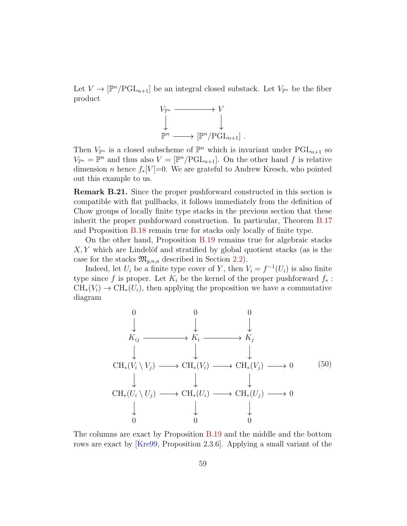Let  $V \to [\mathbb{P}^n/\mathrm{PGL}_{n+1}]$  be an integral closed substack. Let  $V_{\mathbb{P}^n}$  be the fiber product



Then  $V_{\mathbb{P}^n}$  is a closed subscheme of  $\mathbb{P}^n$  which is invariant under  $PGL_{n+1}$  so  $V_{\mathbb{P}^n} = \mathbb{P}^n$  and thus also  $V = [\mathbb{P}^n/\mathrm{PGL}_{n+1}]$ . On the other hand f is relative dimension *n* hence  $f_*[V]=0$ . We are grateful to Andrew Kresch, who pointed out this example to us.

Remark B.21. Since the proper pushforward constructed in this section is compatible with flat pullbacks, it follows immediately from the definition of Chow groups of locally finite type stacks in the previous section that these inherit the proper pushforward construction. In particular, Theorem [B.17](#page-54-0) and Proposition [B.18](#page-55-2) remain true for stacks only locally of finite type.

On the other hand, Proposition [B.19](#page-56-0) remains true for algebraic stacks  $X, Y$  which are Lindelöf and stratified by global quotient stacks (as is the case for the stacks  $\mathfrak{M}_{q,n,a}$  described in Section [2.2\)](#page-15-0).

Indeed, let  $U_i$  be a finite type cover of Y, then  $V_i = f^{-1}(U_i)$  is also finite type since f is proper. Let  $K_i$  be the kernel of the proper pushforward  $f_*$ :  $CH_*(V_i) \to CH_*(U_i)$ , then applying the proposition we have a commutative diagram



The columns are exact by Proposition [B.19](#page-56-0) and the middle and the bottom rows are exact by [\[Kre99,](#page-70-1) Proposition 2.3.6]. Applying a small variant of the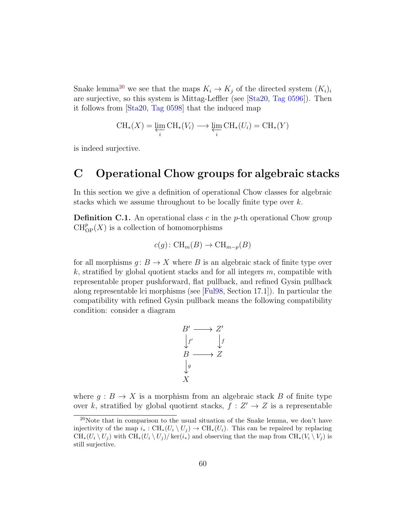Snake lemma<sup>[20](#page-59-1)</sup> we see that the maps  $K_i \to K_j$  of the directed system  $(K_i)_i$ are surjective, so this system is Mittag-Leffler (see [\[Sta20,](#page-70-2) [Tag 0596\]](https://stacks.math.columbia.edu/tag/0596)). Then it follows from [\[Sta20,](#page-70-2) [Tag 0598\]](https://stacks.math.columbia.edu/tag/0598) that the induced map

$$
CH_*(X) = \varprojlim_i CH_*(V_i) \longrightarrow \varprojlim_i CH_*(U_i) = CH_*(Y)
$$

is indeed surjective.

## <span id="page-59-0"></span>C Operational Chow groups for algebraic stacks

In this section we give a definition of operational Chow classes for algebraic stacks which we assume throughout to be locally finite type over k.

<span id="page-59-2"></span>**Definition C.1.** An operational class c in the  $p$ -th operational Chow group  $\operatorname{CH}^p_{\operatorname{OP}}(X)$  is a collection of homomorphisms

$$
c(g) \colon \text{CH}_m(B) \to \text{CH}_{m-p}(B)
$$

for all morphisms  $g: B \to X$  where B is an algebraic stack of finite type over  $k$ , stratified by global quotient stacks and for all integers  $m$ , compatible with representable proper pushforward, flat pullback, and refined Gysin pullback along representable lci morphisms (see [\[Ful98,](#page-69-2) Section 17.1]). In particular the compatibility with refined Gysin pullback means the following compatibility condition: consider a diagram

$$
B' \longrightarrow Z'
$$
  
\n
$$
\downarrow f' \qquad \downarrow f
$$
  
\n
$$
B \longrightarrow Z
$$
  
\n
$$
\downarrow g
$$
  
\n
$$
X
$$

where  $g : B \to X$  is a morphism from an algebraic stack B of finite type over k, stratified by global quotient stacks,  $f: Z' \to Z$  is a representable

<span id="page-59-1"></span> $20$ Note that in comparison to the usual situation of the Snake lemma, we don't have injectivity of the map  $i_* : \operatorname{CH}_*(U_i \setminus U_j) \to \operatorname{CH}_*(U_i)$ . This can be repaired by replacing  $CH_*(U_i \setminus U_j)$  with  $CH_*(U_i \setminus U_j)/\ker(i_*)$  and observing that the map from  $CH_*(V_i \setminus V_j)$  is still surjective.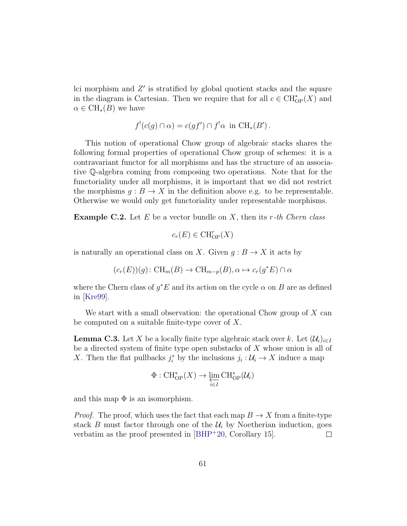lci morphism and Z ′ is stratified by global quotient stacks and the square in the diagram is Cartesian. Then we require that for all  $c \in \mathrm{CH}^*_{\mathrm{OP}}(X)$  and  $\alpha \in CH_*(B)$  we have

$$
f'(c(g) \cap \alpha) = c(gf') \cap f' \alpha \text{ in } CH_*(B').
$$

This notion of operational Chow group of algebraic stacks shares the following formal properties of operational Chow group of schemes: it is a contravariant functor for all morphisms and has the structure of an associative Q-algebra coming from composing two operations. Note that for the functoriality under all morphisms, it is important that we did not restrict the morphisms  $g : B \to X$  in the definition above e.g. to be representable. Otherwise we would only get functoriality under representable morphisms.

**Example C.2.** Let E be a vector bundle on X, then its r-th Chern class

$$
c_r(E) \in \operatorname{CH}^r_{\mathsf{OP}}(X)
$$

is naturally an operational class on X. Given  $g : B \to X$  it acts by

$$
(c_r(E))(g): \operatorname{CH}_m(B) \to \operatorname{CH}_{m-p}(B), \alpha \mapsto c_r(g^*E) \cap \alpha
$$

where the Chern class of  $g^*E$  and its action on the cycle  $\alpha$  on B are as defined in [\[Kre99\]](#page-70-1).

We start with a small observation: the operational Chow group of  $X$  can be computed on a suitable finite-type cover of X.

<span id="page-60-0"></span>**Lemma C.3.** Let X be a locally finite type algebraic stack over k. Let  $(\mathcal{U}_i)_{i\in I}$ be a directed system of finite type open substacks of X whose union is all of X. Then the flat pullbacks  $j_i^*$  by the inclusions  $j_i: \mathcal{U}_i \to X$  induce a map

$$
\Phi : \operatorname{CH}^*_{\operatorname{OP}}(X) \to \varprojlim_{i \in I} \operatorname{CH}^*_{\operatorname{OP}}(\mathcal{U}_i)
$$

and this map  $\Phi$  is an isomorphism.

*Proof.* The proof, which uses the fact that each map  $B \to X$  from a finite-type stack B must factor through one of the  $\mathcal{U}_i$  by Noetherian induction, goes verbatim as the proof presented in [\[BHP](#page-68-0)<sup>+</sup>20, Corollary 15].  $\Box$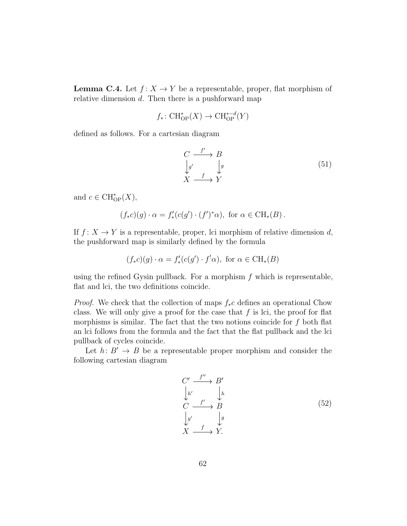**Lemma C.4.** Let  $f: X \to Y$  be a representable, proper, flat morphism of relative dimension d. Then there is a pushforward map

$$
f_*\colon \mathrm{CH}^*_{\mathrm{OP}}(X) \to \mathrm{CH}^{*-d}_{\mathrm{OP}}(Y)
$$

defined as follows. For a cartesian diagram

$$
\begin{array}{ccc}\nC & \xrightarrow{f'} & B \\
\downarrow g' & & g \\
X & \xrightarrow{f} & Y\n\end{array} \tag{51}
$$

and  $c \in \mathrm{CH}^*_{\mathrm{OP}}(X)$ ,

$$
(f_*c)(g) \cdot \alpha = f'_*(c(g') \cdot (f')^*\alpha), \text{ for } \alpha \in \mathrm{CH}_*(B).
$$

If  $f: X \to Y$  is a representable, proper, lci morphism of relative dimension d, the pushforward map is similarly defined by the formula

$$
(f_*c)(g) \cdot \alpha = f'_*(c(g') \cdot f^!\alpha), \text{ for } \alpha \in \text{CH}_*(B)
$$

using the refined Gysin pullback. For a morphism  $f$  which is representable, flat and lci, the two definitions coincide.

*Proof.* We check that the collection of maps  $f_*c$  defines an operational Chow class. We will only give a proof for the case that  $f$  is lci, the proof for flat morphisms is similar. The fact that the two notions coincide for  $f$  both flat an lci follows from the formula and the fact that the flat pullback and the lci pullback of cycles coincide.

Let  $h: B' \to B$  be a representable proper morphism and consider the following cartesian diagram

$$
C' \xrightarrow{f''} B'
$$
\n
$$
\downarrow h'
$$
\n
$$
C \xrightarrow{f'} B
$$
\n
$$
\downarrow g'
$$
\n
$$
X \xrightarrow{f} Y.
$$
\n(52)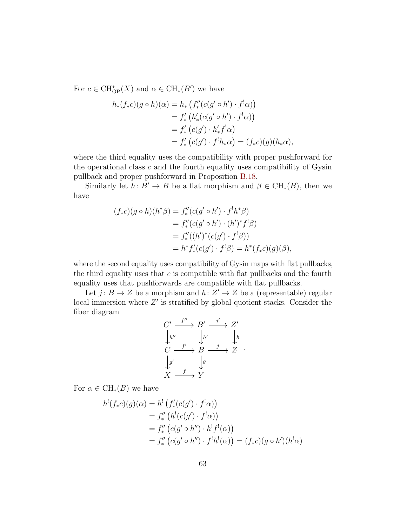For  $c \in \text{CH}_{\text{OP}}^{*}(X)$  and  $\alpha \in \text{CH}_{*}(B')$  we have

$$
h_*(f_*c)(g \circ h)(\alpha) = h_* \left( f''_*(c(g' \circ h') \cdot f^! \alpha) \right)
$$
  
=  $f'_*(h'_*(c(g' \circ h') \cdot f^! \alpha))$   
=  $f'_*(c(g') \cdot h'_* f^! \alpha)$   
=  $f'_*(c(g') \cdot f^! h_* \alpha) = (f_* c)(g)(h_* \alpha),$ 

where the third equality uses the compatibility with proper pushforward for the operational class  $c$  and the fourth equality uses compatibility of Gysin pullback and proper pushforward in Proposition [B.18.](#page-55-2)

Similarly let  $h: B' \to B$  be a flat morphism and  $\beta \in CH_*(B)$ , then we have

$$
(f_*c)(g \circ h)(h^*\beta) = f''_* (c(g' \circ h') \cdot f^!h^*\beta)
$$
  
=  $f''_* (c(g' \circ h') \cdot (h')^*f^!\beta)$   
=  $f'''_* ((h')^* (c(g') \cdot f^!\beta))$   
=  $h^*f'_* (c(g') \cdot f^!\beta) = h^*(f_*c)(g)(\beta),$ 

where the second equality uses compatibility of Gysin maps with flat pullbacks, the third equality uses that  $c$  is compatible with flat pullbacks and the fourth equality uses that pushforwards are compatible with flat pullbacks.

Let  $j: B \to Z$  be a morphism and  $h: Z' \to Z$  be a (representable) regular local immersion where  $Z'$  is stratified by global quotient stacks. Consider the fiber diagram

$$
C' \xrightarrow{f''} B' \xrightarrow{j'} Z'
$$
  
\n
$$
\downarrow h''
$$
  
\n
$$
C \xrightarrow{f'} B \xrightarrow{j} Z
$$
  
\n
$$
\downarrow g'
$$
  
\n
$$
X \xrightarrow{f} Y
$$

.

For  $\alpha \in \mathrm{CH}_*(B)$  we have

$$
h'(f_*c)(g)(\alpha) = h'(f'_*(c(g') \cdot f'\alpha))
$$
  
=  $f''_*(h'(c(g') \cdot f'\alpha))$   
=  $f''_*(c(g' \circ h'') \cdot h'f'(\alpha))$   
=  $f''_*(c(g' \circ h'') \cdot f'h'(\alpha)) = (f_*c)(g \circ h')(h' \alpha)$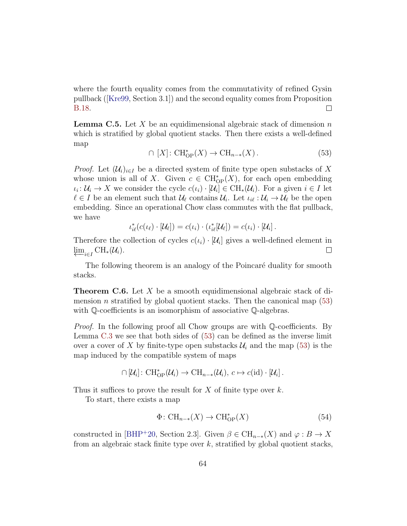where the fourth equality comes from the commutativity of refined Gysin pullback([\[Kre99,](#page-70-1) Section 3.1]) and the second equality comes from Proposition [B.18.](#page-55-2)  $\Box$ 

**Lemma C.5.** Let X be an equidimensional algebraic stack of dimension  $n$ which is stratified by global quotient stacks. Then there exists a well-defined map

<span id="page-63-0"></span>
$$
\cap [X]: CH^*_{OP}(X) \to CH_{n-*}(X).
$$
\n(53)

*Proof.* Let  $(\mathcal{U}_i)_{i\in I}$  be a directed system of finite type open substacks of X whose union is all of X. Given  $c \in \text{CH}_{\text{OP}}^{*}(X)$ , for each open embedding  $\iota_i: \mathcal{U}_i \to X$  we consider the cycle  $c(\iota_i) \cdot [\mathcal{U}_i] \in \mathrm{CH}_*(\mathcal{U}_i)$ . For a given  $i \in I$  let  $\ell \in I$  be an element such that  $\mathcal{U}_{\ell}$  contains  $\mathcal{U}_{i}$ . Let  $\iota_{i\ell} : \mathcal{U}_{i} \to \mathcal{U}_{\ell}$  be the open embedding. Since an operational Chow class commutes with the flat pullback, we have

$$
\iota_{i\ell}^*(c(\iota_{\ell})\cdot[\mathcal{U}_{\ell}])=c(\iota_i)\cdot(\iota_{i\ell}^*[\mathcal{U}_{\ell}])=c(\iota_i)\cdot[\mathcal{U}_i].
$$

Therefore the collection of cycles  $c(\iota_i) \cdot [\mathcal{U}_i]$  gives a well-defined element in  $\varprojlim_{i \in I} \operatorname{CH}_*(\mathcal{U}_i).$  $\Box$ 

The following theorem is an analogy of the Poincaré duality for smooth stacks.

<span id="page-63-1"></span>**Theorem C.6.** Let X be a smooth equidimensional algebraic stack of dimension *n* stratified by global quotient stacks. Then the canonical map  $(53)$ with  $\mathbb Q$ -coefficients is an isomorphism of associative  $\mathbb Q$ -algebras.

Proof. In the following proof all Chow groups are with Q-coefficients. By Lemma [C.3](#page-60-0) we see that both sides of [\(53\)](#page-63-0) can be defined as the inverse limit over a cover of X by finite-type open substacks  $\mathcal{U}_i$  and the map [\(53\)](#page-63-0) is the map induced by the compatible system of maps

$$
\cap [\mathcal{U}_i]: \mathrm{CH}^*_{\mathrm{OP}}(\mathcal{U}_i) \to \mathrm{CH}_{n-*}(\mathcal{U}_i), c \mapsto c(\mathrm{id}) \cdot [\mathcal{U}_i].
$$

Thus it suffices to prove the result for  $X$  of finite type over  $k$ .

To start, there exists a map

$$
\Phi: \operatorname{CH}_{n-*}(X) \to \operatorname{CH}^*_{\mathcal{O}P}(X) \tag{54}
$$

constructed in [\[BHP](#page-68-0)+20, Section 2.3]. Given  $\beta \in \mathrm{CH}_{n-*}(X)$  and  $\varphi : B \to X$ from an algebraic stack finite type over  $k$ , stratified by global quotient stacks,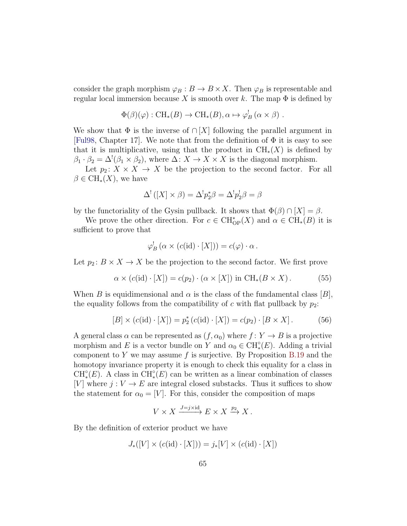consider the graph morphism  $\varphi_B : B \to B \times X$ . Then  $\varphi_B$  is representable and regular local immersion because X is smooth over k. The map  $\Phi$  is defined by

$$
\Phi(\beta)(\varphi): \text{CH}_*(B) \to \text{CH}_*(B), \alpha \mapsto \varphi_B^! (\alpha \times \beta) .
$$

We show that  $\Phi$  is the inverse of  $\cap [X]$  following the parallel argument in [\[Ful98,](#page-69-2) Chapter 17]. We note that from the definition of  $\Phi$  it is easy to see that it is multiplicative, using that the product in  $\mathrm{CH}_{*}(X)$  is defined by  $\beta_1 \cdot \beta_2 = \Delta^!(\beta_1 \times \beta_2)$ , where  $\Delta \colon X \to X \times X$  is the diagonal morphism.

Let  $p_2: X \times X \to X$  be the projection to the second factor. For all  $\beta \in \text{CH}_{*}(X)$ , we have

$$
\Delta^! ([X] \times \beta) = \Delta^! p_2^* \beta = \Delta^! p_2^! \beta = \beta
$$

by the functoriality of the Gysin pullback. It shows that  $\Phi(\beta) \cap |X| = \beta$ .

We prove the other direction. For  $c \in \text{CH}_{\text{OP}}^{*}(X)$  and  $\alpha \in \text{CH}_{*}(B)$  it is sufficient to prove that

$$
\varphi_B^! \left( \alpha \times (c(\mathrm{id}) \cdot [X]) \right) = c(\varphi) \cdot \alpha \, .
$$

Let  $p_2: B \times X \to X$  be the projection to the second factor. We first prove

<span id="page-64-1"></span>
$$
\alpha \times (c(\text{id}) \cdot [X]) = c(p_2) \cdot (\alpha \times [X]) \text{ in } \text{CH}_*(B \times X). \tag{55}
$$

When B is equidimensional and  $\alpha$  is the class of the fundamental class  $|B|$ , the equality follows from the compatibility of c with flat pullback by  $p_2$ :

<span id="page-64-0"></span>
$$
[B] \times (c(\text{id}) \cdot [X]) = p_2^* (c(\text{id}) \cdot [X]) = c(p_2) \cdot [B \times X]. \tag{56}
$$

A general class  $\alpha$  can be represented as  $(f, \alpha_0)$  where  $f: Y \to B$  is a projective morphism and E is a vector bundle on Y and  $\alpha_0 \in \mathrm{CH}_*^{\circ}(E)$ . Adding a trivial component to Y we may assume f is surjective. By Proposition [B.19](#page-56-0) and the homotopy invariance property it is enough to check this equality for a class in  $\text{CH}^{\circ}_*(E)$ . A class in  $\text{CH}^{\circ}_*(E)$  can be written as a linear combination of classes [V] where  $j: V \to E$  are integral closed substacks. Thus it suffices to show the statement for  $\alpha_0 = [V]$ . For this, consider the composition of maps

$$
V \times X \xrightarrow{J=j \times id} E \times X \xrightarrow{p_2} X.
$$

By the definition of exterior product we have

$$
J_{*}([V] \times (c(\mathrm{id}) \cdot [X])) = j_{*}[V] \times (c(\mathrm{id}) \cdot [X])
$$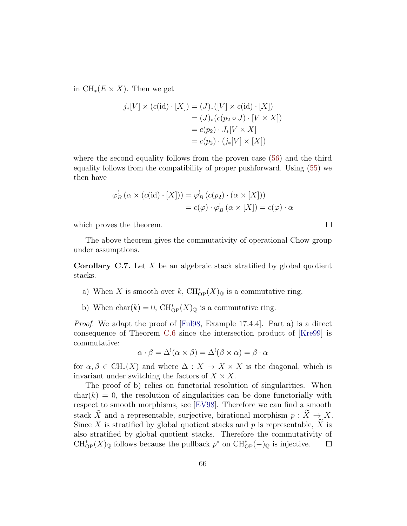in  $\text{CH}_*(E \times X)$ . Then we get

$$
j_*[V] \times (c(\mathrm{id}) \cdot [X]) = (J)_*([V] \times c(\mathrm{id}) \cdot [X])
$$
  
=  $(J)_*(c(p_2 \circ J) \cdot [V \times X])$   
=  $c(p_2) \cdot J_*[V \times X]$   
=  $c(p_2) \cdot (j_*[V] \times [X])$ 

where the second equality follows from the proven case [\(56\)](#page-64-0) and the third equality follows from the compatibility of proper pushforward. Using [\(55\)](#page-64-1) we then have

$$
\varphi_B^! \left( \alpha \times (c(\mathrm{id}) \cdot [X]) \right) = \varphi_B^! \left( c(p_2) \cdot (\alpha \times [X]) \right)
$$

$$
= c(\varphi) \cdot \varphi_B^! \left( \alpha \times [X] \right) = c(\varphi) \cdot \alpha
$$

which proves the theorem.

The above theorem gives the commutativity of operational Chow group under assumptions.

**Corollary C.7.** Let  $X$  be an algebraic stack stratified by global quotient stacks.

- a) When X is smooth over k,  $\text{CH}^*_{\text{OP}}(X)_{\mathbb{Q}}$  is a commutative ring.
- b) When  $char(k) = 0$ ,  $CH^*_{OP}(X)_{\mathbb{Q}}$  is a commutative ring.

Proof. We adapt the proof of [\[Ful98,](#page-69-2) Example 17.4.4]. Part a) is a direct consequence of Theorem [C.6](#page-63-1) since the intersection product of [\[Kre99\]](#page-70-1) is commutative:

$$
\alpha \cdot \beta = \Delta^{!}(\alpha \times \beta) = \Delta^{!}(\beta \times \alpha) = \beta \cdot \alpha
$$

for  $\alpha, \beta \in \text{CH}_*(X)$  and where  $\Delta : X \to X \times X$  is the diagonal, which is invariant under switching the factors of  $X \times X$ .

The proof of b) relies on functorial resolution of singularities. When  $char(k) = 0$ , the resolution of singularities can be done functorially with respect to smooth morphisms, see [\[EV98\]](#page-69-3). Therefore we can find a smooth stack  $\tilde{X}$  and a representable, surjective, birational morphism  $p : \tilde{X} \to X$ . Since X is stratified by global quotient stacks and p is representable,  $\widetilde{X}$  is also stratified by global quotient stacks. Therefore the commutativity of  $\text{CH}^*_{\text{OP}}(X)_{\mathbb{Q}}$  follows because the pullback  $p^*$  on  $\text{CH}^*_{\text{OP}}(-)_{\mathbb{Q}}$  is injective.  $\Box$ 

 $\Box$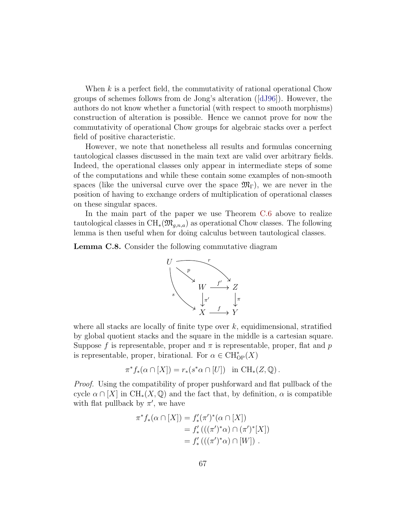When  $k$  is a perfect field, the commutativity of rational operational Chow groups of schemes follows from de Jong's alteration ([\[dJ96\]](#page-69-4)). However, the authors do not know whether a functorial (with respect to smooth morphisms) construction of alteration is possible. Hence we cannot prove for now the commutativity of operational Chow groups for algebraic stacks over a perfect field of positive characteristic.

However, we note that nonetheless all results and formulas concerning tautological classes discussed in the main text are valid over arbitrary fields. Indeed, the operational classes only appear in intermediate steps of some of the computations and while these contain some examples of non-smooth spaces (like the universal curve over the space  $\mathfrak{M}_{\Gamma}$ ), we are never in the position of having to exchange orders of multiplication of operational classes on these singular spaces.

In the main part of the paper we use Theorem [C.6](#page-63-1) above to realize tautological classes in  $\text{CH}_{*}(\mathfrak{M}_{g,n,a})$  as operational Chow classes. The following lemma is then useful when for doing calculus between tautological classes.

Lemma C.8. Consider the following commutative diagram



where all stacks are locally of finite type over  $k$ , equidimensional, stratified by global quotient stacks and the square in the middle is a cartesian square. Suppose f is representable, proper and  $\pi$  is representable, proper, flat and p is representable, proper, birational. For  $\alpha \in \mathrm{CH}^*_{\mathrm{OP}}(X)$ 

$$
\pi^* f_* (\alpha \cap [X]) = r_* (s^* \alpha \cap [U]) \text{ in } CH_*(Z, \mathbb{Q}).
$$

Proof. Using the compatibility of proper pushforward and flat pullback of the cycle  $\alpha \cap [X]$  in  $\text{CH}_*(X,\mathbb{Q})$  and the fact that, by definition,  $\alpha$  is compatible with flat pullback by  $\pi'$ , we have

$$
\pi^* f_* (\alpha \cap [X]) = f'_* (\pi')^* (\alpha \cap [X])
$$
  
=  $f'_* (((\pi')^* \alpha) \cap (\pi')^* [X])$   
=  $f'_* (((\pi')^* \alpha) \cap [W])$ .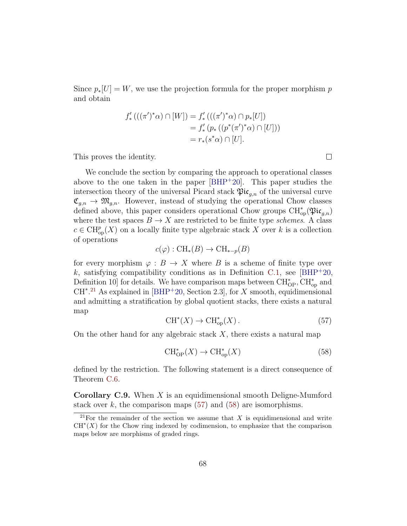Since  $p_*[U] = W$ , we use the projection formula for the proper morphism p and obtain

$$
f'_{*}(((\pi')^{*}\alpha) \cap [W]) = f'_{*}(((\pi')^{*}\alpha) \cap p_{*}[U])
$$
  
=  $f'_{*}(p_{*}((p^{*}(\pi')^{*}\alpha) \cap [U]))$   
=  $r_{*}(s^{*}\alpha) \cap [U].$ 

This proves the identity.

We conclude the section by comparing the approach to operational classes above to the one taken in the paper [\[BHP](#page-68-0)<sup>+</sup>20]. This paper studies the intersection theory of the universal Picard stack  $\mathfrak{Pic}_{a,n}$  of the universal curve  $\mathfrak{C}_{g,n} \to \mathfrak{M}_{g,n}$ . However, instead of studying the operational Chow classes defined above, this paper considers operational Chow groups  $\text{CH}^*_{op}(\mathfrak{Pic}_{g,n})$ where the test spaces  $B \to X$  are restricted to be finite type *schemes*. A class  $c \in \mathrm{CH}^p_{\mathrm{op}}(X)$  on a locally finite type algebraic stack X over k is a collection of operations

$$
c(\varphi): \text{CH}_*(B) \to \text{CH}_{*-p}(B)
$$

for every morphism  $\varphi : B \to X$  where B is a scheme of finite type over k, satisfying compatibility conditions as in Definition [C.1,](#page-59-2) see [\[BHP](#page-68-0)+20, Definition 10] for details. We have comparison maps between  $\text{CH}^*_{\text{OP}}, \text{CH}^*_{\text{op}}$  and  $CH^*$ <sup>[21](#page-67-0)</sup> As explained in [\[BHP](#page-68-0)<sup>+</sup>20, Section 2.3], for X smooth, equidimensional and admitting a stratification by global quotient stacks, there exists a natural map

<span id="page-67-1"></span>
$$
CH^*(X) \to CH^*_{op}(X). \tag{57}
$$

On the other hand for any algebraic stack  $X$ , there exists a natural map

<span id="page-67-2"></span>
$$
CH^*_{\text{OP}}(X) \to CH^*_{\text{op}}(X) \tag{58}
$$

defined by the restriction. The following statement is a direct consequence of Theorem [C.6.](#page-63-1)

**Corollary C.9.** When  $X$  is an equidimensional smooth Deligne-Mumford stack over  $k$ , the comparison maps  $(57)$  and  $(58)$  are isomorphisms.

 $\Box$ 

<span id="page-67-0"></span><sup>&</sup>lt;sup>21</sup>For the remainder of the section we assume that X is equidimensional and write  $CH<sup>*</sup>(X)$  for the Chow ring indexed by codimension, to emphasize that the comparison maps below are morphisms of graded rings.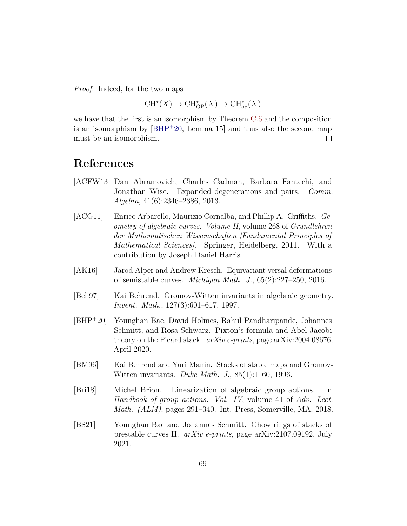Proof. Indeed, for the two maps

$$
\operatorname{CH}^*(X)\to\operatorname{CH}^*_{\rm OP}(X)\to\operatorname{CH}^*_{\rm op}(X)
$$

we have that the first is an isomorphism by Theorem [C.6](#page-63-1) and the composition is an isomorphism by  $[BHP^+20, \text{ Lemma } 15]$  and thus also the second map must be an isomorphism.  $\Box$ 

## References

- [ACFW13] Dan Abramovich, Charles Cadman, Barbara Fantechi, and Jonathan Wise. Expanded degenerations and pairs. Comm. Algebra, 41(6):2346–2386, 2013.
- [ACG11] Enrico Arbarello, Maurizio Cornalba, and Phillip A. Griffiths. Geometry of algebraic curves. Volume II, volume 268 of Grundlehren der Mathematischen Wissenschaften [Fundamental Principles of Mathematical Sciences. Springer, Heidelberg, 2011. With a contribution by Joseph Daniel Harris.
- [AK16] Jarod Alper and Andrew Kresch. Equivariant versal deformations of semistable curves. Michigan Math. J., 65(2):227–250, 2016.
- [Beh97] Kai Behrend. Gromov-Witten invariants in algebraic geometry. Invent. Math., 127(3):601–617, 1997.
- <span id="page-68-0"></span>[BHP<sup>+</sup>20] Younghan Bae, David Holmes, Rahul Pandharipande, Johannes Schmitt, and Rosa Schwarz. Pixton's formula and Abel-Jacobi theory on the Picard stack.  $arXiv$  e-prints, page arXiv:2004.08676, April 2020.
- [BM96] Kai Behrend and Yuri Manin. Stacks of stable maps and Gromov-Witten invariants. Duke Math. J.,  $85(1)$ :1–60, 1996.
- <span id="page-68-1"></span>[Bri18] Michel Brion. Linearization of algebraic group actions. In Handbook of group actions. Vol. IV, volume 41 of Adv. Lect. Math. (ALM), pages 291–340. Int. Press, Somerville, MA, 2018.
- [BS21] Younghan Bae and Johannes Schmitt. Chow rings of stacks of prestable curves II. arXiv e-prints, page arXiv:2107.09192, July 2021.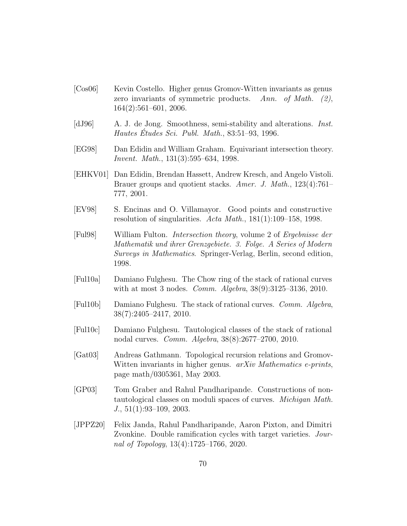- [Cos06] Kevin Costello. Higher genus Gromov-Witten invariants as genus zero invariants of symmetric products. Ann. of Math.  $(2)$ , 164(2):561–601, 2006.
- <span id="page-69-4"></span>[dJ96] A. J. de Jong. Smoothness, semi-stability and alterations. Inst. Hautes Etudes Sci. Publ. Math.,  $83:51-93$ , 1996.
- <span id="page-69-0"></span>[EG98] Dan Edidin and William Graham. Equivariant intersection theory. Invent. Math., 131(3):595–634, 1998.
- <span id="page-69-1"></span>[EHKV01] Dan Edidin, Brendan Hassett, Andrew Kresch, and Angelo Vistoli. Brauer groups and quotient stacks. Amer. J. Math., 123(4):761– 777, 2001.
- <span id="page-69-3"></span>[EV98] S. Encinas and O. Villamayor. Good points and constructive resolution of singularities. Acta Math., 181(1):109–158, 1998.
- <span id="page-69-2"></span>[Ful98] William Fulton. Intersection theory, volume 2 of Ergebnisse der Mathematik und ihrer Grenzgebiete. 3. Folge. A Series of Modern Surveys in Mathematics. Springer-Verlag, Berlin, second edition, 1998.
- [Ful10a] Damiano Fulghesu. The Chow ring of the stack of rational curves with at most 3 nodes. Comm. Algebra, 38(9):3125–3136, 2010.
- [Ful10b] Damiano Fulghesu. The stack of rational curves. Comm. Algebra, 38(7):2405–2417, 2010.
- [Ful10c] Damiano Fulghesu. Tautological classes of the stack of rational nodal curves. Comm. Algebra, 38(8):2677–2700, 2010.
- [Gat03] Andreas Gathmann. Topological recursion relations and Gromov-Witten invariants in higher genus. *arXiv Mathematics e-prints*, page math/0305361, May 2003.
- [GP03] Tom Graber and Rahul Pandharipande. Constructions of nontautological classes on moduli spaces of curves. Michigan Math.  $J.$ , 51(1):93–109, 2003.
- [JPPZ20] Felix Janda, Rahul Pandharipande, Aaron Pixton, and Dimitri Zvonkine. Double ramification cycles with target varieties. Journal of Topology, 13(4):1725–1766, 2020.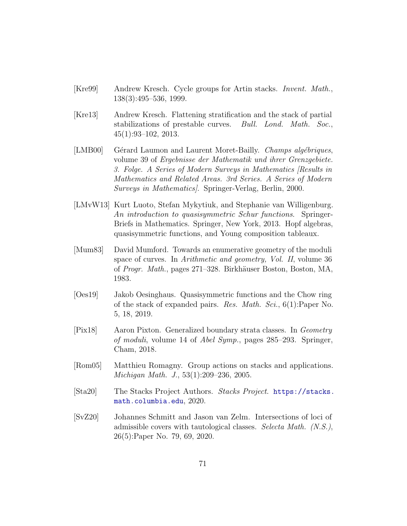- <span id="page-70-1"></span>[Kre99] Andrew Kresch. Cycle groups for Artin stacks. Invent. Math., 138(3):495–536, 1999.
- [Kre13] Andrew Kresch. Flattening stratification and the stack of partial stabilizations of prestable curves. Bull. Lond. Math. Soc., 45(1):93–102, 2013.
- <span id="page-70-3"></span>[LMB00] Gérard Laumon and Laurent Moret-Bailly. *Champs algébriques*, volume 39 of Ergebnisse der Mathematik und ihrer Grenzgebiete. 3. Folge. A Series of Modern Surveys in Mathematics [Results in Mathematics and Related Areas. 3rd Series. A Series of Modern Surveys in Mathematics]. Springer-Verlag, Berlin, 2000.
- [LMvW13] Kurt Luoto, Stefan Mykytiuk, and Stephanie van Willigenburg. An introduction to quasisymmetric Schur functions. Springer-Briefs in Mathematics. Springer, New York, 2013. Hopf algebras, quasisymmetric functions, and Young composition tableaux.
- [Mum83] David Mumford. Towards an enumerative geometry of the moduli space of curves. In *Arithmetic and geometry, Vol. II*, volume 36 of Progr. Math., pages 271–328. Birkhäuser Boston, Boston, MA, 1983.
- <span id="page-70-0"></span>[Oes19] Jakob Oesinghaus. Quasisymmetric functions and the Chow ring of the stack of expanded pairs. Res. Math. Sci., 6(1):Paper No. 5, 18, 2019.
- [Pix18] Aaron Pixton. Generalized boundary strata classes. In Geometry of moduli, volume 14 of Abel Symp., pages 285–293. Springer, Cham, 2018.
- [Rom05] Matthieu Romagny. Group actions on stacks and applications. Michigan Math. J., 53(1):209–236, 2005.
- <span id="page-70-2"></span>[Sta20] The Stacks Project Authors. Stacks Project. [https://stacks.](https://stacks.math.columbia.edu) [math.columbia.edu](https://stacks.math.columbia.edu), 2020.
- [SvZ20] Johannes Schmitt and Jason van Zelm. Intersections of loci of admissible covers with tautological classes. Selecta Math. (N.S.), 26(5):Paper No. 79, 69, 2020.